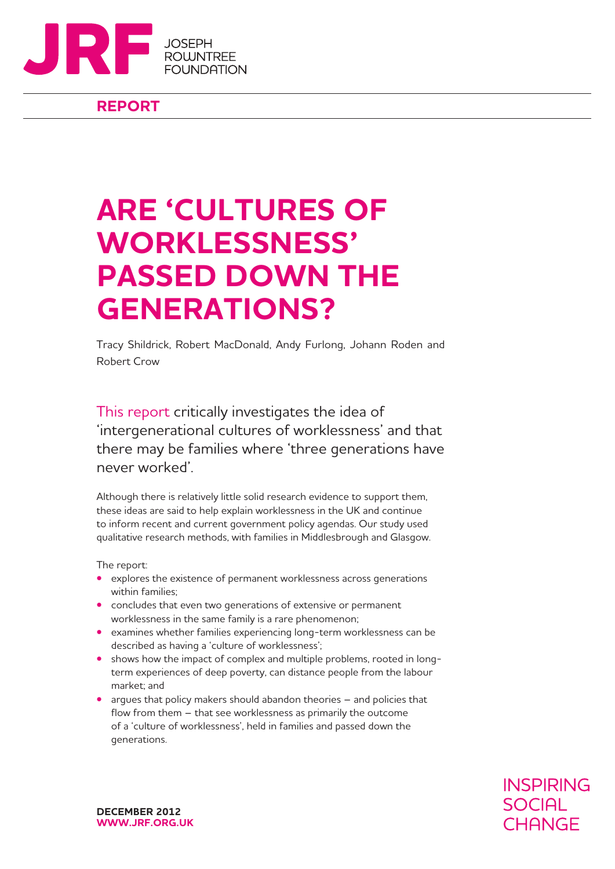

## **REPORT**

## **ARE 'CULTURES OF WORKLESSNESS' PASSED DOWN THE GENERATIONS?**

Tracy Shildrick, Robert MacDonald, Andy Furlong, Johann Roden and Robert Crow

This report critically investigates the idea of 'intergenerational cultures of worklessness' and that there may be families where 'three generations have never worked'.

Although there is relatively little solid research evidence to support them, these ideas are said to help explain worklessness in the UK and continue to inform recent and current government policy agendas. Our study used qualitative research methods, with families in Middlesbrough and Glasgow.

The report:

- **•** explores the existence of permanent worklessness across generations within families;
- **•** concludes that even two generations of extensive or permanent worklessness in the same family is a rare phenomenon;
- **•**  examines whether families experiencing long-term worklessness can be described as having a 'culture of worklessness';
- shows how the impact of complex and multiple problems, rooted in longterm experiences of deep poverty, can distance people from the labour market; and
- **•** argues that policy makers should abandon theories and policies that flow from them – that see worklessness as primarily the outcome of a 'culture of worklessness', held in families and passed down the generations.

**INSPIRING SOCIAL** CHANGE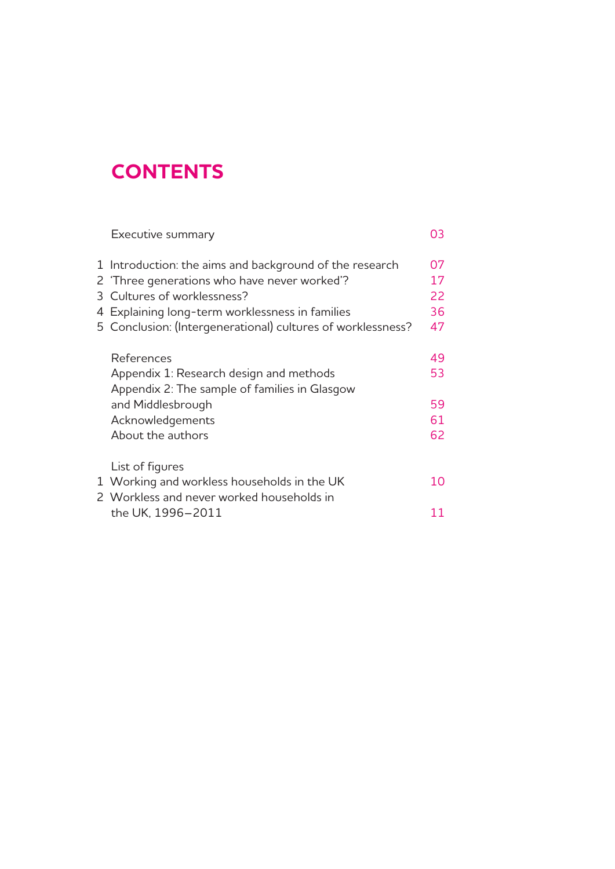## **CONTENTS**

| Executive summary                                                                                       | 03       |
|---------------------------------------------------------------------------------------------------------|----------|
| 1 Introduction: the aims and background of the research<br>2 'Three generations who have never worked'? | 07<br>17 |
| 3 Cultures of worklessness?                                                                             | 22       |
| 4 Explaining long-term worklessness in families                                                         | 36       |
| 5 Conclusion: (Intergenerational) cultures of worklessness?                                             | 47       |
|                                                                                                         |          |
| References                                                                                              | 49       |
| Appendix 1: Research design and methods                                                                 | 53       |
| Appendix 2: The sample of families in Glasgow                                                           |          |
| and Middlesbrough                                                                                       | 59       |
| Acknowledgements                                                                                        | 61       |
| About the authors                                                                                       | 62       |
|                                                                                                         |          |
| List of figures                                                                                         |          |
| 1 Working and workless households in the UK                                                             | 10       |
| 2 Workless and never worked households in                                                               |          |
| the UK, 1996–2011                                                                                       | 11       |
|                                                                                                         |          |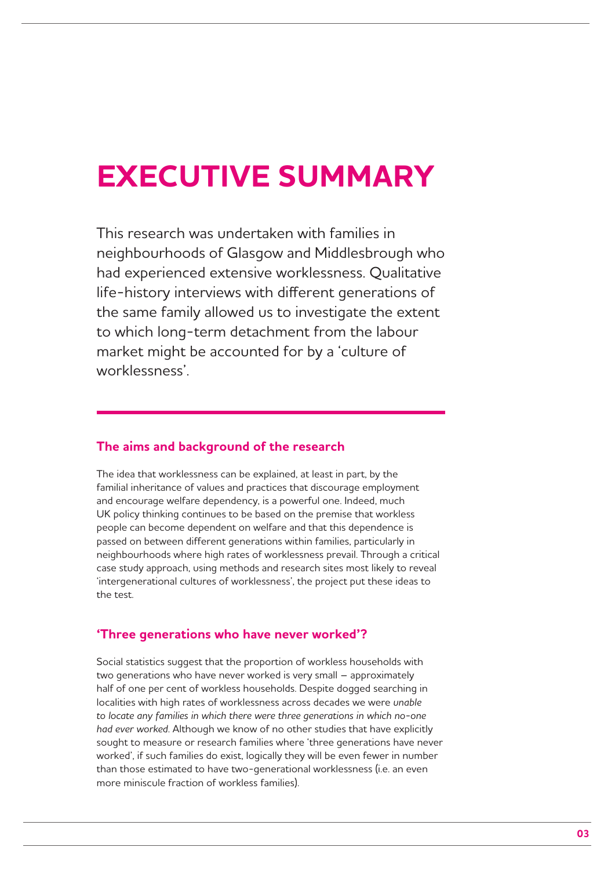## **EXECUTIVE SUMMARY**

This research was undertaken with families in neighbourhoods of Glasgow and Middlesbrough who had experienced extensive worklessness. Qualitative life-history interviews with different generations of the same family allowed us to investigate the extent to which long-term detachment from the labour market might be accounted for by a 'culture of worklessness'.

## **The aims and background of the research**

The idea that worklessness can be explained, at least in part, by the familial inheritance of values and practices that discourage employment and encourage welfare dependency, is a powerful one. Indeed, much UK policy thinking continues to be based on the premise that workless people can become dependent on welfare and that this dependence is passed on between different generations within families, particularly in neighbourhoods where high rates of worklessness prevail. Through a critical case study approach, using methods and research sites most likely to reveal 'intergenerational cultures of worklessness', the project put these ideas to the test.

### **'Three generations who have never worked'?**

Social statistics suggest that the proportion of workless households with two generations who have never worked is very small – approximately half of one per cent of workless households. Despite dogged searching in localities with high rates of worklessness across decades we were *unable to locate any families in which there were three generations in which no-one had ever worked*. Although we know of no other studies that have explicitly sought to measure or research families where 'three generations have never worked', if such families do exist, logically they will be even fewer in number than those estimated to have two-generational worklessness (i.e. an even more miniscule fraction of workless families).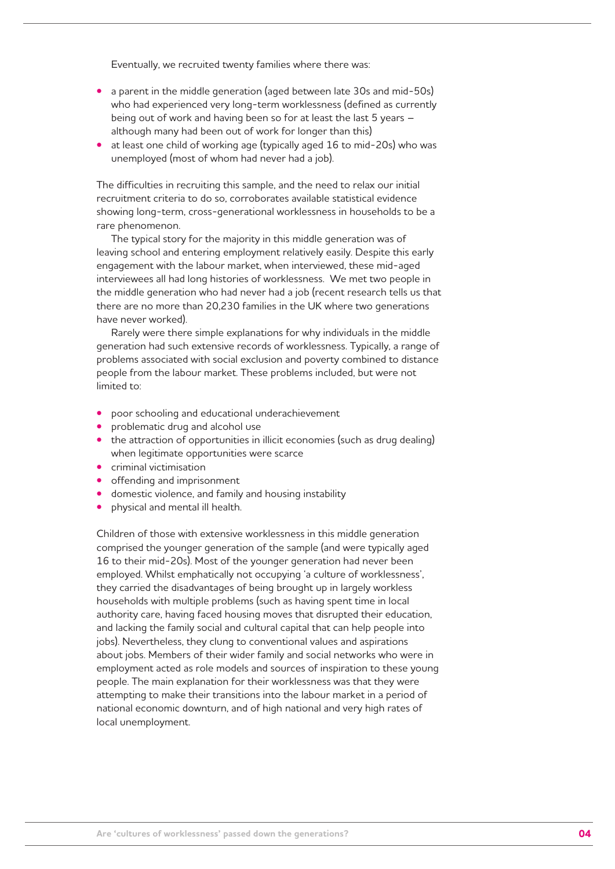Eventually, we recruited twenty families where there was:

- a parent in the middle generation (aged between late 30s and mid-50s) who had experienced very long-term worklessness (defined as currently being out of work and having been so for at least the last 5 years – although many had been out of work for longer than this)
- at least one child of working age (typically aged 16 to mid-20s) who was unemployed (most of whom had never had a job).

The difficulties in recruiting this sample, and the need to relax our initial recruitment criteria to do so, corroborates available statistical evidence showing long-term, cross-generational worklessness in households to be a rare phenomenon.

The typical story for the majority in this middle generation was of leaving school and entering employment relatively easily. Despite this early engagement with the labour market, when interviewed, these mid-aged interviewees all had long histories of worklessness. We met two people in the middle generation who had never had a job (recent research tells us that there are no more than 20,230 families in the UK where two generations have never worked).

Rarely were there simple explanations for why individuals in the middle generation had such extensive records of worklessness. Typically, a range of problems associated with social exclusion and poverty combined to distance people from the labour market. These problems included, but were not limited to:

- **•** poor schooling and educational underachievement
- problematic drug and alcohol use
- the attraction of opportunities in illicit economies (such as drug dealing) when legitimate opportunities were scarce
- **•**  criminal victimisation
- **•**  offending and imprisonment
- **•**  domestic violence, and family and housing instability
- **•**  physical and mental ill health.

Children of those with extensive worklessness in this middle generation comprised the younger generation of the sample (and were typically aged 16 to their mid-20s). Most of the younger generation had never been employed. Whilst emphatically not occupying 'a culture of worklessness', they carried the disadvantages of being brought up in largely workless households with multiple problems (such as having spent time in local authority care, having faced housing moves that disrupted their education, and lacking the family social and cultural capital that can help people into jobs). Nevertheless, they clung to conventional values and aspirations about jobs. Members of their wider family and social networks who were in employment acted as role models and sources of inspiration to these young people. The main explanation for their worklessness was that they were attempting to make their transitions into the labour market in a period of national economic downturn, and of high national and very high rates of local unemployment.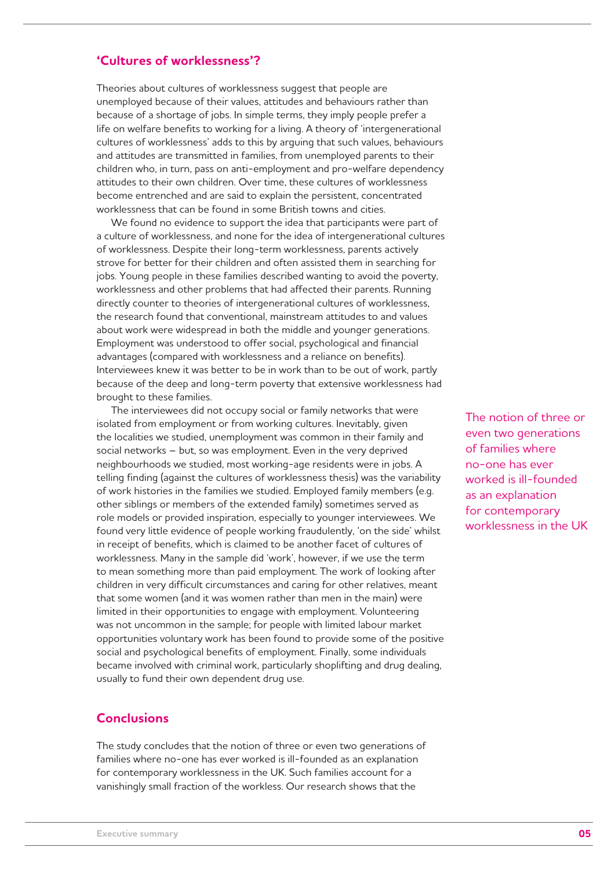## **'Cultures of worklessness'?**

Theories about cultures of worklessness suggest that people are unemployed because of their values, attitudes and behaviours rather than because of a shortage of jobs. In simple terms, they imply people prefer a life on welfare benefits to working for a living. A theory of 'intergenerational cultures of worklessness' adds to this by arguing that such values, behaviours and attitudes are transmitted in families, from unemployed parents to their children who, in turn, pass on anti-employment and pro-welfare dependency attitudes to their own children. Over time, these cultures of worklessness become entrenched and are said to explain the persistent, concentrated worklessness that can be found in some British towns and cities.

We found no evidence to support the idea that participants were part of a culture of worklessness, and none for the idea of intergenerational cultures of worklessness. Despite their long-term worklessness, parents actively strove for better for their children and often assisted them in searching for jobs. Young people in these families described wanting to avoid the poverty, worklessness and other problems that had affected their parents. Running directly counter to theories of intergenerational cultures of worklessness, the research found that conventional, mainstream attitudes to and values about work were widespread in both the middle and younger generations. Employment was understood to offer social, psychological and financial advantages (compared with worklessness and a reliance on benefits). Interviewees knew it was better to be in work than to be out of work, partly because of the deep and long-term poverty that extensive worklessness had brought to these families.

The interviewees did not occupy social or family networks that were isolated from employment or from working cultures. Inevitably, given the localities we studied, unemployment was common in their family and social networks – but, so was employment. Even in the very deprived neighbourhoods we studied, most working-age residents were in jobs. A telling finding (against the cultures of worklessness thesis) was the variability of work histories in the families we studied. Employed family members (e.g. other siblings or members of the extended family) sometimes served as role models or provided inspiration, especially to younger interviewees. We found very little evidence of people working fraudulently, 'on the side' whilst in receipt of benefits, which is claimed to be another facet of cultures of worklessness. Many in the sample did 'work', however, if we use the term to mean something more than paid employment. The work of looking after children in very difficult circumstances and caring for other relatives, meant that some women (and it was women rather than men in the main) were limited in their opportunities to engage with employment. Volunteering was not uncommon in the sample; for people with limited labour market opportunities voluntary work has been found to provide some of the positive social and psychological benefits of employment. Finally, some individuals became involved with criminal work, particularly shoplifting and drug dealing, usually to fund their own dependent drug use.

## **Conclusions**

The study concludes that the notion of three or even two generations of families where no-one has ever worked is ill-founded as an explanation for contemporary worklessness in the UK. Such families account for a vanishingly small fraction of the workless. Our research shows that the

The notion of three or even two generations of families where no-one has ever worked is ill-founded as an explanation for contemporary worklessness in the UK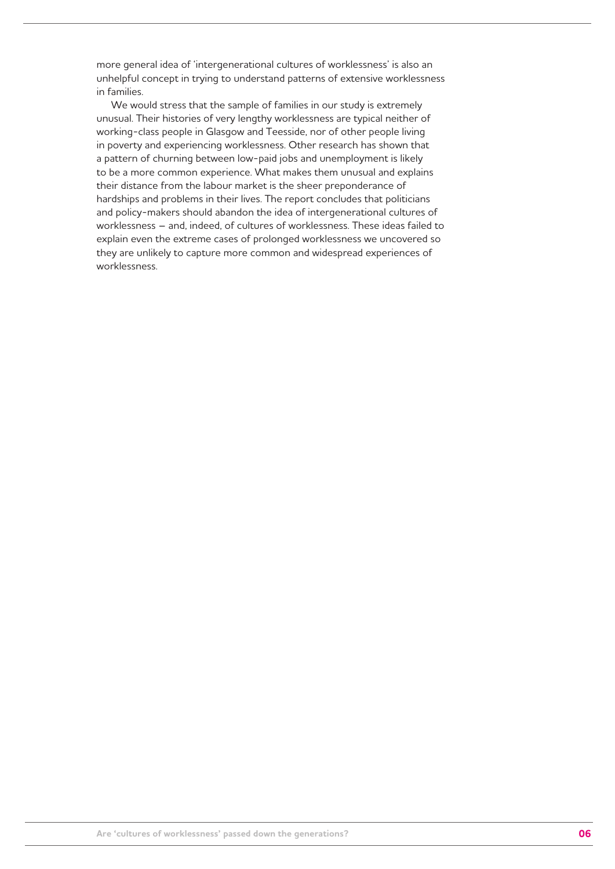more general idea of 'intergenerational cultures of worklessness' is also an unhelpful concept in trying to understand patterns of extensive worklessness in families.

We would stress that the sample of families in our study is extremely unusual. Their histories of very lengthy worklessness are typical neither of working-class people in Glasgow and Teesside, nor of other people living in poverty and experiencing worklessness. Other research has shown that a pattern of churning between low-paid jobs and unemployment is likely to be a more common experience. What makes them unusual and explains their distance from the labour market is the sheer preponderance of hardships and problems in their lives. The report concludes that politicians and policy-makers should abandon the idea of intergenerational cultures of worklessness – and, indeed, of cultures of worklessness. These ideas failed to explain even the extreme cases of prolonged worklessness we uncovered so they are unlikely to capture more common and widespread experiences of worklessness.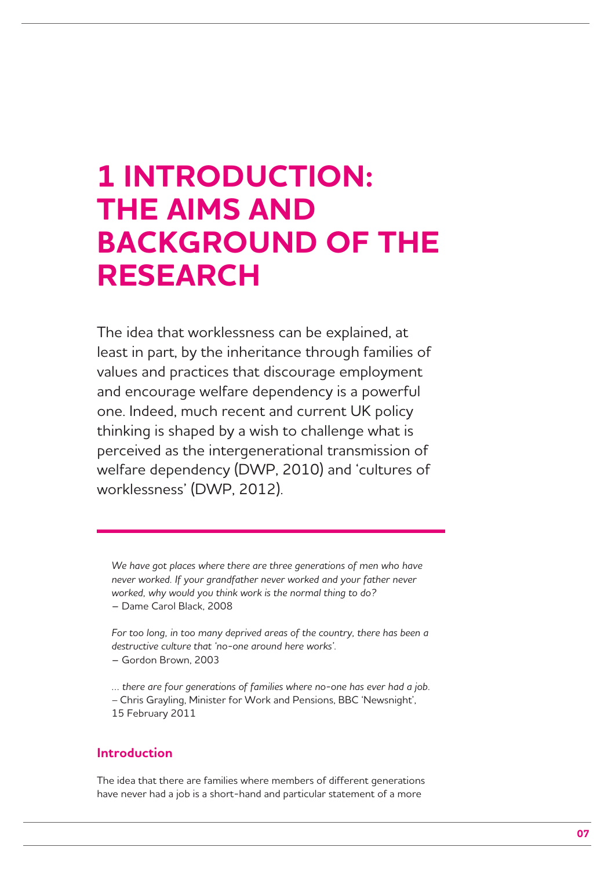## **1 INTRODUCTION: THE AIMS AND BACKGROUND OF THE RESEARCH**

The idea that worklessness can be explained, at least in part, by the inheritance through families of values and practices that discourage employment and encourage welfare dependency is a powerful one. Indeed, much recent and current UK policy thinking is shaped by a wish to challenge what is perceived as the intergenerational transmission of welfare dependency (DWP, 2010) and 'cultures of worklessness' (DWP, 2012).

*We have got places where there are three generations of men who have never worked. If your grandfather never worked and your father never worked, why would you think work is the normal thing to do?*  – Dame Carol Black, 2008

For too long, in too many deprived areas of the country, there has been a *destructive culture that 'no-one around here works'.* 

– Gordon Brown, 2003

*… there are four generations of families where no-one has ever had a job. –* Chris Grayling, Minister for Work and Pensions, BBC 'Newsnight', 15 February 2011

## **Introduction**

The idea that there are families where members of different generations have never had a job is a short-hand and particular statement of a more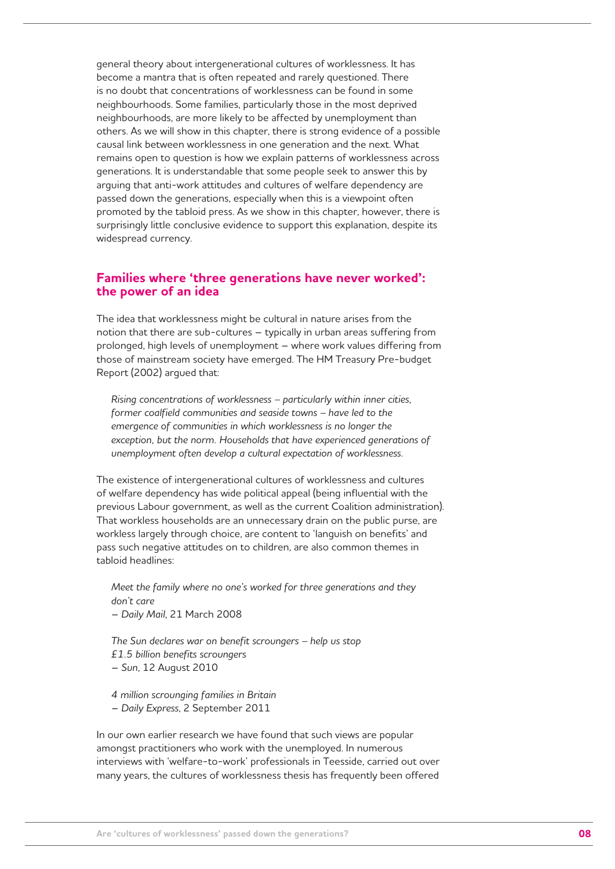general theory about intergenerational cultures of worklessness. It has become a mantra that is often repeated and rarely questioned. There is no doubt that concentrations of worklessness can be found in some neighbourhoods. Some families, particularly those in the most deprived neighbourhoods, are more likely to be affected by unemployment than others. As we will show in this chapter, there is strong evidence of a possible causal link between worklessness in one generation and the next. What remains open to question is how we explain patterns of worklessness across generations. It is understandable that some people seek to answer this by arguing that anti-work attitudes and cultures of welfare dependency are passed down the generations, especially when this is a viewpoint often promoted by the tabloid press. As we show in this chapter, however, there is surprisingly little conclusive evidence to support this explanation, despite its widespread currency.

### **Families where 'three generations have never worked': the power of an idea**

The idea that worklessness might be cultural in nature arises from the notion that there are sub-cultures – typically in urban areas suffering from prolonged, high levels of unemployment – where work values differing from those of mainstream society have emerged. The HM Treasury Pre-budget Report (2002) argued that:

*Rising concentrations of worklessness – particularly within inner cities, former coalfield communities and seaside towns – have led to the emergence of communities in which worklessness is no longer the exception, but the norm. Households that have experienced generations of unemployment often develop a cultural expectation of worklessness.* 

The existence of intergenerational cultures of worklessness and cultures of welfare dependency has wide political appeal (being influential with the previous Labour government, as well as the current Coalition administration). That workless households are an unnecessary drain on the public purse, are workless largely through choice, are content to 'languish on benefits' and pass such negative attitudes on to children, are also common themes in tabloid headlines:

*Meet the family where no one's worked for three generations and they don't care*  – *Daily Mail*, 21 March 2008

*The Sun declares war on benefit scroungers – help us stop £1.5 billion benefits scroungers* 

– *Sun*, 12 August 2010

*4 million scrounging families in Britain*  – *Daily Express*, 2 September 2011

In our own earlier research we have found that such views are popular amongst practitioners who work with the unemployed. In numerous interviews with 'welfare-to-work' professionals in Teesside, carried out over many years, the cultures of worklessness thesis has frequently been offered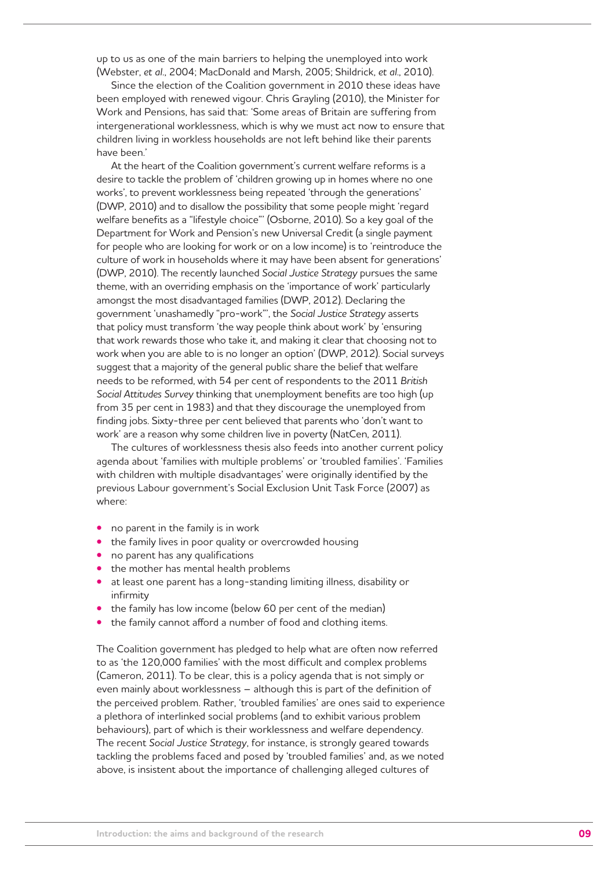up to us as one of the main barriers to helping the unemployed into work (Webster, *et al*., 2004; MacDonald and Marsh, 2005; Shildrick, *et al*., 2010).

Since the election of the Coalition government in 2010 these ideas have been employed with renewed vigour. Chris Grayling (2010), the Minister for Work and Pensions, has said that: 'Some areas of Britain are suffering from intergenerational worklessness, which is why we must act now to ensure that children living in workless households are not left behind like their parents have been.'

At the heart of the Coalition government's current welfare reforms is a desire to tackle the problem of 'children growing up in homes where no one works', to prevent worklessness being repeated 'through the generations' (DWP, 2010) and to disallow the possibility that some people might 'regard welfare benefits as a "lifestyle choice"' (Osborne, 2010). So a key goal of the Department for Work and Pension's new Universal Credit (a single payment for people who are looking for work or on a low income) is to 'reintroduce the culture of work in households where it may have been absent for generations' (DWP, 2010). The recently launched *Social Justice Strategy* pursues the same theme, with an overriding emphasis on the 'importance of work' particularly amongst the most disadvantaged families (DWP, 2012). Declaring the government 'unashamedly "pro-work"', the *Social Justice Strategy* asserts that policy must transform 'the way people think about work' by 'ensuring that work rewards those who take it, and making it clear that choosing not to work when you are able to is no longer an option' (DWP, 2012). Social surveys suggest that a majority of the general public share the belief that welfare needs to be reformed, with 54 per cent of respondents to the 2011 *British Social Attitudes Survey* thinking that unemployment benefits are too high (up from 35 per cent in 1983) and that they discourage the unemployed from finding jobs. Sixty-three per cent believed that parents who 'don't want to work' are a reason why some children live in poverty (NatCen, 2011).

The cultures of worklessness thesis also feeds into another current policy agenda about 'families with multiple problems' or 'troubled families'. 'Families with children with multiple disadvantages' were originally identified by the previous Labour government's Social Exclusion Unit Task Force (2007) as where:

- **•**  no parent in the family is in work
- **•** the family lives in poor quality or overcrowded housing
- no parent has any qualifications
- the mother has mental health problems
- at least one parent has a long-standing limiting illness, disability or infirmity
- **•** the family has low income (below 60 per cent of the median)
- the family cannot afford a number of food and clothing items.

The Coalition government has pledged to help what are often now referred to as 'the 120,000 families' with the most difficult and complex problems (Cameron, 2011). To be clear, this is a policy agenda that is not simply or even mainly about worklessness – although this is part of the definition of the perceived problem. Rather, 'troubled families' are ones said to experience a plethora of interlinked social problems (and to exhibit various problem behaviours), part of which is their worklessness and welfare dependency. The recent *Social Justice Strategy*, for instance, is strongly geared towards tackling the problems faced and posed by 'troubled families' and, as we noted above, is insistent about the importance of challenging alleged cultures of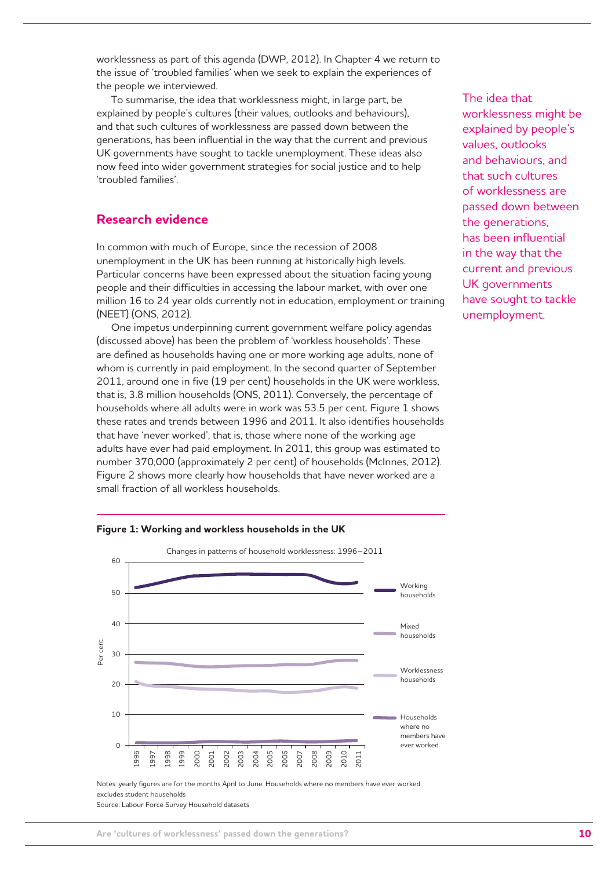worklessness as part of this agenda (DWP, 2012). In Chapter 4 we return to the issue of 'troubled families' when we seek to explain the experiences of the people we interviewed.

To summarise, the idea that worklessness might, in large part, be explained by people's cultures (their values, outlooks and behaviours), and that such cultures of worklessness are passed down between the generations, has been influential in the way that the current and previous UK governments have sought to tackle unemployment. These ideas also now feed into wider government strategies for social justice and to help 'troubled families'.

## **Research evidence**

In common with much of Europe, since the recession of 2008 unemployment in the UK has been running at historically high levels. Particular concerns have been expressed about the situation facing young people and their difficulties in accessing the labour market, with over one million 16 to 24 year olds currently not in education, employment or training (NEET) (ONS, 2012).

One impetus underpinning current government welfare policy agendas (discussed above) has been the problem of 'workless households'. These are defined as households having one or more working age adults, none of whom is currently in paid employment. In the second quarter of September 2011, around one in five (19 per cent) households in the UK were workless, that is, 3.8 million households (ONS, 2011). Conversely, the percentage of households where all adults were in work was 53.5 per cent. Figure 1 shows these rates and trends between 1996 and 2011. It also identifies households that have 'never worked', that is, those where none of the working age adults have ever had paid employment. In 2011, this group was estimated to number 370,000 (approximately 2 per cent) of households (McInnes, 2012). Figure 2 shows more clearly how households that have never worked are a small fraction of all workless households.



**Figure 1: Working and workless households in the UK**

The idea that worklessness might be explained by people's values, outlooks and behaviours, and that such cultures of worklessness are passed down between the generations, has been influential in the way that the current and previous UK governments have sought to tackle unemployment.

Notes: yearly figures are for the months April to June. Households where no members have ever worked excludes student households

Source: Labour Force Survey Household datasets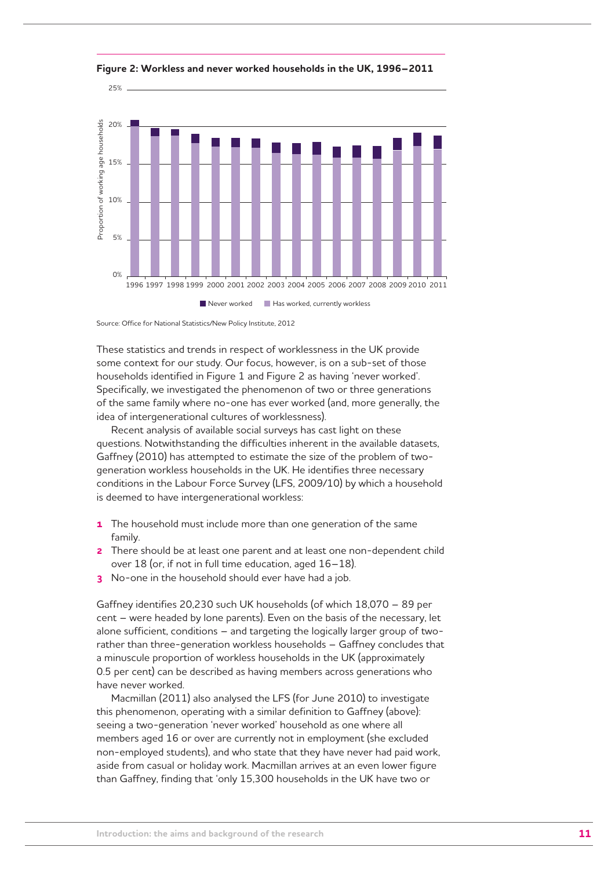

**Figure 2: Workless and never worked households in the UK, 1996–2011** 

Source: Office for National Statistics/New Policy Institute, 2012

These statistics and trends in respect of worklessness in the UK provide some context for our study. Our focus, however, is on a sub-set of those households identified in Figure 1 and Figure 2 as having 'never worked'. Specifically, we investigated the phenomenon of two or three generations of the same family where no-one has ever worked (and, more generally, the idea of intergenerational cultures of worklessness).

Recent analysis of available social surveys has cast light on these questions. Notwithstanding the difficulties inherent in the available datasets, Gaffney (2010) has attempted to estimate the size of the problem of twogeneration workless households in the UK. He identifies three necessary conditions in the Labour Force Survey (LFS, 2009/10) by which a household is deemed to have intergenerational workless:

- **1** The household must include more than one generation of the same family.
- **2** There should be at least one parent and at least one non-dependent child over 18 (or, if not in full time education, aged 16–18).
- **3** No-one in the household should ever have had a job.

Gaffney identifies 20,230 such UK households (of which 18,070 – 89 per cent – were headed by lone parents). Even on the basis of the necessary, let alone sufficient, conditions – and targeting the logically larger group of tworather than three-generation workless households – Gaffney concludes that a minuscule proportion of workless households in the UK (approximately 0.5 per cent) can be described as having members across generations who have never worked.

Macmillan (2011) also analysed the LFS (for June 2010) to investigate this phenomenon, operating with a similar definition to Gaffney (above): seeing a two-generation 'never worked' household as one where all members aged 16 or over are currently not in employment (she excluded non-employed students), and who state that they have never had paid work, aside from casual or holiday work. Macmillan arrives at an even lower figure than Gaffney, finding that 'only 15,300 households in the UK have two or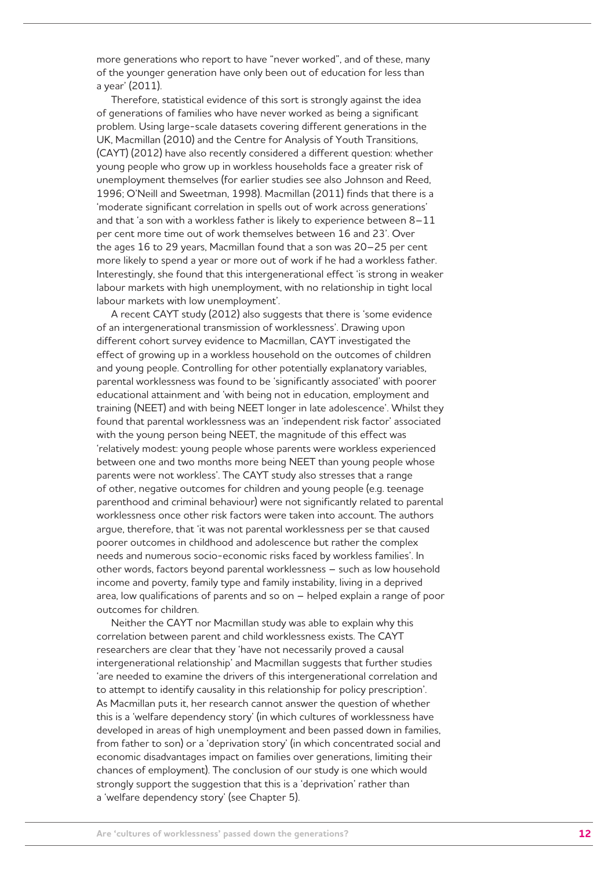more generations who report to have "never worked", and of these, many of the younger generation have only been out of education for less than a year' (2011).

Therefore, statistical evidence of this sort is strongly against the idea of generations of families who have never worked as being a significant problem. Using large-scale datasets covering different generations in the UK, Macmillan (2010) and the Centre for Analysis of Youth Transitions, (CAYT) (2012) have also recently considered a different question: whether young people who grow up in workless households face a greater risk of unemployment themselves (for earlier studies see also Johnson and Reed, 1996; O'Neill and Sweetman, 1998). Macmillan (2011) finds that there is a 'moderate significant correlation in spells out of work across generations' and that 'a son with a workless father is likely to experience between 8–11 per cent more time out of work themselves between 16 and 23'. Over the ages 16 to 29 years, Macmillan found that a son was 20–25 per cent more likely to spend a year or more out of work if he had a workless father. Interestingly, she found that this intergenerational effect 'is strong in weaker labour markets with high unemployment, with no relationship in tight local labour markets with low unemployment'.

A recent CAYT study (2012) also suggests that there is 'some evidence of an intergenerational transmission of worklessness'. Drawing upon different cohort survey evidence to Macmillan, CAYT investigated the effect of growing up in a workless household on the outcomes of children and young people. Controlling for other potentially explanatory variables, parental worklessness was found to be 'significantly associated' with poorer educational attainment and 'with being not in education, employment and training (NEET) and with being NEET longer in late adolescence'. Whilst they found that parental worklessness was an 'independent risk factor' associated with the young person being NEET, the magnitude of this effect was 'relatively modest: young people whose parents were workless experienced between one and two months more being NEET than young people whose parents were not workless'. The CAYT study also stresses that a range of other, negative outcomes for children and young people (e.g. teenage parenthood and criminal behaviour) were not significantly related to parental worklessness once other risk factors were taken into account. The authors argue, therefore, that 'it was not parental worklessness per se that caused poorer outcomes in childhood and adolescence but rather the complex needs and numerous socio-economic risks faced by workless families'. In other words, factors beyond parental worklessness – such as low household income and poverty, family type and family instability, living in a deprived area, low qualifications of parents and so on – helped explain a range of poor outcomes for children.

Neither the CAYT nor Macmillan study was able to explain why this correlation between parent and child worklessness exists. The CAYT researchers are clear that they 'have not necessarily proved a causal intergenerational relationship' and Macmillan suggests that further studies 'are needed to examine the drivers of this intergenerational correlation and to attempt to identify causality in this relationship for policy prescription'. As Macmillan puts it, her research cannot answer the question of whether this is a 'welfare dependency story' (in which cultures of worklessness have developed in areas of high unemployment and been passed down in families, from father to son) or a 'deprivation story' (in which concentrated social and economic disadvantages impact on families over generations, limiting their chances of employment). The conclusion of our study is one which would strongly support the suggestion that this is a 'deprivation' rather than a 'welfare dependency story' (see Chapter 5).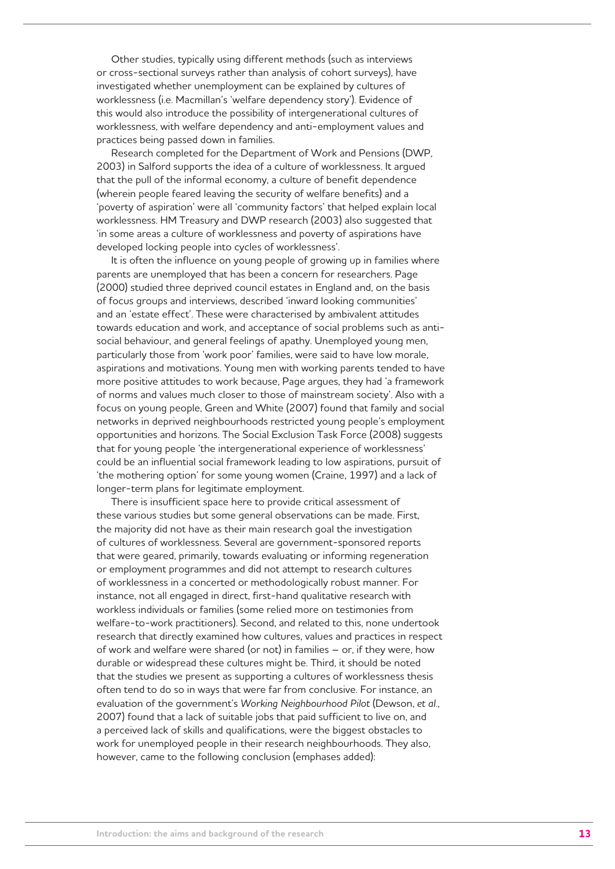Other studies, typically using different methods (such as interviews or cross-sectional surveys rather than analysis of cohort surveys), have investigated whether unemployment can be explained by cultures of worklessness (i.e. Macmillan's 'welfare dependency story'). Evidence of this would also introduce the possibility of intergenerational cultures of worklessness, with welfare dependency and anti-employment values and practices being passed down in families.

Research completed for the Department of Work and Pensions (DWP, 2003) in Salford supports the idea of a culture of worklessness. It argued that the pull of the informal economy, a culture of benefit dependence (wherein people feared leaving the security of welfare benefits) and a 'poverty of aspiration' were all 'community factors' that helped explain local worklessness. HM Treasury and DWP research (2003) also suggested that 'in some areas a culture of worklessness and poverty of aspirations have developed locking people into cycles of worklessness'.

It is often the influence on young people of growing up in families where parents are unemployed that has been a concern for researchers. Page (2000) studied three deprived council estates in England and, on the basis of focus groups and interviews, described 'inward looking communities' and an 'estate effect'. These were characterised by ambivalent attitudes towards education and work, and acceptance of social problems such as antisocial behaviour, and general feelings of apathy. Unemployed young men, particularly those from 'work poor' families, were said to have low morale, aspirations and motivations. Young men with working parents tended to have more positive attitudes to work because, Page argues, they had 'a framework of norms and values much closer to those of mainstream society'. Also with a focus on young people, Green and White (2007) found that family and social networks in deprived neighbourhoods restricted young people's employment opportunities and horizons. The Social Exclusion Task Force (2008) suggests that for young people 'the intergenerational experience of worklessness' could be an influential social framework leading to low aspirations, pursuit of 'the mothering option' for some young women (Craine, 1997) and a lack of longer-term plans for legitimate employment.

There is insufficient space here to provide critical assessment of these various studies but some general observations can be made. First, the majority did not have as their main research goal the investigation of cultures of worklessness. Several are government-sponsored reports that were geared, primarily, towards evaluating or informing regeneration or employment programmes and did not attempt to research cultures of worklessness in a concerted or methodologically robust manner. For instance, not all engaged in direct, first-hand qualitative research with workless individuals or families (some relied more on testimonies from welfare-to-work practitioners). Second, and related to this, none undertook research that directly examined how cultures, values and practices in respect of work and welfare were shared (or not) in families – or, if they were, how durable or widespread these cultures might be. Third, it should be noted that the studies we present as supporting a cultures of worklessness thesis often tend to do so in ways that were far from conclusive. For instance, an evaluation of the government's *Working Neighbourhood Pilot* (Dewson, *et al*., 2007) found that a lack of suitable jobs that paid sufficient to live on, and a perceived lack of skills and qualifications, were the biggest obstacles to work for unemployed people in their research neighbourhoods. They also, however, came to the following conclusion (emphases added):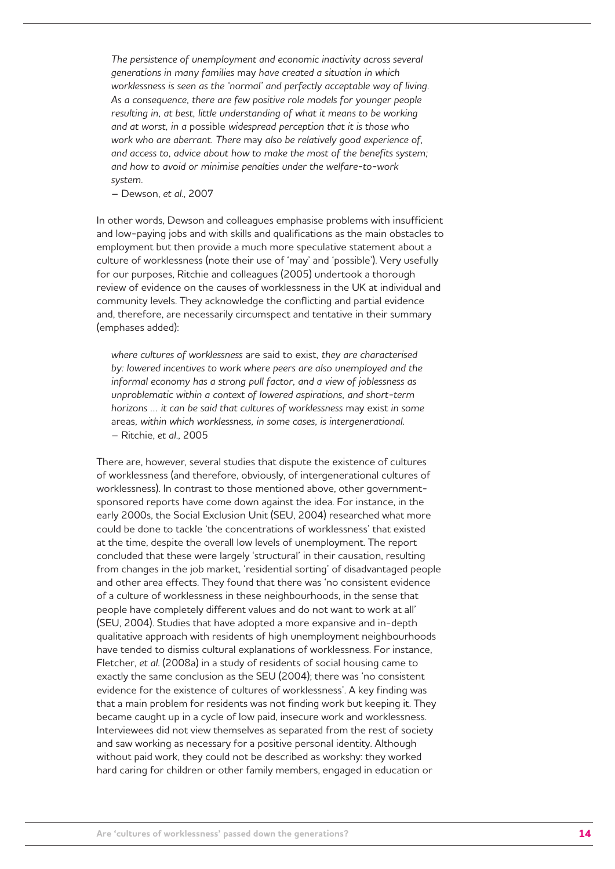*The persistence of unemployment and economic inactivity across several generations in many families* may *have created a situation in which worklessness is seen as the 'normal' and perfectly acceptable way of living. As a consequence, there are few positive role models for younger people*  resulting in, at best, little understanding of what it means to be working *and at worst, in a* possible *widespread perception that it is those who work who are aberrant. There* may *also be relatively good experience of, and access to, advice about how to make the most of the benefits system; and how to avoid or minimise penalties under the welfare-to-work system.*

– Dewson, *et al*., 2007

In other words, Dewson and colleagues emphasise problems with insufficient and low-paying jobs and with skills and qualifications as the main obstacles to employment but then provide a much more speculative statement about a culture of worklessness (note their use of 'may' and 'possible'). Very usefully for our purposes, Ritchie and colleagues (2005) undertook a thorough review of evidence on the causes of worklessness in the UK at individual and community levels. They acknowledge the conflicting and partial evidence and, therefore, are necessarily circumspect and tentative in their summary (emphases added):

*where cultures of worklessness* are said to exist*, they are characterised by: lowered incentives to work where peers are also unemployed and the informal economy has a strong pull factor, and a view of joblessness as unproblematic within a context of lowered aspirations, and short-term horizons … it can be said that cultures of worklessness* may exist *in some*  areas*, within which worklessness, in some cases, is intergenerational.* – Ritchie, *et al*., 2005

There are, however, several studies that dispute the existence of cultures of worklessness (and therefore, obviously, of intergenerational cultures of worklessness). In contrast to those mentioned above, other governmentsponsored reports have come down against the idea. For instance, in the early 2000s, the Social Exclusion Unit (SEU, 2004) researched what more could be done to tackle 'the concentrations of worklessness' that existed at the time, despite the overall low levels of unemployment. The report concluded that these were largely 'structural' in their causation, resulting from changes in the job market, 'residential sorting' of disadvantaged people and other area effects. They found that there was 'no consistent evidence of a culture of worklessness in these neighbourhoods, in the sense that people have completely different values and do not want to work at all' (SEU, 2004). Studies that have adopted a more expansive and in-depth qualitative approach with residents of high unemployment neighbourhoods have tended to dismiss cultural explanations of worklessness. For instance, Fletcher, *et al*. (2008a) in a study of residents of social housing came to exactly the same conclusion as the SEU (2004); there was 'no consistent evidence for the existence of cultures of worklessness'. A key finding was that a main problem for residents was not finding work but keeping it. They became caught up in a cycle of low paid, insecure work and worklessness. Interviewees did not view themselves as separated from the rest of society and saw working as necessary for a positive personal identity. Although without paid work, they could not be described as workshy: they worked hard caring for children or other family members, engaged in education or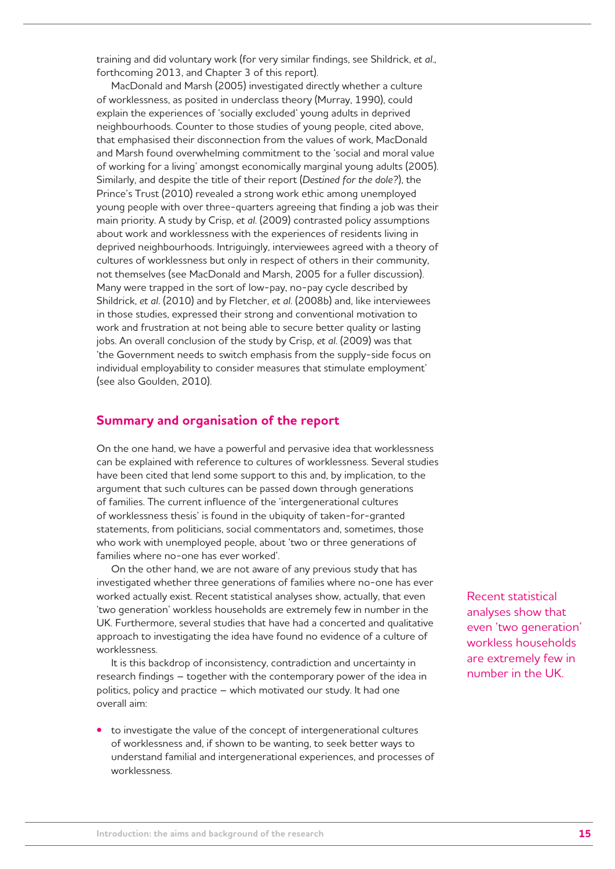training and did voluntary work (for very similar findings, see Shildrick, *et al*., forthcoming 2013, and Chapter 3 of this report).

MacDonald and Marsh (2005) investigated directly whether a culture of worklessness, as posited in underclass theory (Murray, 1990), could explain the experiences of 'socially excluded' young adults in deprived neighbourhoods. Counter to those studies of young people, cited above, that emphasised their disconnection from the values of work, MacDonald and Marsh found overwhelming commitment to the 'social and moral value of working for a living' amongst economically marginal young adults (2005). Similarly, and despite the title of their report (*Destined for the dole?*), the Prince's Trust (2010) revealed a strong work ethic among unemployed young people with over three-quarters agreeing that finding a job was their main priority. A study by Crisp, *et al*. (2009) contrasted policy assumptions about work and worklessness with the experiences of residents living in deprived neighbourhoods. Intriguingly, interviewees agreed with a theory of cultures of worklessness but only in respect of others in their community, not themselves (see MacDonald and Marsh, 2005 for a fuller discussion). Many were trapped in the sort of low-pay, no-pay cycle described by Shildrick, *et al*. (2010) and by Fletcher, *et al*. (2008b) and, like interviewees in those studies, expressed their strong and conventional motivation to work and frustration at not being able to secure better quality or lasting jobs. An overall conclusion of the study by Crisp, *et al*. (2009) was that 'the Government needs to switch emphasis from the supply-side focus on individual employability to consider measures that stimulate employment' (see also Goulden, 2010).

### **Summary and organisation of the report**

On the one hand, we have a powerful and pervasive idea that worklessness can be explained with reference to cultures of worklessness. Several studies have been cited that lend some support to this and, by implication, to the argument that such cultures can be passed down through generations of families. The current influence of the 'intergenerational cultures of worklessness thesis' is found in the ubiquity of taken-for-granted statements, from politicians, social commentators and, sometimes, those who work with unemployed people, about 'two or three generations of families where no-one has ever worked'.

On the other hand, we are not aware of any previous study that has investigated whether three generations of families where no-one has ever worked actually exist. Recent statistical analyses show, actually, that even 'two generation' workless households are extremely few in number in the UK. Furthermore, several studies that have had a concerted and qualitative approach to investigating the idea have found no evidence of a culture of worklessness.

It is this backdrop of inconsistency, contradiction and uncertainty in research findings – together with the contemporary power of the idea in politics, policy and practice – which motivated our study. It had one overall aim:

**•**  to investigate the value of the concept of intergenerational cultures of worklessness and, if shown to be wanting, to seek better ways to understand familial and intergenerational experiences, and processes of worklessness.

Recent statistical analyses show that even 'two generation' workless households are extremely few in number in the UK.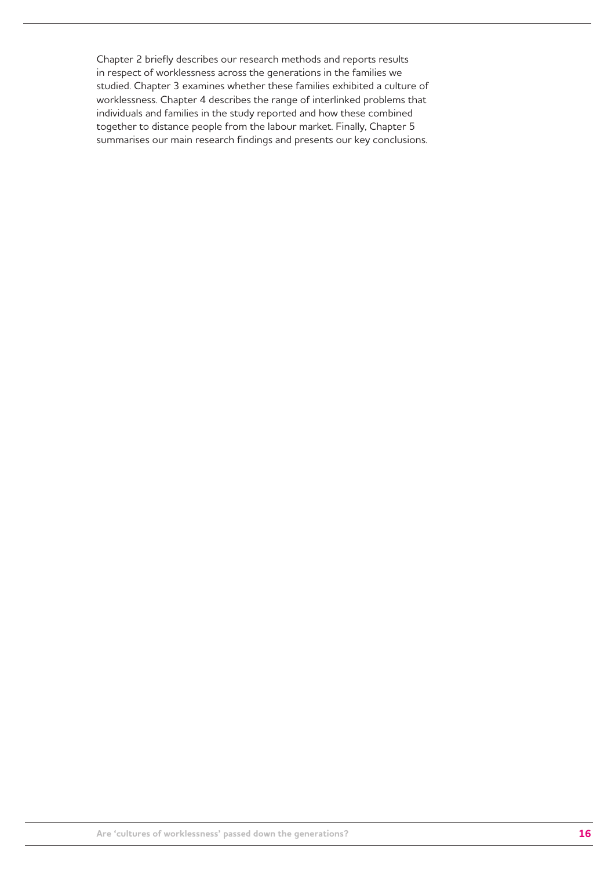Chapter 2 briefly describes our research methods and reports results in respect of worklessness across the generations in the families we studied. Chapter 3 examines whether these families exhibited a culture of worklessness. Chapter 4 describes the range of interlinked problems that individuals and families in the study reported and how these combined together to distance people from the labour market. Finally, Chapter 5 summarises our main research findings and presents our key conclusions.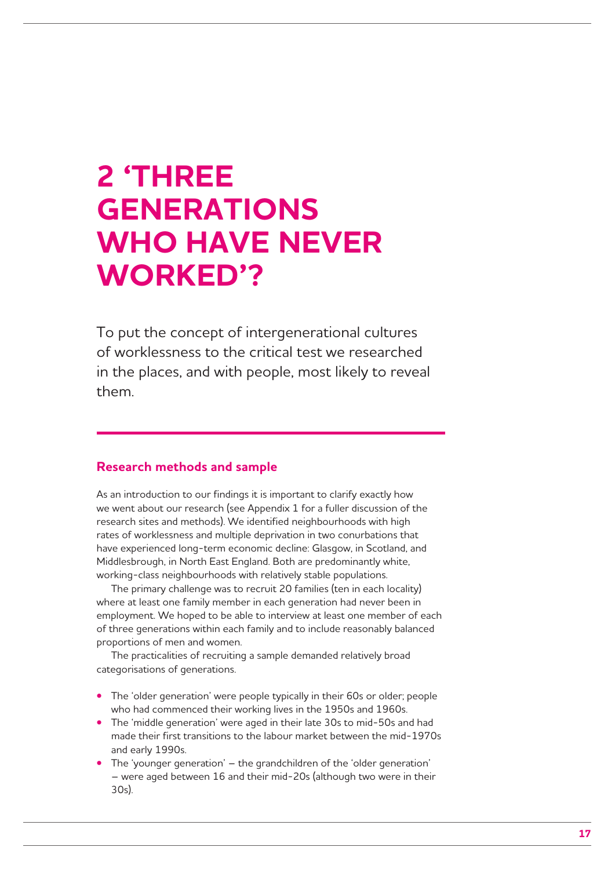## **2 'THREE GENERATIONS WHO HAVE NEVER WORKED'?**

To put the concept of intergenerational cultures of worklessness to the critical test we researched in the places, and with people, most likely to reveal them.

### **Research methods and sample**

As an introduction to our findings it is important to clarify exactly how we went about our research (see Appendix 1 for a fuller discussion of the research sites and methods). We identified neighbourhoods with high rates of worklessness and multiple deprivation in two conurbations that have experienced long-term economic decline: Glasgow, in Scotland, and Middlesbrough, in North East England. Both are predominantly white, working-class neighbourhoods with relatively stable populations.

The primary challenge was to recruit 20 families (ten in each locality) where at least one family member in each generation had never been in employment. We hoped to be able to interview at least one member of each of three generations within each family and to include reasonably balanced proportions of men and women.

The practicalities of recruiting a sample demanded relatively broad categorisations of generations.

- The 'older generation' were people typically in their 60s or older; people who had commenced their working lives in the 1950s and 1960s.
- **•** The 'middle generation' were aged in their late 30s to mid-50s and had made their first transitions to the labour market between the mid-1970s and early 1990s.
- The 'younger generation' the grandchildren of the 'older generation' – were aged between 16 and their mid-20s (although two were in their 30s).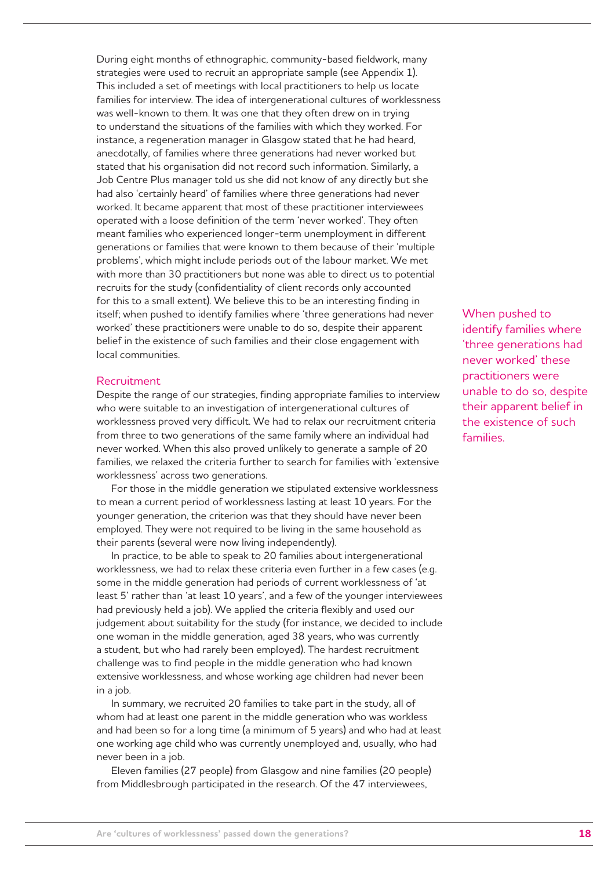During eight months of ethnographic, community-based fieldwork, many strategies were used to recruit an appropriate sample (see Appendix 1). This included a set of meetings with local practitioners to help us locate families for interview. The idea of intergenerational cultures of worklessness was well-known to them. It was one that they often drew on in trying to understand the situations of the families with which they worked. For instance, a regeneration manager in Glasgow stated that he had heard, anecdotally, of families where three generations had never worked but stated that his organisation did not record such information. Similarly, a Job Centre Plus manager told us she did not know of any directly but she had also 'certainly heard' of families where three generations had never worked. It became apparent that most of these practitioner interviewees operated with a loose definition of the term 'never worked'. They often meant families who experienced longer-term unemployment in different generations or families that were known to them because of their 'multiple problems', which might include periods out of the labour market. We met with more than 30 practitioners but none was able to direct us to potential recruits for the study (confidentiality of client records only accounted for this to a small extent). We believe this to be an interesting finding in itself; when pushed to identify families where 'three generations had never worked' these practitioners were unable to do so, despite their apparent belief in the existence of such families and their close engagement with local communities.

#### Recruitment

Despite the range of our strategies, finding appropriate families to interview who were suitable to an investigation of intergenerational cultures of worklessness proved very difficult. We had to relax our recruitment criteria from three to two generations of the same family where an individual had never worked. When this also proved unlikely to generate a sample of 20 families, we relaxed the criteria further to search for families with 'extensive worklessness' across two generations.

For those in the middle generation we stipulated extensive worklessness to mean a current period of worklessness lasting at least 10 years. For the younger generation, the criterion was that they should have never been employed. They were not required to be living in the same household as their parents (several were now living independently).

In practice, to be able to speak to 20 families about intergenerational worklessness, we had to relax these criteria even further in a few cases (e.g. some in the middle generation had periods of current worklessness of 'at least 5' rather than 'at least 10 years', and a few of the younger interviewees had previously held a job). We applied the criteria flexibly and used our judgement about suitability for the study (for instance, we decided to include one woman in the middle generation, aged 38 years, who was currently a student, but who had rarely been employed). The hardest recruitment challenge was to find people in the middle generation who had known extensive worklessness, and whose working age children had never been in a job.

In summary, we recruited 20 families to take part in the study, all of whom had at least one parent in the middle generation who was workless and had been so for a long time (a minimum of 5 years) and who had at least one working age child who was currently unemployed and, usually, who had never been in a job.

Eleven families (27 people) from Glasgow and nine families (20 people) from Middlesbrough participated in the research. Of the 47 interviewees,

When pushed to identify families where 'three generations had never worked' these practitioners were unable to do so, despite their apparent belief in the existence of such families.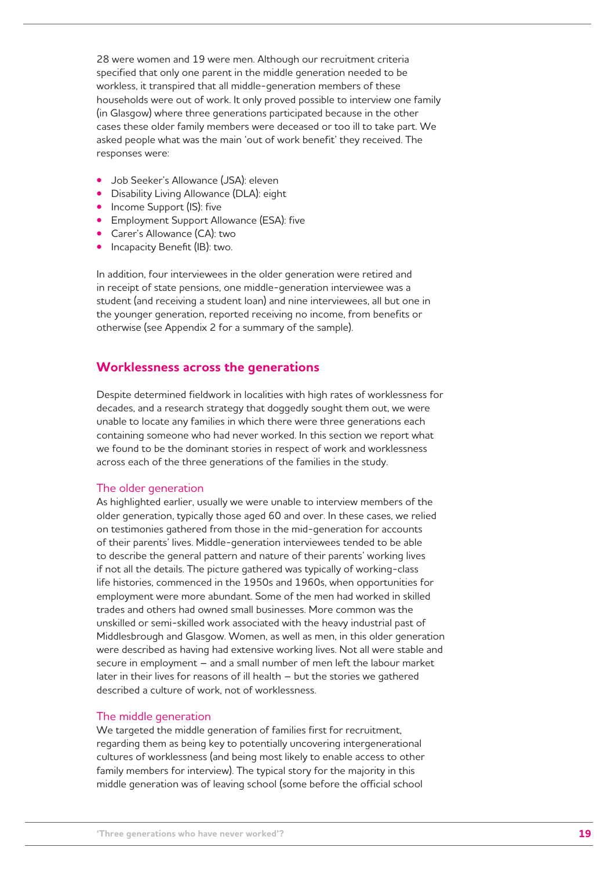28 were women and 19 were men. Although our recruitment criteria specified that only one parent in the middle generation needed to be workless, it transpired that all middle-generation members of these households were out of work. It only proved possible to interview one family (in Glasgow) where three generations participated because in the other cases these older family members were deceased or too ill to take part. We asked people what was the main 'out of work benefit' they received. The responses were:

- **•**  Job Seeker's Allowance (JSA): eleven
- **•**  Disability Living Allowance (DLA): eight
- **•** Income Support (IS): five
- **•**  Employment Support Allowance (ESA): five
- **•**  Carer's Allowance (CA): two
- **•** Incapacity Benefit (IB): two.

In addition, four interviewees in the older generation were retired and in receipt of state pensions, one middle-generation interviewee was a student (and receiving a student loan) and nine interviewees, all but one in the younger generation, reported receiving no income, from benefits or otherwise (see Appendix 2 for a summary of the sample).

### **Worklessness across the generations**

Despite determined fieldwork in localities with high rates of worklessness for decades, and a research strategy that doggedly sought them out, we were unable to locate any families in which there were three generations each containing someone who had never worked. In this section we report what we found to be the dominant stories in respect of work and worklessness across each of the three generations of the families in the study.

#### The older generation

As highlighted earlier, usually we were unable to interview members of the older generation, typically those aged 60 and over. In these cases, we relied on testimonies gathered from those in the mid-generation for accounts of their parents' lives. Middle-generation interviewees tended to be able to describe the general pattern and nature of their parents' working lives if not all the details. The picture gathered was typically of working-class life histories, commenced in the 1950s and 1960s, when opportunities for employment were more abundant. Some of the men had worked in skilled trades and others had owned small businesses. More common was the unskilled or semi-skilled work associated with the heavy industrial past of Middlesbrough and Glasgow. Women, as well as men, in this older generation were described as having had extensive working lives. Not all were stable and secure in employment – and a small number of men left the labour market later in their lives for reasons of ill health – but the stories we gathered described a culture of work, not of worklessness.

#### The middle generation

We targeted the middle generation of families first for recruitment. regarding them as being key to potentially uncovering intergenerational cultures of worklessness (and being most likely to enable access to other family members for interview). The typical story for the majority in this middle generation was of leaving school (some before the official school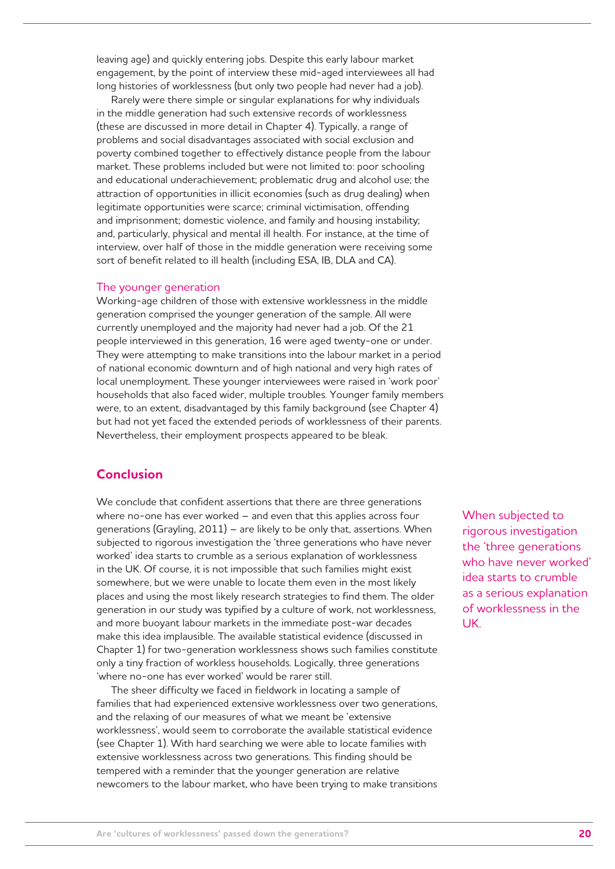leaving age) and quickly entering jobs. Despite this early labour market engagement, by the point of interview these mid-aged interviewees all had long histories of worklessness (but only two people had never had a job).

Rarely were there simple or singular explanations for why individuals in the middle generation had such extensive records of worklessness (these are discussed in more detail in Chapter 4). Typically, a range of problems and social disadvantages associated with social exclusion and poverty combined together to effectively distance people from the labour market. These problems included but were not limited to: poor schooling and educational underachievement; problematic drug and alcohol use; the attraction of opportunities in illicit economies (such as drug dealing) when legitimate opportunities were scarce; criminal victimisation, offending and imprisonment; domestic violence, and family and housing instability; and, particularly, physical and mental ill health. For instance, at the time of interview, over half of those in the middle generation were receiving some sort of benefit related to ill health (including ESA, IB, DLA and CA).

#### The younger generation

Working-age children of those with extensive worklessness in the middle generation comprised the younger generation of the sample. All were currently unemployed and the majority had never had a job. Of the 21 people interviewed in this generation, 16 were aged twenty-one or under. They were attempting to make transitions into the labour market in a period of national economic downturn and of high national and very high rates of local unemployment. These younger interviewees were raised in 'work poor' households that also faced wider, multiple troubles. Younger family members were, to an extent, disadvantaged by this family background (see Chapter 4) but had not yet faced the extended periods of worklessness of their parents. Nevertheless, their employment prospects appeared to be bleak.

## **Conclusion**

We conclude that confident assertions that there are three generations where no-one has ever worked – and even that this applies across four generations (Grayling, 2011) – are likely to be only that, assertions. When subjected to rigorous investigation the 'three generations who have never worked' idea starts to crumble as a serious explanation of worklessness in the UK. Of course, it is not impossible that such families might exist somewhere, but we were unable to locate them even in the most likely places and using the most likely research strategies to find them. The older generation in our study was typified by a culture of work, not worklessness, and more buoyant labour markets in the immediate post-war decades make this idea implausible. The available statistical evidence (discussed in Chapter 1) for two-generation worklessness shows such families constitute only a tiny fraction of workless households. Logically, three generations 'where no-one has ever worked' would be rarer still.

The sheer difficulty we faced in fieldwork in locating a sample of families that had experienced extensive worklessness over two generations, and the relaxing of our measures of what we meant be 'extensive worklessness', would seem to corroborate the available statistical evidence (see Chapter 1). With hard searching we were able to locate families with extensive worklessness across two generations. This finding should be tempered with a reminder that the younger generation are relative newcomers to the labour market, who have been trying to make transitions When subjected to rigorous investigation the 'three generations who have never worked' idea starts to crumble as a serious explanation of worklessness in the UK.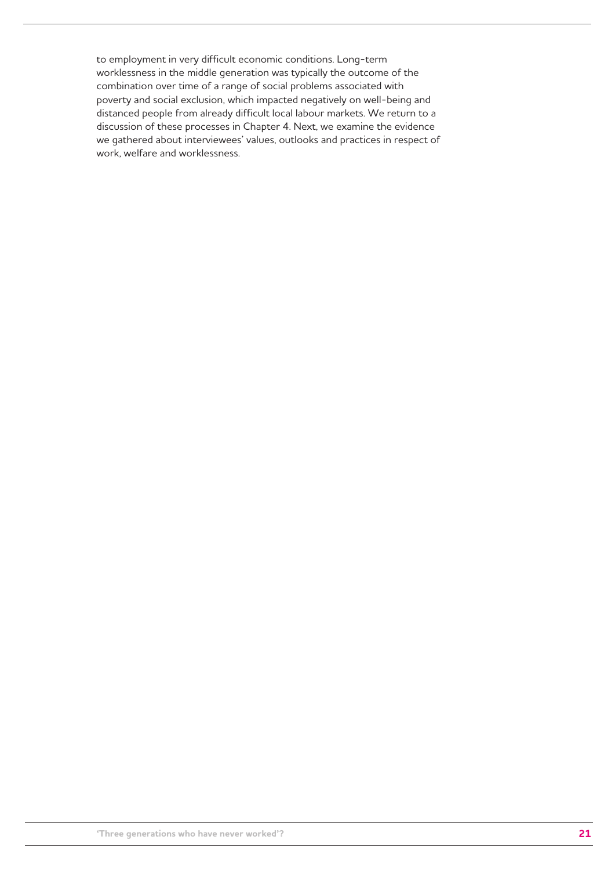to employment in very difficult economic conditions. Long-term worklessness in the middle generation was typically the outcome of the combination over time of a range of social problems associated with poverty and social exclusion, which impacted negatively on well-being and distanced people from already difficult local labour markets. We return to a discussion of these processes in Chapter 4. Next, we examine the evidence we gathered about interviewees' values, outlooks and practices in respect of work, welfare and worklessness.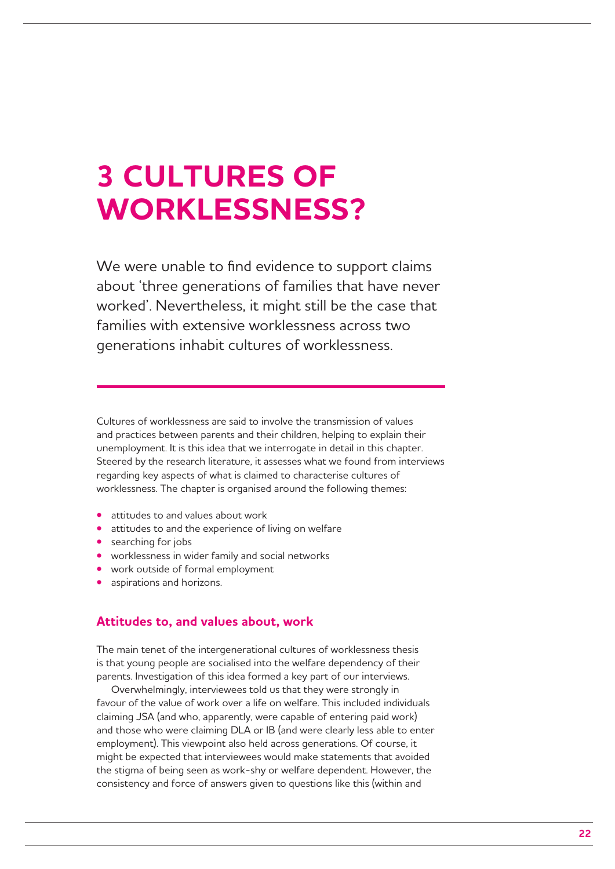## **3 CULTURES OF WORKLESSNESS?**

We were unable to find evidence to support claims about 'three generations of families that have never worked'. Nevertheless, it might still be the case that families with extensive worklessness across two generations inhabit cultures of worklessness.

Cultures of worklessness are said to involve the transmission of values and practices between parents and their children, helping to explain their unemployment. It is this idea that we interrogate in detail in this chapter. Steered by the research literature, it assesses what we found from interviews regarding key aspects of what is claimed to characterise cultures of worklessness. The chapter is organised around the following themes:

- **•**  attitudes to and values about work
- **•**  attitudes to and the experience of living on welfare
- **•** searching for jobs
- **•** worklessness in wider family and social networks
- **•**  work outside of formal employment
- aspirations and horizons.

### **Attitudes to, and values about, work**

The main tenet of the intergenerational cultures of worklessness thesis is that young people are socialised into the welfare dependency of their parents. Investigation of this idea formed a key part of our interviews.

Overwhelmingly, interviewees told us that they were strongly in favour of the value of work over a life on welfare. This included individuals claiming JSA (and who, apparently, were capable of entering paid work) and those who were claiming DLA or IB (and were clearly less able to enter employment). This viewpoint also held across generations. Of course, it might be expected that interviewees would make statements that avoided the stigma of being seen as work-shy or welfare dependent. However, the consistency and force of answers given to questions like this (within and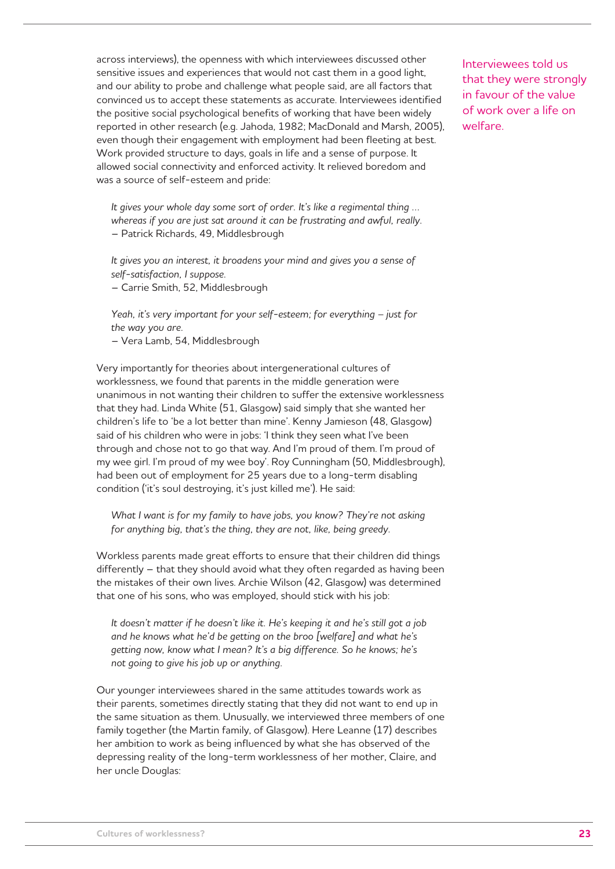across interviews), the openness with which interviewees discussed other sensitive issues and experiences that would not cast them in a good light, and our ability to probe and challenge what people said, are all factors that convinced us to accept these statements as accurate. Interviewees identified the positive social psychological benefits of working that have been widely reported in other research (e.g. Jahoda, 1982; MacDonald and Marsh, 2005), even though their engagement with employment had been fleeting at best. Work provided structure to days, goals in life and a sense of purpose. It allowed social connectivity and enforced activity. It relieved boredom and was a source of self-esteem and pride:

*It gives your whole day some sort of order. It's like a regimental thing … whereas if you are just sat around it can be frustrating and awful, really.* – Patrick Richards, 49, Middlesbrough

*It gives you an interest, it broadens your mind and gives you a sense of self-satisfaction, I suppose.* – Carrie Smith, 52, Middlesbrough

*Yeah, it's very important for your self-esteem; for everything – just for the way you are.* – Vera Lamb, 54, Middlesbrough

Very importantly for theories about intergenerational cultures of worklessness, we found that parents in the middle generation were unanimous in not wanting their children to suffer the extensive worklessness that they had. Linda White (51, Glasgow) said simply that she wanted her children's life to 'be a lot better than mine'. Kenny Jamieson (48, Glasgow) said of his children who were in jobs: 'I think they seen what I've been through and chose not to go that way. And I'm proud of them. I'm proud of my wee girl. I'm proud of my wee boy'. Roy Cunningham (50, Middlesbrough), had been out of employment for 25 years due to a long-term disabling condition ('it's soul destroying, it's just killed me'). He said:

What I want is for my family to have jobs, you know? They're not asking *for anything big, that's the thing, they are not, like, being greedy.* 

Workless parents made great efforts to ensure that their children did things differently – that they should avoid what they often regarded as having been the mistakes of their own lives. Archie Wilson (42, Glasgow) was determined that one of his sons, who was employed, should stick with his job:

*It doesn't matter if he doesn't like it. He's keeping it and he's still got a job and he knows what he'd be getting on the broo [welfare] and what he's getting now, know what I mean? It's a big difference. So he knows; he's not going to give his job up or anything.*

Our younger interviewees shared in the same attitudes towards work as their parents, sometimes directly stating that they did not want to end up in the same situation as them. Unusually, we interviewed three members of one family together (the Martin family, of Glasgow). Here Leanne (17) describes her ambition to work as being influenced by what she has observed of the depressing reality of the long-term worklessness of her mother, Claire, and her uncle Douglas:

Interviewees told us that they were strongly in favour of the value of work over a life on welfare.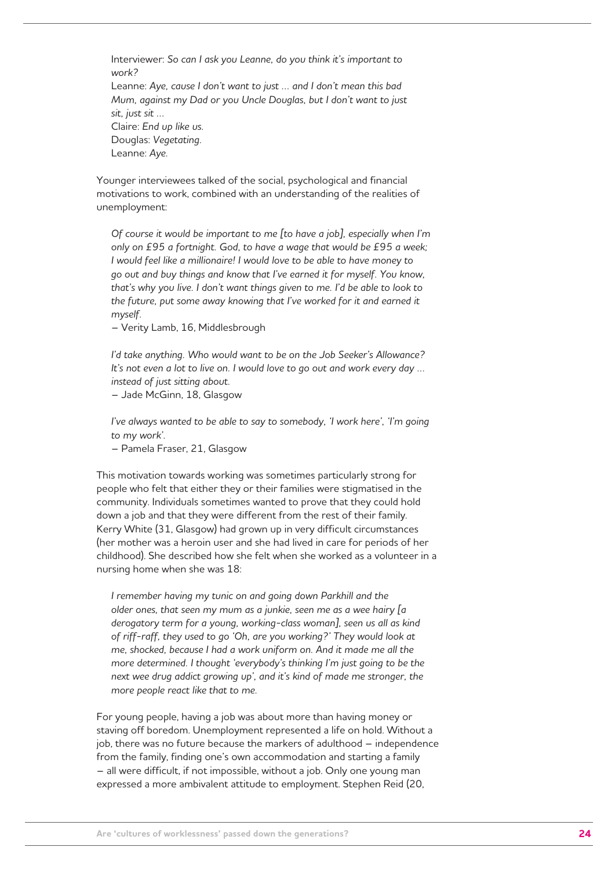Interviewer: *So can I ask you Leanne, do you think it's important to work?*  Leanne: *Aye, cause I don't want to just … and I don't mean this bad Mum, against my Dad or you Uncle Douglas, but I don't want to just sit, just sit …* Claire: *End up like us.*  Douglas: *Vegetating.* Leanne: *Aye.*

Younger interviewees talked of the social, psychological and financial motivations to work, combined with an understanding of the realities of unemployment:

*Of course it would be important to me [to have a job], especially when I'm only on £95 a fortnight. God, to have a wage that would be £95 a week; I would feel like a millionaire! I would love to be able to have money to go out and buy things and know that I've earned it for myself. You know, that's why you live. I don't want things given to me. I'd be able to look to the future, put some away knowing that I've worked for it and earned it myself.* 

– Verity Lamb, 16, Middlesbrough

*I'd take anything. Who would want to be on the Job Seeker's Allowance? It's not even a lot to live on. I would love to go out and work every day … instead of just sitting about.*

– Jade McGinn, 18, Glasgow

*I've always wanted to be able to say to somebody, 'I work here', 'I'm going to my work'.*

– Pamela Fraser, 21, Glasgow

This motivation towards working was sometimes particularly strong for people who felt that either they or their families were stigmatised in the community. Individuals sometimes wanted to prove that they could hold down a job and that they were different from the rest of their family. Kerry White (31, Glasgow) had grown up in very difficult circumstances (her mother was a heroin user and she had lived in care for periods of her childhood). She described how she felt when she worked as a volunteer in a nursing home when she was 18:

*I remember having my tunic on and going down Parkhill and the older ones, that seen my mum as a junkie, seen me as a wee hairy [a derogatory term for a young, working-class woman], seen us all as kind of riff-raff, they used to go 'Oh, are you working?' They would look at me, shocked, because I had a work uniform on. And it made me all the more determined. I thought 'everybody's thinking I'm just going to be the next wee drug addict growing up', and it's kind of made me stronger, the more people react like that to me.*

For young people, having a job was about more than having money or staving off boredom. Unemployment represented a life on hold. Without a job, there was no future because the markers of adulthood – independence from the family, finding one's own accommodation and starting a family – all were difficult, if not impossible, without a job. Only one young man expressed a more ambivalent attitude to employment. Stephen Reid (20,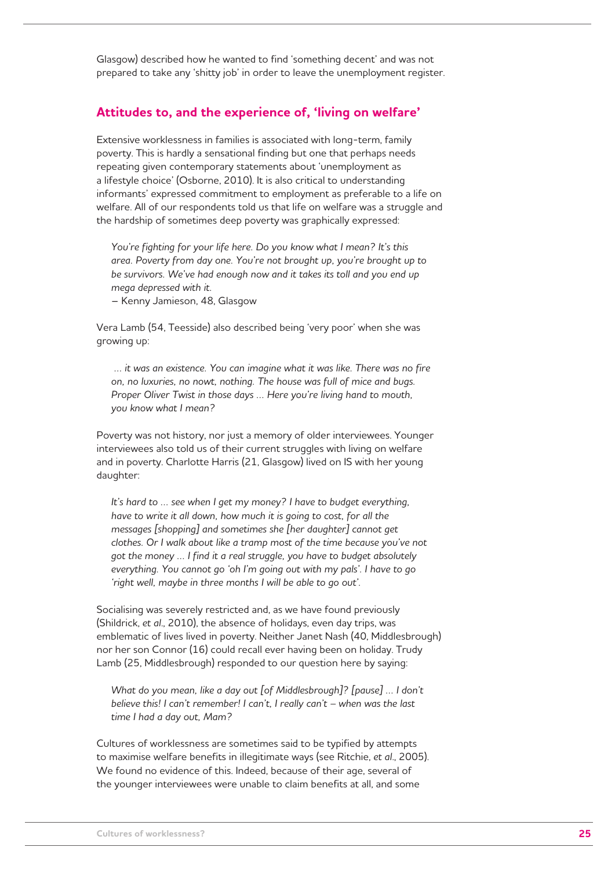Glasgow) described how he wanted to find 'something decent' and was not prepared to take any 'shitty job' in order to leave the unemployment register.

### **Attitudes to, and the experience of, 'living on welfare'**

Extensive worklessness in families is associated with long-term, family poverty. This is hardly a sensational finding but one that perhaps needs repeating given contemporary statements about 'unemployment as a lifestyle choice' (Osborne, 2010). It is also critical to understanding informants' expressed commitment to employment as preferable to a life on welfare. All of our respondents told us that life on welfare was a struggle and the hardship of sometimes deep poverty was graphically expressed:

*You're fighting for your life here. Do you know what I mean? It's this area. Poverty from day one. You're not brought up, you're brought up to be survivors. We've had enough now and it takes its toll and you end up mega depressed with it.*

– Kenny Jamieson, 48, Glasgow

Vera Lamb (54, Teesside) also described being 'very poor' when she was growing up:

 *… it was an existence. You can imagine what it was like. There was no fire on, no luxuries, no nowt, nothing. The house was full of mice and bugs. Proper Oliver Twist in those days … Here you're living hand to mouth, you know what I mean?* 

Poverty was not history, nor just a memory of older interviewees. Younger interviewees also told us of their current struggles with living on welfare and in poverty. Charlotte Harris (21, Glasgow) lived on IS with her young daughter:

*It's hard to … see when I get my money? I have to budget everything, have to write it all down, how much it is going to cost, for all the messages [shopping] and sometimes she [her daughter] cannot get clothes. Or I walk about like a tramp most of the time because you've not got the money … I find it a real struggle, you have to budget absolutely everything. You cannot go 'oh I'm going out with my pals'. I have to go 'right well, maybe in three months I will be able to go out'.* 

Socialising was severely restricted and, as we have found previously (Shildrick, *et al*., 2010), the absence of holidays, even day trips, was emblematic of lives lived in poverty. Neither Janet Nash (40, Middlesbrough) nor her son Connor (16) could recall ever having been on holiday. Trudy Lamb (25, Middlesbrough) responded to our question here by saying:

*What do you mean, like a day out [of Middlesbrough]? [pause] … I don't believe this! I can't remember! I can't, I really can't – when was the last time I had a day out, Mam?*

Cultures of worklessness are sometimes said to be typified by attempts to maximise welfare benefits in illegitimate ways (see Ritchie, *et al*., 2005). We found no evidence of this. Indeed, because of their age, several of the younger interviewees were unable to claim benefits at all, and some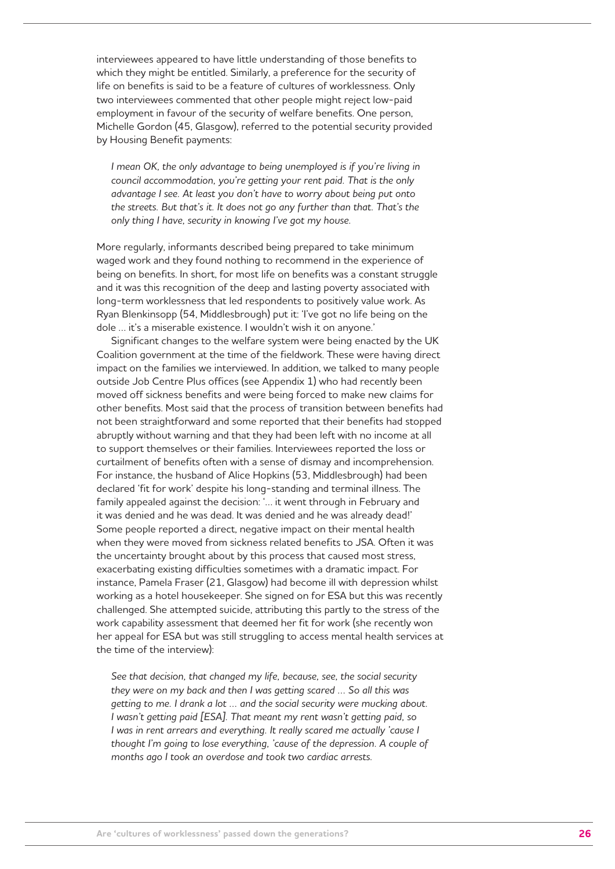interviewees appeared to have little understanding of those benefits to which they might be entitled. Similarly, a preference for the security of life on benefits is said to be a feature of cultures of worklessness. Only two interviewees commented that other people might reject low-paid employment in favour of the security of welfare benefits. One person, Michelle Gordon (45, Glasgow), referred to the potential security provided by Housing Benefit payments:

*I* mean OK, the only advantage to being unemployed is if you're living in *council accommodation, you're getting your rent paid. That is the only advantage I see. At least you don't have to worry about being put onto the streets. But that's it. It does not go any further than that. That's the only thing I have, security in knowing I've got my house.* 

More regularly, informants described being prepared to take minimum waged work and they found nothing to recommend in the experience of being on benefits. In short, for most life on benefits was a constant struggle and it was this recognition of the deep and lasting poverty associated with long-term worklessness that led respondents to positively value work. As Ryan Blenkinsopp (54, Middlesbrough) put it: 'I've got no life being on the dole … it's a miserable existence. I wouldn't wish it on anyone.'

Significant changes to the welfare system were being enacted by the UK Coalition government at the time of the fieldwork. These were having direct impact on the families we interviewed. In addition, we talked to many people outside Job Centre Plus offices (see Appendix 1) who had recently been moved off sickness benefits and were being forced to make new claims for other benefits. Most said that the process of transition between benefits had not been straightforward and some reported that their benefits had stopped abruptly without warning and that they had been left with no income at all to support themselves or their families. Interviewees reported the loss or curtailment of benefits often with a sense of dismay and incomprehension. For instance, the husband of Alice Hopkins (53, Middlesbrough) had been declared 'fit for work' despite his long-standing and terminal illness. The family appealed against the decision: '… it went through in February and it was denied and he was dead. It was denied and he was already dead!' Some people reported a direct, negative impact on their mental health when they were moved from sickness related benefits to JSA. Often it was the uncertainty brought about by this process that caused most stress, exacerbating existing difficulties sometimes with a dramatic impact. For instance, Pamela Fraser (21, Glasgow) had become ill with depression whilst working as a hotel housekeeper. She signed on for ESA but this was recently challenged. She attempted suicide, attributing this partly to the stress of the work capability assessment that deemed her fit for work (she recently won her appeal for ESA but was still struggling to access mental health services at the time of the interview):

*See that decision, that changed my life, because, see, the social security they were on my back and then I was getting scared … So all this was getting to me. I drank a lot … and the social security were mucking about. I wasn't getting paid [ESA]. That meant my rent wasn't getting paid, so I* was in rent arrears and everything. It really scared me actually 'cause I *thought I'm going to lose everything, 'cause of the depression. A couple of months ago I took an overdose and took two cardiac arrests.*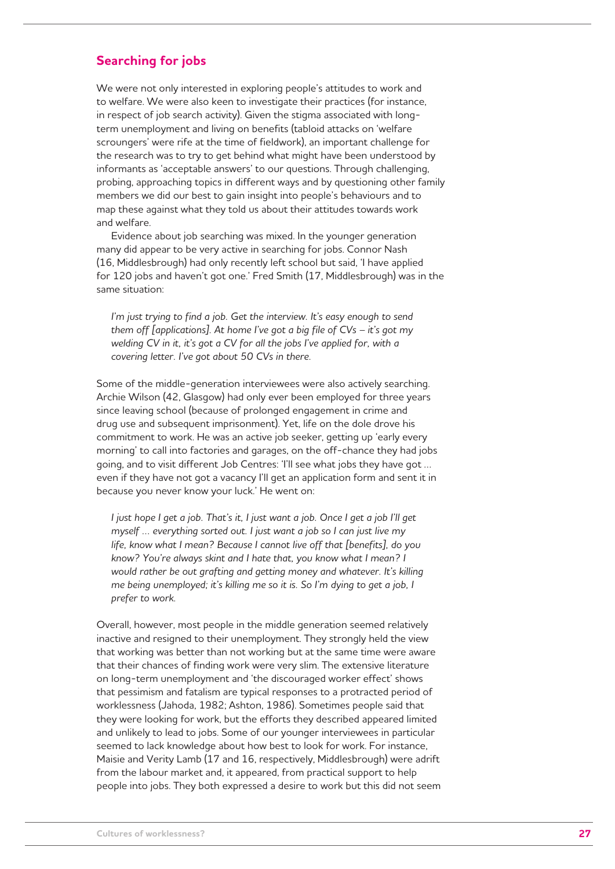## **Searching for jobs**

We were not only interested in exploring people's attitudes to work and to welfare. We were also keen to investigate their practices (for instance, in respect of job search activity). Given the stigma associated with longterm unemployment and living on benefits (tabloid attacks on 'welfare scroungers' were rife at the time of fieldwork), an important challenge for the research was to try to get behind what might have been understood by informants as 'acceptable answers' to our questions. Through challenging, probing, approaching topics in different ways and by questioning other family members we did our best to gain insight into people's behaviours and to map these against what they told us about their attitudes towards work and welfare.

Evidence about job searching was mixed. In the younger generation many did appear to be very active in searching for jobs. Connor Nash (16, Middlesbrough) had only recently left school but said, 'I have applied for 120 jobs and haven't got one.' Fred Smith (17, Middlesbrough) was in the same situation:

*I'm just trying to find a job. Get the interview. It's easy enough to send them off [applications]. At home I've got a big file of CVs – it's got my welding CV in it, it's got a CV for all the jobs I've applied for, with a covering letter. I've got about 50 CVs in there.*

Some of the middle-generation interviewees were also actively searching. Archie Wilson (42, Glasgow) had only ever been employed for three years since leaving school (because of prolonged engagement in crime and drug use and subsequent imprisonment). Yet, life on the dole drove his commitment to work. He was an active job seeker, getting up 'early every morning' to call into factories and garages, on the off-chance they had jobs going, and to visit different Job Centres: 'I'll see what jobs they have got … even if they have not got a vacancy I'll get an application form and sent it in because you never know your luck.' He went on:

*I* just hope *I get a job. That's it, I just want a job. Once I get a job I'll get myself … everything sorted out. I just want a job so I can just live my life, know what I mean? Because I cannot live off that [benefits], do you know? You're always skint and I hate that, you know what I mean? I would rather be out grafting and getting money and whatever. It's killing me being unemployed; it's killing me so it is. So I'm dying to get a job, I prefer to work.* 

Overall, however, most people in the middle generation seemed relatively inactive and resigned to their unemployment. They strongly held the view that working was better than not working but at the same time were aware that their chances of finding work were very slim. The extensive literature on long-term unemployment and 'the discouraged worker effect' shows that pessimism and fatalism are typical responses to a protracted period of worklessness (Jahoda, 1982; Ashton, 1986). Sometimes people said that they were looking for work, but the efforts they described appeared limited and unlikely to lead to jobs. Some of our younger interviewees in particular seemed to lack knowledge about how best to look for work. For instance, Maisie and Verity Lamb (17 and 16, respectively, Middlesbrough) were adrift from the labour market and, it appeared, from practical support to help people into jobs. They both expressed a desire to work but this did not seem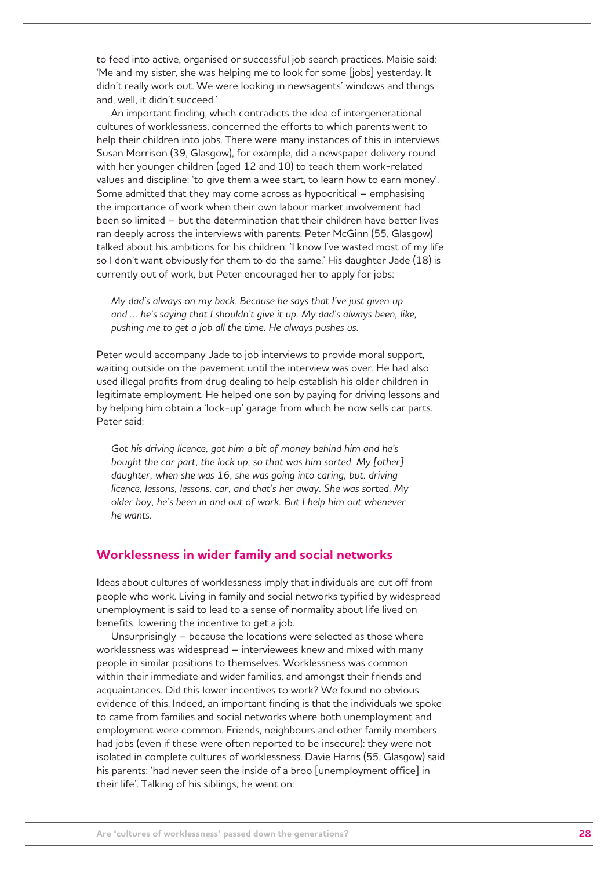to feed into active, organised or successful job search practices. Maisie said: 'Me and my sister, she was helping me to look for some [jobs] yesterday. It didn't really work out. We were looking in newsagents' windows and things and, well, it didn't succeed.'

An important finding, which contradicts the idea of intergenerational cultures of worklessness, concerned the efforts to which parents went to help their children into jobs. There were many instances of this in interviews. Susan Morrison (39, Glasgow), for example, did a newspaper delivery round with her younger children (aged 12 and 10) to teach them work-related values and discipline: 'to give them a wee start, to learn how to earn money'. Some admitted that they may come across as hypocritical – emphasising the importance of work when their own labour market involvement had been so limited – but the determination that their children have better lives ran deeply across the interviews with parents. Peter McGinn (55, Glasgow) talked about his ambitions for his children: 'I know I've wasted most of my life so I don't want obviously for them to do the same.' His daughter Jade (18) is currently out of work, but Peter encouraged her to apply for jobs:

*My dad's always on my back. Because he says that I've just given up and … he's saying that I shouldn't give it up. My dad's always been, like, pushing me to get a job all the time. He always pushes us.*

Peter would accompany Jade to job interviews to provide moral support, waiting outside on the pavement until the interview was over. He had also used illegal profits from drug dealing to help establish his older children in legitimate employment. He helped one son by paying for driving lessons and by helping him obtain a 'lock-up' garage from which he now sells car parts. Peter said:

*Got his driving licence, got him a bit of money behind him and he's bought the car part, the lock up, so that was him sorted. My [other] daughter, when she was 16, she was going into caring, but: driving licence, lessons, lessons, car, and that's her away. She was sorted. My older boy, he's been in and out of work. But I help him out whenever he wants.*

## **Worklessness in wider family and social networks**

Ideas about cultures of worklessness imply that individuals are cut off from people who work. Living in family and social networks typified by widespread unemployment is said to lead to a sense of normality about life lived on benefits, lowering the incentive to get a job.

Unsurprisingly – because the locations were selected as those where worklessness was widespread – interviewees knew and mixed with many people in similar positions to themselves. Worklessness was common within their immediate and wider families, and amongst their friends and acquaintances. Did this lower incentives to work? We found no obvious evidence of this. Indeed, an important finding is that the individuals we spoke to came from families and social networks where both unemployment and employment were common. Friends, neighbours and other family members had jobs (even if these were often reported to be insecure): they were not isolated in complete cultures of worklessness. Davie Harris (55, Glasgow) said his parents: 'had never seen the inside of a broo [unemployment office] in their life'. Talking of his siblings, he went on: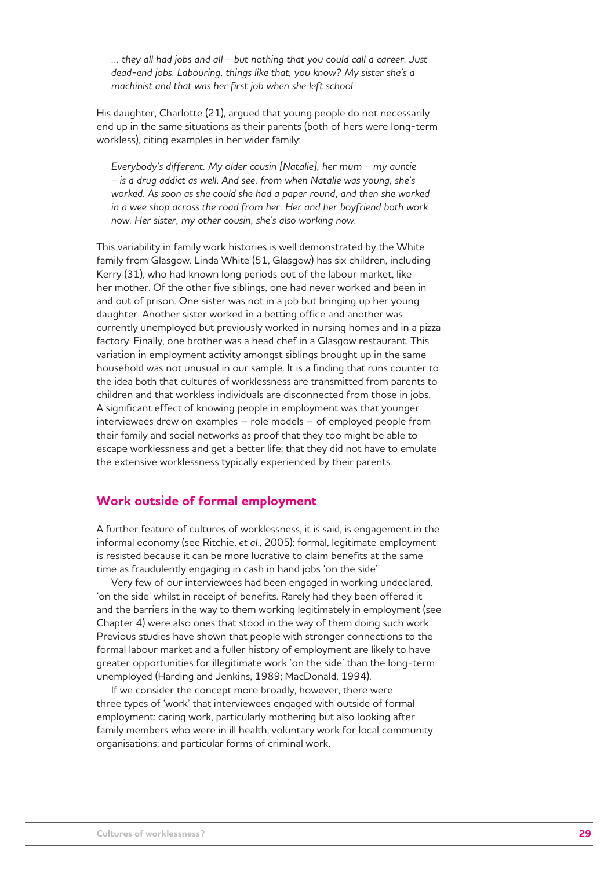*… they all had jobs and all – but nothing that you could call a career. Just dead-end jobs. Labouring, things like that, you know? My sister she's a machinist and that was her first job when she left school.*

His daughter, Charlotte (21), argued that young people do not necessarily end up in the same situations as their parents (both of hers were long-term workless), citing examples in her wider family:

*Everybody's different. My older cousin [Natalie], her mum – my auntie – is a drug addict as well. And see, from when Natalie was young, she's worked. As soon as she could she had a paper round, and then she worked in a wee shop across the road from her. Her and her boyfriend both work now. Her sister, my other cousin, she's also working now.* 

This variability in family work histories is well demonstrated by the White family from Glasgow. Linda White (51, Glasgow) has six children, including Kerry (31), who had known long periods out of the labour market, like her mother. Of the other five siblings, one had never worked and been in and out of prison. One sister was not in a job but bringing up her young daughter. Another sister worked in a betting office and another was currently unemployed but previously worked in nursing homes and in a pizza factory. Finally, one brother was a head chef in a Glasgow restaurant. This variation in employment activity amongst siblings brought up in the same household was not unusual in our sample. It is a finding that runs counter to the idea both that cultures of worklessness are transmitted from parents to children and that workless individuals are disconnected from those in jobs. A significant effect of knowing people in employment was that younger interviewees drew on examples – role models – of employed people from their family and social networks as proof that they too might be able to escape worklessness and get a better life; that they did not have to emulate the extensive worklessness typically experienced by their parents.

## **Work outside of formal employment**

A further feature of cultures of worklessness, it is said, is engagement in the informal economy (see Ritchie, *et al*., 2005): formal, legitimate employment is resisted because it can be more lucrative to claim benefits at the same time as fraudulently engaging in cash in hand jobs 'on the side'.

Very few of our interviewees had been engaged in working undeclared, 'on the side' whilst in receipt of benefits. Rarely had they been offered it and the barriers in the way to them working legitimately in employment (see Chapter 4) were also ones that stood in the way of them doing such work. Previous studies have shown that people with stronger connections to the formal labour market and a fuller history of employment are likely to have greater opportunities for illegitimate work 'on the side' than the long-term unemployed (Harding and Jenkins, 1989; MacDonald, 1994).

If we consider the concept more broadly, however, there were three types of 'work' that interviewees engaged with outside of formal employment: caring work, particularly mothering but also looking after family members who were in ill health; voluntary work for local community organisations; and particular forms of criminal work.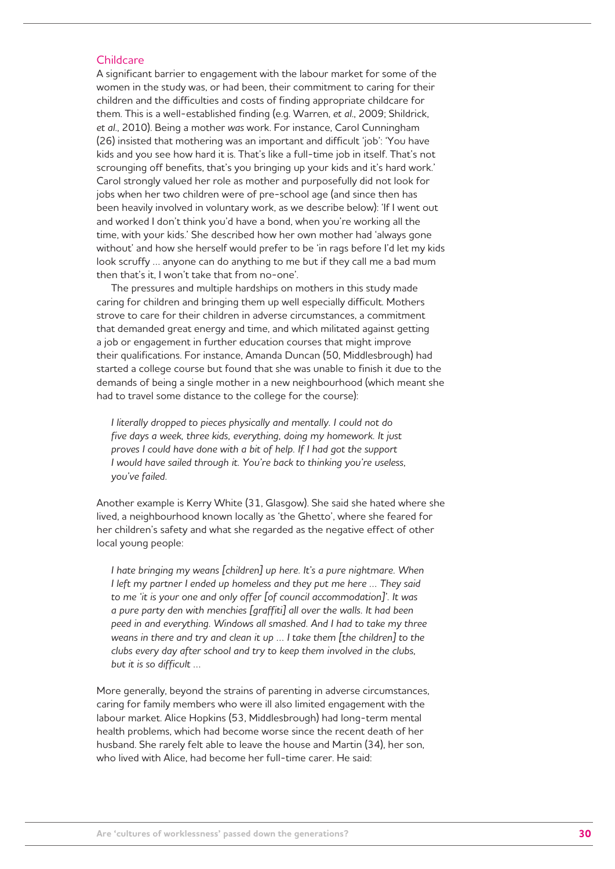#### **Childcare**

A significant barrier to engagement with the labour market for some of the women in the study was, or had been, their commitment to caring for their children and the difficulties and costs of finding appropriate childcare for them. This is a well-established finding (e.g. Warren, *et al*., 2009; Shildrick, *et al*., 2010). Being a mother *was* work. For instance, Carol Cunningham (26) insisted that mothering was an important and difficult 'job': 'You have kids and you see how hard it is. That's like a full-time job in itself. That's not scrounging off benefits, that's you bringing up your kids and it's hard work.' Carol strongly valued her role as mother and purposefully did not look for jobs when her two children were of pre-school age (and since then has been heavily involved in voluntary work, as we describe below): 'If I went out and worked I don't think you'd have a bond, when you're working all the time, with your kids.' She described how her own mother had 'always gone without' and how she herself would prefer to be 'in rags before I'd let my kids look scruffy … anyone can do anything to me but if they call me a bad mum then that's it, I won't take that from no-one'.

The pressures and multiple hardships on mothers in this study made caring for children and bringing them up well especially difficult. Mothers strove to care for their children in adverse circumstances, a commitment that demanded great energy and time, and which militated against getting a job or engagement in further education courses that might improve their qualifications. For instance, Amanda Duncan (50, Middlesbrough) had started a college course but found that she was unable to finish it due to the demands of being a single mother in a new neighbourhood (which meant she had to travel some distance to the college for the course):

*I literally dropped to pieces physically and mentally. I could not do five days a week, three kids, everything, doing my homework. It just proves I could have done with a bit of help. If I had got the support I would have sailed through it. You're back to thinking you're useless, you've failed.* 

Another example is Kerry White (31, Glasgow). She said she hated where she lived, a neighbourhood known locally as 'the Ghetto', where she feared for her children's safety and what she regarded as the negative effect of other local young people:

*I hate bringing my weans [children] up here. It's a pure nightmare. When I left my partner I ended up homeless and they put me here … They said to me 'it is your one and only offer [of council accommodation]'. It was a pure party den with menchies [graffiti] all over the walls. It had been peed in and everything. Windows all smashed. And I had to take my three weans in there and try and clean it up … I take them [the children] to the clubs every day after school and try to keep them involved in the clubs, but it is so difficult …* 

More generally, beyond the strains of parenting in adverse circumstances, caring for family members who were ill also limited engagement with the labour market. Alice Hopkins (53, Middlesbrough) had long-term mental health problems, which had become worse since the recent death of her husband. She rarely felt able to leave the house and Martin (34), her son, who lived with Alice, had become her full-time carer. He said: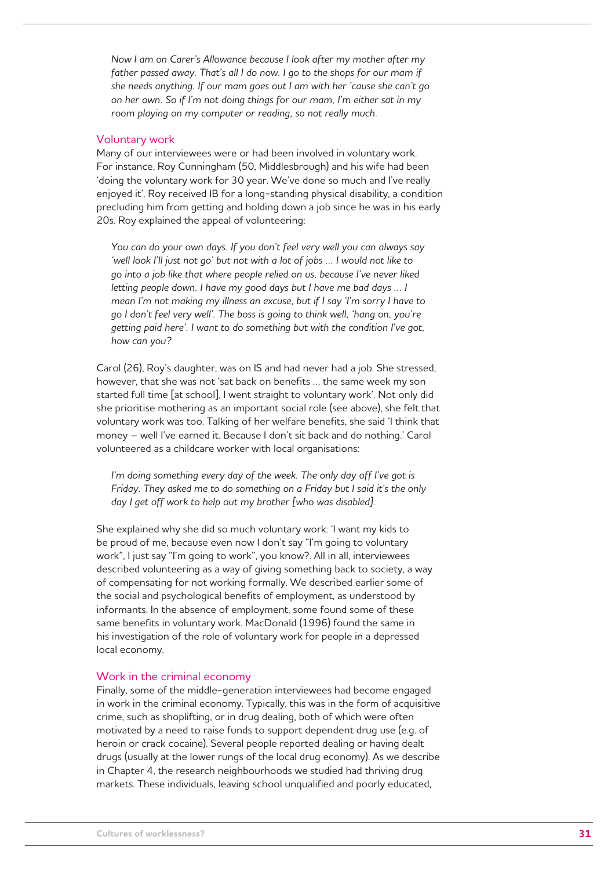*Now I am on Carer's Allowance because I look after my mother after my father passed away. That's all I do now. I go to the shops for our mam if she needs anything. If our mam goes out I am with her 'cause she can't go on her own. So if I'm not doing things for our mam, I'm either sat in my room playing on my computer or reading, so not really much.* 

#### Voluntary work

Many of our interviewees were or had been involved in voluntary work. For instance, Roy Cunningham (50, Middlesbrough) and his wife had been 'doing the voluntary work for 30 year. We've done so much and I've really enjoyed it'. Roy received IB for a long-standing physical disability, a condition precluding him from getting and holding down a job since he was in his early 20s. Roy explained the appeal of volunteering:

*You can do your own days. If you don't feel very well you can always say*  'well look I'll just not go' but not with a lot of jobs ... I would not like to *go into a job like that where people relied on us, because I've never liked letting people down. I have my good days but I have me bad days … I mean I'm not making my illness an excuse, but if I say 'I'm sorry I have to go I don't feel very well'. The boss is going to think well, 'hang on, you're getting paid here'. I want to do something but with the condition I've got, how can you?* 

Carol (26), Roy's daughter, was on IS and had never had a job. She stressed, however, that she was not 'sat back on benefits … the same week my son started full time [at school], I went straight to voluntary work'. Not only did she prioritise mothering as an important social role (see above), she felt that voluntary work was too. Talking of her welfare benefits, she said 'I think that money – well I've earned it. Because I don't sit back and do nothing.' Carol volunteered as a childcare worker with local organisations:

I'm doing something every day of the week. The only day off I've got is *Friday. They asked me to do something on a Friday but I said it's the only day I get off work to help out my brother [who was disabled].*

She explained why she did so much voluntary work: 'I want my kids to be proud of me, because even now I don't say "I'm going to voluntary work", I just say "I'm going to work", you know?. All in all, interviewees described volunteering as a way of giving something back to society, a way of compensating for not working formally. We described earlier some of the social and psychological benefits of employment, as understood by informants. In the absence of employment, some found some of these same benefits in voluntary work. MacDonald (1996) found the same in his investigation of the role of voluntary work for people in a depressed local economy.

#### Work in the criminal economy

Finally, some of the middle-generation interviewees had become engaged in work in the criminal economy. Typically, this was in the form of acquisitive crime, such as shoplifting, or in drug dealing, both of which were often motivated by a need to raise funds to support dependent drug use (e.g. of heroin or crack cocaine). Several people reported dealing or having dealt drugs (usually at the lower rungs of the local drug economy). As we describe in Chapter 4, the research neighbourhoods we studied had thriving drug markets. These individuals, leaving school unqualified and poorly educated,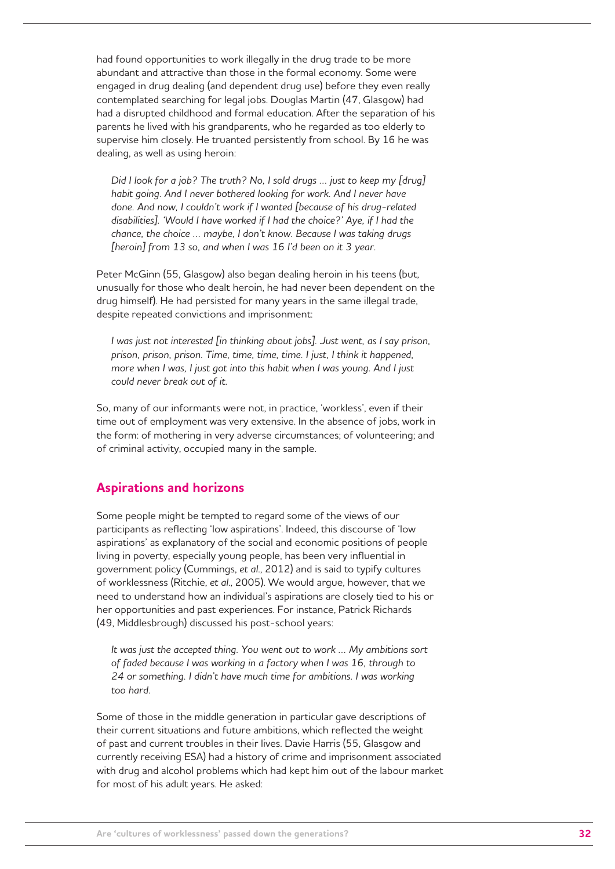had found opportunities to work illegally in the drug trade to be more abundant and attractive than those in the formal economy. Some were engaged in drug dealing (and dependent drug use) before they even really contemplated searching for legal jobs. Douglas Martin (47, Glasgow) had had a disrupted childhood and formal education. After the separation of his parents he lived with his grandparents, who he regarded as too elderly to supervise him closely. He truanted persistently from school. By 16 he was dealing, as well as using heroin:

*Did I look for a job? The truth? No, I sold drugs … just to keep my [drug] habit going. And I never bothered looking for work. And I never have done. And now, I couldn't work if I wanted [because of his drug-related disabilities]. 'Would I have worked if I had the choice?' Aye, if I had the chance, the choice … maybe, I don't know. Because I was taking drugs [heroin] from 13 so, and when I was 16 I'd been on it 3 year.*

Peter McGinn (55, Glasgow) also began dealing heroin in his teens (but, unusually for those who dealt heroin, he had never been dependent on the drug himself). He had persisted for many years in the same illegal trade, despite repeated convictions and imprisonment:

*I was just not interested [in thinking about jobs]. Just went, as I say prison, prison, prison, prison. Time, time, time, time. I just, I think it happened, more when I was, I just got into this habit when I was young. And I just could never break out of it.*

So, many of our informants were not, in practice, 'workless', even if their time out of employment was very extensive. In the absence of jobs, work in the form: of mothering in very adverse circumstances; of volunteering; and of criminal activity, occupied many in the sample.

## **Aspirations and horizons**

Some people might be tempted to regard some of the views of our participants as reflecting 'low aspirations'. Indeed, this discourse of 'low aspirations' as explanatory of the social and economic positions of people living in poverty, especially young people, has been very influential in government policy (Cummings, *et al*., 2012) and is said to typify cultures of worklessness (Ritchie, *et al*., 2005). We would argue, however, that we need to understand how an individual's aspirations are closely tied to his or her opportunities and past experiences. For instance, Patrick Richards (49, Middlesbrough) discussed his post-school years:

*It was just the accepted thing. You went out to work … My ambitions sort of faded because I was working in a factory when I was 16, through to 24 or something. I didn't have much time for ambitions. I was working too hard.*

Some of those in the middle generation in particular gave descriptions of their current situations and future ambitions, which reflected the weight of past and current troubles in their lives. Davie Harris (55, Glasgow and currently receiving ESA) had a history of crime and imprisonment associated with drug and alcohol problems which had kept him out of the labour market for most of his adult years. He asked: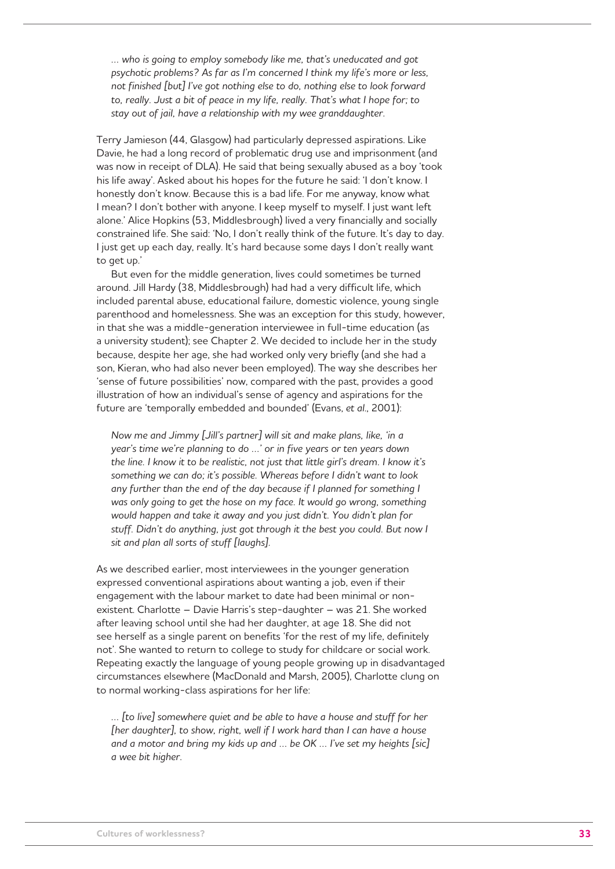*… who is going to employ somebody like me, that's uneducated and got psychotic problems? As far as I'm concerned I think my life's more or less, not finished [but] I've got nothing else to do, nothing else to look forward*  to, really. Just a bit of peace in my life, really. That's what I hope for; to *stay out of jail, have a relationship with my wee granddaughter.*

Terry Jamieson (44, Glasgow) had particularly depressed aspirations. Like Davie, he had a long record of problematic drug use and imprisonment (and was now in receipt of DLA). He said that being sexually abused as a boy 'took his life away'. Asked about his hopes for the future he said: 'I don't know. I honestly don't know. Because this is a bad life. For me anyway, know what I mean? I don't bother with anyone. I keep myself to myself. I just want left alone.' Alice Hopkins (53, Middlesbrough) lived a very financially and socially constrained life. She said: 'No, I don't really think of the future. It's day to day. I just get up each day, really. It's hard because some days I don't really want to get up.'

But even for the middle generation, lives could sometimes be turned around. Jill Hardy (38, Middlesbrough) had had a very difficult life, which included parental abuse, educational failure, domestic violence, young single parenthood and homelessness. She was an exception for this study, however, in that she was a middle-generation interviewee in full-time education (as a university student); see Chapter 2. We decided to include her in the study because, despite her age, she had worked only very briefly (and she had a son, Kieran, who had also never been employed). The way she describes her 'sense of future possibilities' now, compared with the past, provides a good illustration of how an individual's sense of agency and aspirations for the future are 'temporally embedded and bounded' (Evans, *et al*., 2001):

*Now me and Jimmy [Jill's partner] will sit and make plans, like, 'in a year's time we're planning to do …' or in five years or ten years down the line. I know it to be realistic, not just that little girl's dream. I know it's something we can do; it's possible. Whereas before I didn't want to look*  any further than the end of the day because if I planned for something I was only going to get the hose on my face. It would go wrong, something *would happen and take it away and you just didn't. You didn't plan for stuff. Didn't do anything, just got through it the best you could. But now I sit and plan all sorts of stuff [laughs].* 

As we described earlier, most interviewees in the younger generation expressed conventional aspirations about wanting a job, even if their engagement with the labour market to date had been minimal or nonexistent. Charlotte – Davie Harris's step-daughter – was 21. She worked after leaving school until she had her daughter, at age 18. She did not see herself as a single parent on benefits 'for the rest of my life, definitely not'. She wanted to return to college to study for childcare or social work. Repeating exactly the language of young people growing up in disadvantaged circumstances elsewhere (MacDonald and Marsh, 2005), Charlotte clung on to normal working-class aspirations for her life:

*… [to live] somewhere quiet and be able to have a house and stuff for her [her daughter], to show, right, well if I work hard than I can have a house and a motor and bring my kids up and … be OK … I've set my heights [sic] a wee bit higher.*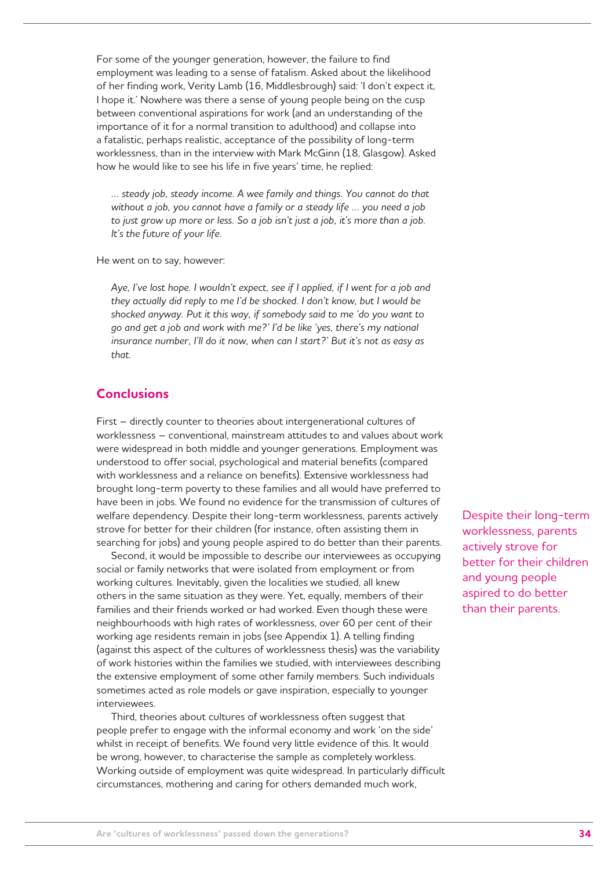For some of the younger generation, however, the failure to find employment was leading to a sense of fatalism. Asked about the likelihood of her finding work, Verity Lamb (16, Middlesbrough) said: 'I don't expect it, I hope it.' Nowhere was there a sense of young people being on the cusp between conventional aspirations for work (and an understanding of the importance of it for a normal transition to adulthood) and collapse into a fatalistic, perhaps realistic, acceptance of the possibility of long-term worklessness, than in the interview with Mark McGinn (18, Glasgow). Asked how he would like to see his life in five years' time, he replied:

*… steady job, steady income. A wee family and things. You cannot do that without a job, you cannot have a family or a steady life … you need a job to just grow up more or less. So a job isn't just a job, it's more than a job. It's the future of your life.* 

He went on to say, however:

*Aye, I've lost hope. I wouldn't expect, see if I applied, if I went for a job and they actually did reply to me I'd be shocked. I don't know, but I would be shocked anyway. Put it this way, if somebody said to me 'do you want to go and get a job and work with me?' I'd be like 'yes, there's my national insurance number, I'll do it now, when can I start?' But it's not as easy as that.*

## **Conclusions**

First – directly counter to theories about intergenerational cultures of worklessness – conventional, mainstream attitudes to and values about work were widespread in both middle and younger generations. Employment was understood to offer social, psychological and material benefits (compared with worklessness and a reliance on benefits). Extensive worklessness had brought long-term poverty to these families and all would have preferred to have been in jobs. We found no evidence for the transmission of cultures of welfare dependency. Despite their long-term worklessness, parents actively strove for better for their children (for instance, often assisting them in searching for jobs) and young people aspired to do better than their parents.

Second, it would be impossible to describe our interviewees as occupying social or family networks that were isolated from employment or from working cultures. Inevitably, given the localities we studied, all knew others in the same situation as they were. Yet, equally, members of their families and their friends worked or had worked. Even though these were neighbourhoods with high rates of worklessness, over 60 per cent of their working age residents remain in jobs (see Appendix 1). A telling finding (against this aspect of the cultures of worklessness thesis) was the variability of work histories within the families we studied, with interviewees describing the extensive employment of some other family members. Such individuals sometimes acted as role models or gave inspiration, especially to younger interviewees.

Third, theories about cultures of worklessness often suggest that people prefer to engage with the informal economy and work 'on the side' whilst in receipt of benefits. We found very little evidence of this. It would be wrong, however, to characterise the sample as completely workless. Working outside of employment was quite widespread. In particularly difficult circumstances, mothering and caring for others demanded much work,

Despite their long-term worklessness, parents actively strove for better for their children and young people aspired to do better than their parents.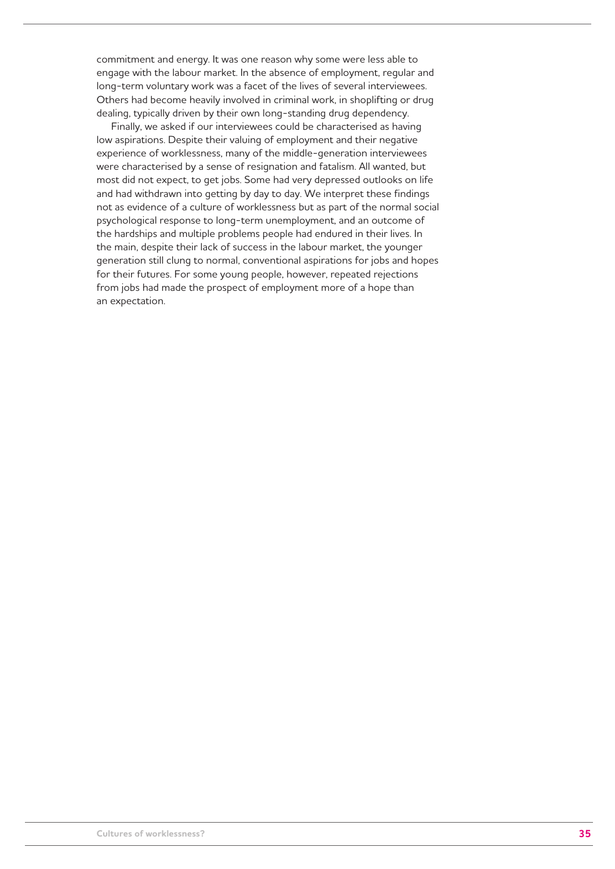commitment and energy. It was one reason why some were less able to engage with the labour market. In the absence of employment, regular and long-term voluntary work was a facet of the lives of several interviewees. Others had become heavily involved in criminal work, in shoplifting or drug dealing, typically driven by their own long-standing drug dependency.

Finally, we asked if our interviewees could be characterised as having low aspirations. Despite their valuing of employment and their negative experience of worklessness, many of the middle-generation interviewees were characterised by a sense of resignation and fatalism. All wanted, but most did not expect, to get jobs. Some had very depressed outlooks on life and had withdrawn into getting by day to day. We interpret these findings not as evidence of a culture of worklessness but as part of the normal social psychological response to long-term unemployment, and an outcome of the hardships and multiple problems people had endured in their lives. In the main, despite their lack of success in the labour market, the younger generation still clung to normal, conventional aspirations for jobs and hopes for their futures. For some young people, however, repeated rejections from jobs had made the prospect of employment more of a hope than an expectation.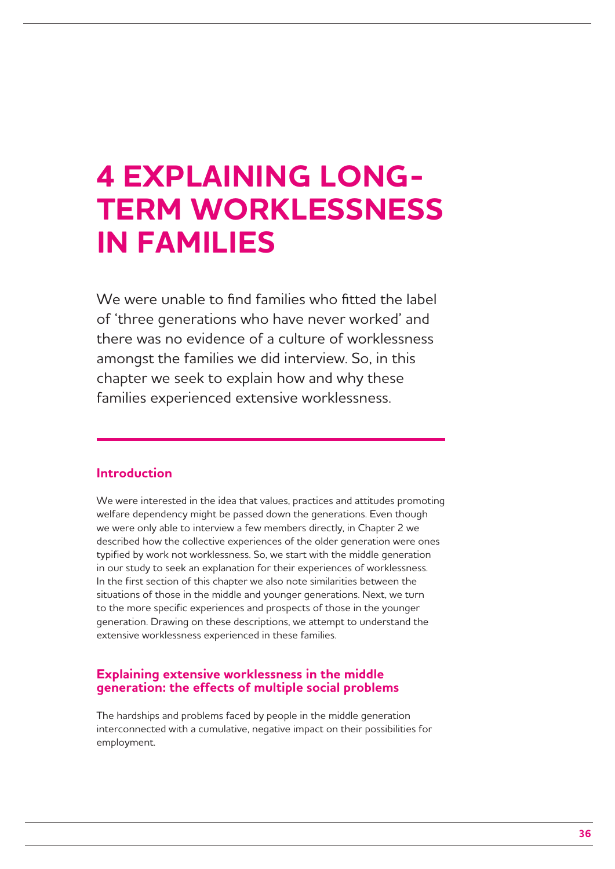## **4 EXPLAINING LONG-TERM WORKLESSNESS IN FAMILIES**

We were unable to find families who fitted the label of 'three generations who have never worked' and there was no evidence of a culture of worklessness amongst the families we did interview. So, in this chapter we seek to explain how and why these families experienced extensive worklessness.

## **Introduction**

We were interested in the idea that values, practices and attitudes promoting welfare dependency might be passed down the generations. Even though we were only able to interview a few members directly, in Chapter 2 we described how the collective experiences of the older generation were ones typified by work not worklessness. So, we start with the middle generation in our study to seek an explanation for their experiences of worklessness. In the first section of this chapter we also note similarities between the situations of those in the middle and younger generations. Next, we turn to the more specific experiences and prospects of those in the younger generation. Drawing on these descriptions, we attempt to understand the extensive worklessness experienced in these families.

### **Explaining extensive worklessness in the middle generation: the effects of multiple social problems**

The hardships and problems faced by people in the middle generation interconnected with a cumulative, negative impact on their possibilities for employment.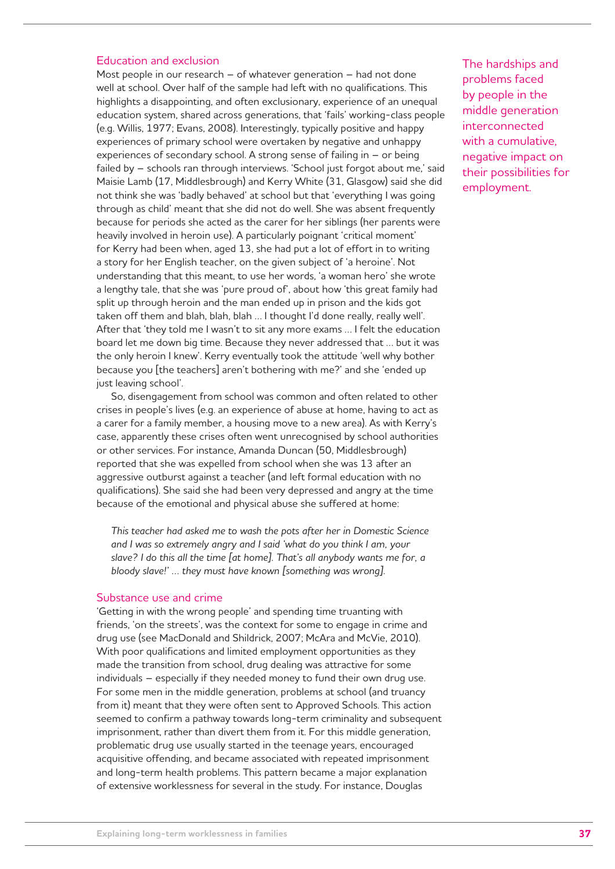#### Education and exclusion

Most people in our research – of whatever generation – had not done well at school. Over half of the sample had left with no qualifications. This highlights a disappointing, and often exclusionary, experience of an unequal education system, shared across generations, that 'fails' working-class people (e.g. Willis, 1977; Evans, 2008). Interestingly, typically positive and happy experiences of primary school were overtaken by negative and unhappy experiences of secondary school. A strong sense of failing in – or being failed by – schools ran through interviews. 'School just forgot about me,' said Maisie Lamb (17, Middlesbrough) and Kerry White (31, Glasgow) said she did not think she was 'badly behaved' at school but that 'everything I was going through as child' meant that she did not do well. She was absent frequently because for periods she acted as the carer for her siblings (her parents were heavily involved in heroin use). A particularly poignant 'critical moment' for Kerry had been when, aged 13, she had put a lot of effort in to writing a story for her English teacher, on the given subject of 'a heroine'. Not understanding that this meant, to use her words, 'a woman hero' she wrote a lengthy tale, that she was 'pure proud of', about how 'this great family had split up through heroin and the man ended up in prison and the kids got taken off them and blah, blah, blah … I thought I'd done really, really well'. After that 'they told me I wasn't to sit any more exams … I felt the education board let me down big time. Because they never addressed that … but it was the only heroin I knew'. Kerry eventually took the attitude 'well why bother because you [the teachers] aren't bothering with me?' and she 'ended up just leaving school'.

So, disengagement from school was common and often related to other crises in people's lives (e.g. an experience of abuse at home, having to act as a carer for a family member, a housing move to a new area). As with Kerry's case, apparently these crises often went unrecognised by school authorities or other services. For instance, Amanda Duncan (50, Middlesbrough) reported that she was expelled from school when she was 13 after an aggressive outburst against a teacher (and left formal education with no qualifications). She said she had been very depressed and angry at the time because of the emotional and physical abuse she suffered at home:

*This teacher had asked me to wash the pots after her in Domestic Science and I was so extremely angry and I said 'what do you think I am, your slave? I do this all the time [at home]. That's all anybody wants me for, a bloody slave!' … they must have known [something was wrong].* 

#### Substance use and crime

'Getting in with the wrong people' and spending time truanting with friends, 'on the streets', was the context for some to engage in crime and drug use (see MacDonald and Shildrick, 2007; McAra and McVie, 2010). With poor qualifications and limited employment opportunities as they made the transition from school, drug dealing was attractive for some individuals – especially if they needed money to fund their own drug use. For some men in the middle generation, problems at school (and truancy from it) meant that they were often sent to Approved Schools. This action seemed to confirm a pathway towards long-term criminality and subsequent imprisonment, rather than divert them from it. For this middle generation, problematic drug use usually started in the teenage years, encouraged acquisitive offending, and became associated with repeated imprisonment and long-term health problems. This pattern became a major explanation of extensive worklessness for several in the study. For instance, Douglas

The hardships and problems faced by people in the middle generation interconnected with a cumulative, negative impact on their possibilities for employment.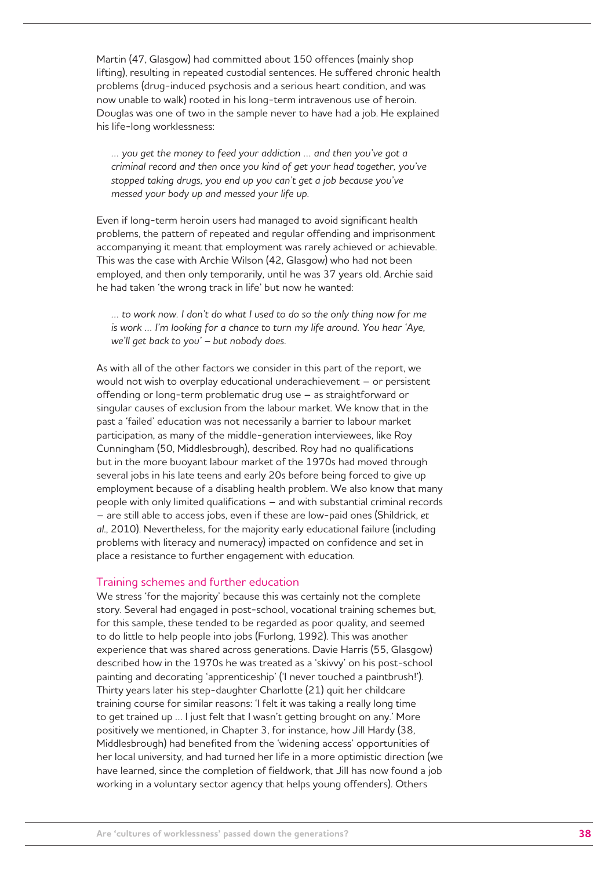Martin (47, Glasgow) had committed about 150 offences (mainly shop lifting), resulting in repeated custodial sentences. He suffered chronic health problems (drug-induced psychosis and a serious heart condition, and was now unable to walk) rooted in his long-term intravenous use of heroin. Douglas was one of two in the sample never to have had a job. He explained his life-long worklessness:

*… you get the money to feed your addiction … and then you've got a criminal record and then once you kind of get your head together, you've stopped taking drugs, you end up you can't get a job because you've messed your body up and messed your life up.*

Even if long-term heroin users had managed to avoid significant health problems, the pattern of repeated and regular offending and imprisonment accompanying it meant that employment was rarely achieved or achievable. This was the case with Archie Wilson (42, Glasgow) who had not been employed, and then only temporarily, until he was 37 years old. Archie said he had taken 'the wrong track in life' but now he wanted:

*… to work now. I don't do what I used to do so the only thing now for me is work … I'm looking for a chance to turn my life around. You hear 'Aye, we'll get back to you' – but nobody does.*

As with all of the other factors we consider in this part of the report, we would not wish to overplay educational underachievement – or persistent offending or long-term problematic drug use – as straightforward or singular causes of exclusion from the labour market. We know that in the past a 'failed' education was not necessarily a barrier to labour market participation, as many of the middle-generation interviewees, like Roy Cunningham (50, Middlesbrough), described. Roy had no qualifications but in the more buoyant labour market of the 1970s had moved through several jobs in his late teens and early 20s before being forced to give up employment because of a disabling health problem. We also know that many people with only limited qualifications – and with substantial criminal records – are still able to access jobs, even if these are low-paid ones (Shildrick, *et al*., 2010). Nevertheless, for the majority early educational failure (including problems with literacy and numeracy) impacted on confidence and set in place a resistance to further engagement with education.

#### Training schemes and further education

We stress 'for the majority' because this was certainly not the complete story. Several had engaged in post-school, vocational training schemes but, for this sample, these tended to be regarded as poor quality, and seemed to do little to help people into jobs (Furlong, 1992). This was another experience that was shared across generations. Davie Harris (55, Glasgow) described how in the 1970s he was treated as a 'skivvy' on his post-school painting and decorating 'apprenticeship' ('I never touched a paintbrush!'). Thirty years later his step-daughter Charlotte (21) quit her childcare training course for similar reasons: 'I felt it was taking a really long time to get trained up … I just felt that I wasn't getting brought on any.' More positively we mentioned, in Chapter 3, for instance, how Jill Hardy (38, Middlesbrough) had benefited from the 'widening access' opportunities of her local university, and had turned her life in a more optimistic direction (we have learned, since the completion of fieldwork, that Jill has now found a job working in a voluntary sector agency that helps young offenders). Others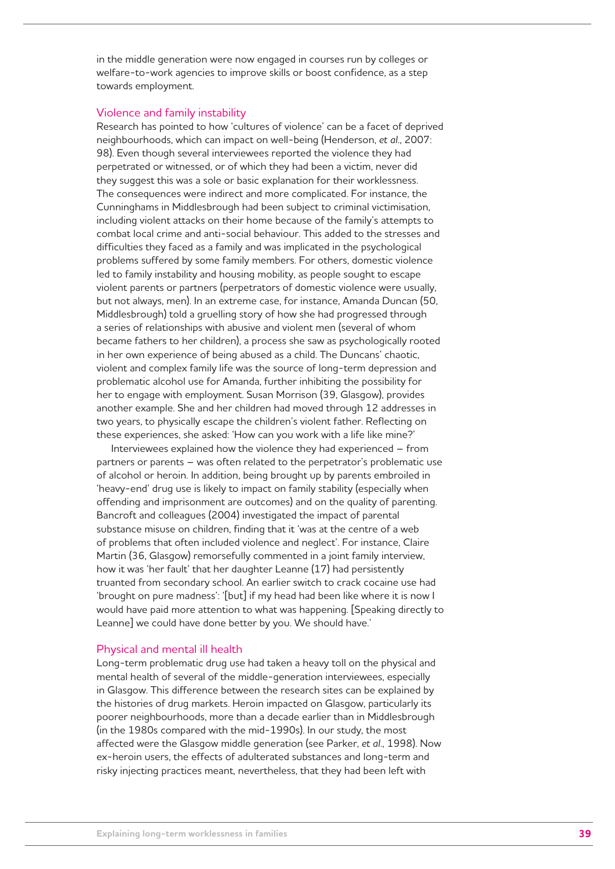in the middle generation were now engaged in courses run by colleges or welfare-to-work agencies to improve skills or boost confidence, as a step towards employment.

#### Violence and family instability

Research has pointed to how 'cultures of violence' can be a facet of deprived neighbourhoods, which can impact on well-being (Henderson, *et al*., 2007: 98). Even though several interviewees reported the violence they had perpetrated or witnessed, or of which they had been a victim, never did they suggest this was a sole or basic explanation for their worklessness. The consequences were indirect and more complicated. For instance, the Cunninghams in Middlesbrough had been subject to criminal victimisation, including violent attacks on their home because of the family's attempts to combat local crime and anti-social behaviour. This added to the stresses and difficulties they faced as a family and was implicated in the psychological problems suffered by some family members. For others, domestic violence led to family instability and housing mobility, as people sought to escape violent parents or partners (perpetrators of domestic violence were usually, but not always, men). In an extreme case, for instance, Amanda Duncan (50, Middlesbrough) told a gruelling story of how she had progressed through a series of relationships with abusive and violent men (several of whom became fathers to her children), a process she saw as psychologically rooted in her own experience of being abused as a child. The Duncans' chaotic, violent and complex family life was the source of long-term depression and problematic alcohol use for Amanda, further inhibiting the possibility for her to engage with employment. Susan Morrison (39, Glasgow), provides another example. She and her children had moved through 12 addresses in two years, to physically escape the children's violent father. Reflecting on these experiences, she asked: 'How can you work with a life like mine?'

Interviewees explained how the violence they had experienced – from partners or parents – was often related to the perpetrator's problematic use of alcohol or heroin. In addition, being brought up by parents embroiled in 'heavy-end' drug use is likely to impact on family stability (especially when offending and imprisonment are outcomes) and on the quality of parenting. Bancroft and colleagues (2004) investigated the impact of parental substance misuse on children, finding that it 'was at the centre of a web of problems that often included violence and neglect'. For instance, Claire Martin (36, Glasgow) remorsefully commented in a joint family interview, how it was 'her fault' that her daughter Leanne (17) had persistently truanted from secondary school. An earlier switch to crack cocaine use had 'brought on pure madness': '[but] if my head had been like where it is now I would have paid more attention to what was happening. [Speaking directly to Leanne] we could have done better by you. We should have.'

#### Physical and mental ill health

Long-term problematic drug use had taken a heavy toll on the physical and mental health of several of the middle-generation interviewees, especially in Glasgow. This difference between the research sites can be explained by the histories of drug markets. Heroin impacted on Glasgow, particularly its poorer neighbourhoods, more than a decade earlier than in Middlesbrough (in the 1980s compared with the mid-1990s). In our study, the most affected were the Glasgow middle generation (see Parker, *et al*., 1998). Now ex-heroin users, the effects of adulterated substances and long-term and risky injecting practices meant, nevertheless, that they had been left with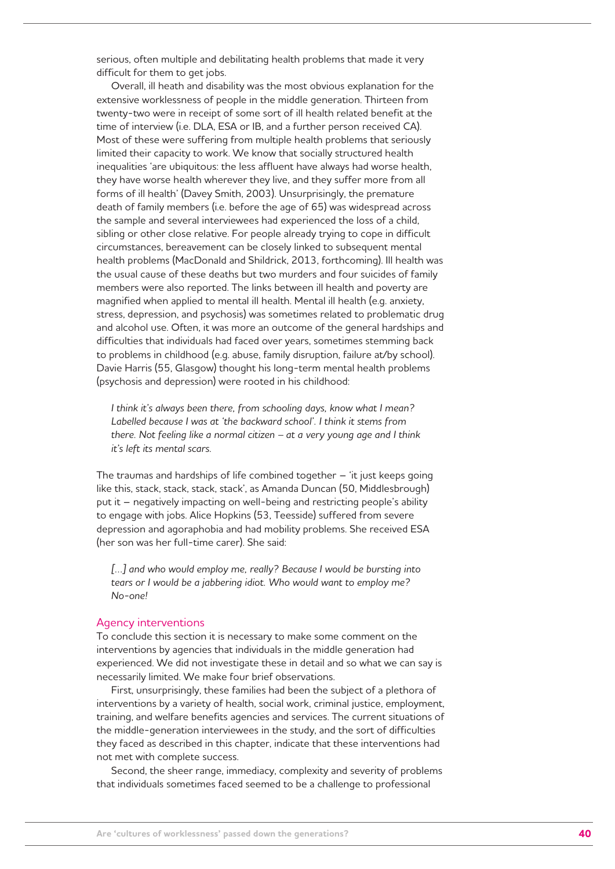serious, often multiple and debilitating health problems that made it very difficult for them to get jobs.

Overall, ill heath and disability was the most obvious explanation for the extensive worklessness of people in the middle generation. Thirteen from twenty-two were in receipt of some sort of ill health related benefit at the time of interview (i.e. DLA, ESA or IB, and a further person received CA). Most of these were suffering from multiple health problems that seriously limited their capacity to work. We know that socially structured health inequalities 'are ubiquitous: the less affluent have always had worse health, they have worse health wherever they live, and they suffer more from all forms of ill health' (Davey Smith, 2003). Unsurprisingly, the premature death of family members (i.e. before the age of 65) was widespread across the sample and several interviewees had experienced the loss of a child, sibling or other close relative. For people already trying to cope in difficult circumstances, bereavement can be closely linked to subsequent mental health problems (MacDonald and Shildrick, 2013, forthcoming). Ill health was the usual cause of these deaths but two murders and four suicides of family members were also reported. The links between ill health and poverty are magnified when applied to mental ill health. Mental ill health (e.g. anxiety, stress, depression, and psychosis) was sometimes related to problematic drug and alcohol use. Often, it was more an outcome of the general hardships and difficulties that individuals had faced over years, sometimes stemming back to problems in childhood (e.g. abuse, family disruption, failure at/by school). Davie Harris (55, Glasgow) thought his long-term mental health problems (psychosis and depression) were rooted in his childhood:

*I think it's always been there, from schooling days, know what I mean? Labelled because I was at 'the backward school'. I think it stems from there. Not feeling like a normal citizen – at a very young age and I think it's left its mental scars.*

The traumas and hardships of life combined together – 'it just keeps going like this, stack, stack, stack, stack', as Amanda Duncan (50, Middlesbrough) put it – negatively impacting on well-being and restricting people's ability to engage with jobs. Alice Hopkins (53, Teesside) suffered from severe depression and agoraphobia and had mobility problems. She received ESA (her son was her full-time carer). She said:

[...] and who would employ me, really? Because I would be bursting into *tears or I would be a jabbering idiot. Who would want to employ me? No-one!*

#### Agency interventions

To conclude this section it is necessary to make some comment on the interventions by agencies that individuals in the middle generation had experienced. We did not investigate these in detail and so what we can say is necessarily limited. We make four brief observations.

First, unsurprisingly, these families had been the subject of a plethora of interventions by a variety of health, social work, criminal justice, employment, training, and welfare benefits agencies and services. The current situations of the middle-generation interviewees in the study, and the sort of difficulties they faced as described in this chapter, indicate that these interventions had not met with complete success.

Second, the sheer range, immediacy, complexity and severity of problems that individuals sometimes faced seemed to be a challenge to professional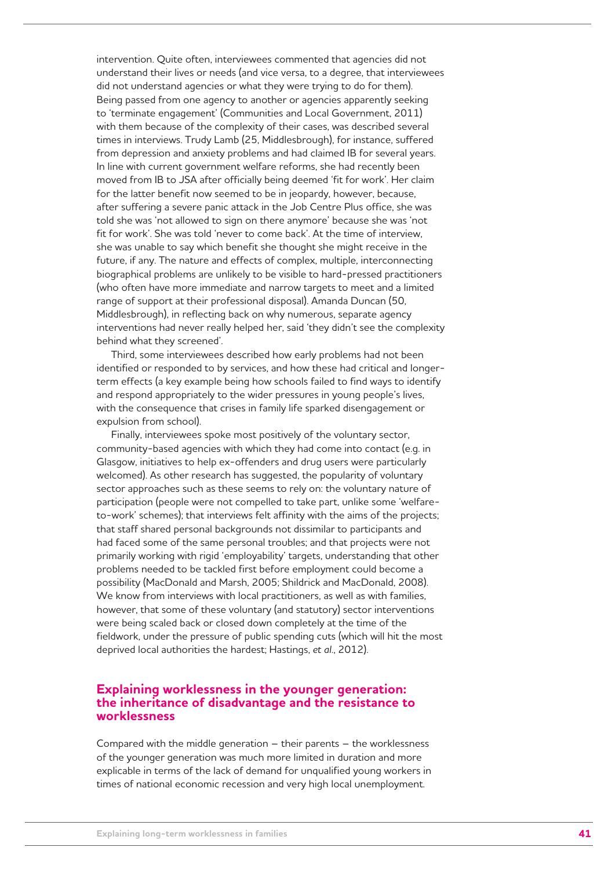intervention. Quite often, interviewees commented that agencies did not understand their lives or needs (and vice versa, to a degree, that interviewees did not understand agencies or what they were trying to do for them). Being passed from one agency to another or agencies apparently seeking to 'terminate engagement' (Communities and Local Government, 2011) with them because of the complexity of their cases, was described several times in interviews. Trudy Lamb (25, Middlesbrough), for instance, suffered from depression and anxiety problems and had claimed IB for several years. In line with current government welfare reforms, she had recently been moved from IB to JSA after officially being deemed 'fit for work'. Her claim for the latter benefit now seemed to be in jeopardy, however, because, after suffering a severe panic attack in the Job Centre Plus office, she was told she was 'not allowed to sign on there anymore' because she was 'not fit for work'. She was told 'never to come back'. At the time of interview, she was unable to say which benefit she thought she might receive in the future, if any. The nature and effects of complex, multiple, interconnecting biographical problems are unlikely to be visible to hard-pressed practitioners (who often have more immediate and narrow targets to meet and a limited range of support at their professional disposal). Amanda Duncan (50, Middlesbrough), in reflecting back on why numerous, separate agency interventions had never really helped her, said 'they didn't see the complexity behind what they screened'.

Third, some interviewees described how early problems had not been identified or responded to by services, and how these had critical and longerterm effects (a key example being how schools failed to find ways to identify and respond appropriately to the wider pressures in young people's lives, with the consequence that crises in family life sparked disengagement or expulsion from school).

Finally, interviewees spoke most positively of the voluntary sector, community-based agencies with which they had come into contact (e.g. in Glasgow, initiatives to help ex-offenders and drug users were particularly welcomed). As other research has suggested, the popularity of voluntary sector approaches such as these seems to rely on: the voluntary nature of participation (people were not compelled to take part, unlike some 'welfareto-work' schemes); that interviews felt affinity with the aims of the projects; that staff shared personal backgrounds not dissimilar to participants and had faced some of the same personal troubles; and that projects were not primarily working with rigid 'employability' targets, understanding that other problems needed to be tackled first before employment could become a possibility (MacDonald and Marsh, 2005; Shildrick and MacDonald, 2008). We know from interviews with local practitioners, as well as with families, however, that some of these voluntary (and statutory) sector interventions were being scaled back or closed down completely at the time of the fieldwork, under the pressure of public spending cuts (which will hit the most deprived local authorities the hardest; Hastings, *et al*., 2012).

### **Explaining worklessness in the younger generation: the inheritance of disadvantage and the resistance to worklessness**

Compared with the middle generation – their parents – the worklessness of the younger generation was much more limited in duration and more explicable in terms of the lack of demand for unqualified young workers in times of national economic recession and very high local unemployment.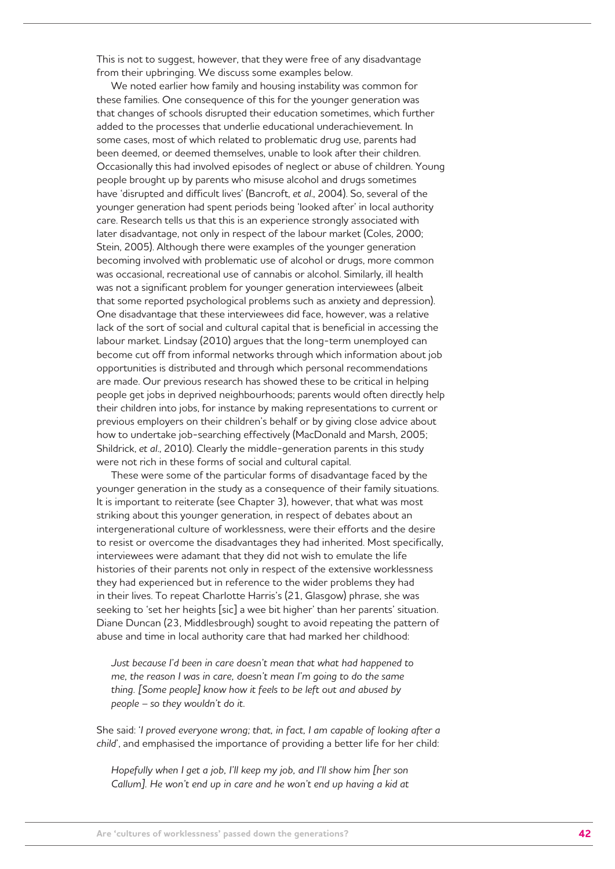This is not to suggest, however, that they were free of any disadvantage from their upbringing. We discuss some examples below.

We noted earlier how family and housing instability was common for these families. One consequence of this for the younger generation was that changes of schools disrupted their education sometimes, which further added to the processes that underlie educational underachievement. In some cases, most of which related to problematic drug use, parents had been deemed, or deemed themselves, unable to look after their children. Occasionally this had involved episodes of neglect or abuse of children. Young people brought up by parents who misuse alcohol and drugs sometimes have 'disrupted and difficult lives' (Bancroft, *et al*., 2004). So, several of the younger generation had spent periods being 'looked after' in local authority care. Research tells us that this is an experience strongly associated with later disadvantage, not only in respect of the labour market (Coles, 2000; Stein, 2005). Although there were examples of the younger generation becoming involved with problematic use of alcohol or drugs, more common was occasional, recreational use of cannabis or alcohol. Similarly, ill health was not a significant problem for younger generation interviewees (albeit that some reported psychological problems such as anxiety and depression). One disadvantage that these interviewees did face, however, was a relative lack of the sort of social and cultural capital that is beneficial in accessing the labour market. Lindsay (2010) argues that the long-term unemployed can become cut off from informal networks through which information about job opportunities is distributed and through which personal recommendations are made. Our previous research has showed these to be critical in helping people get jobs in deprived neighbourhoods; parents would often directly help their children into jobs, for instance by making representations to current or previous employers on their children's behalf or by giving close advice about how to undertake job-searching effectively (MacDonald and Marsh, 2005; Shildrick, *et al*., 2010). Clearly the middle-generation parents in this study were not rich in these forms of social and cultural capital.

These were some of the particular forms of disadvantage faced by the younger generation in the study as a consequence of their family situations. It is important to reiterate (see Chapter 3), however, that what was most striking about this younger generation, in respect of debates about an intergenerational culture of worklessness, were their efforts and the desire to resist or overcome the disadvantages they had inherited. Most specifically, interviewees were adamant that they did not wish to emulate the life histories of their parents not only in respect of the extensive worklessness they had experienced but in reference to the wider problems they had in their lives. To repeat Charlotte Harris's (21, Glasgow) phrase, she was seeking to 'set her heights [sic] a wee bit higher' than her parents' situation. Diane Duncan (23, Middlesbrough) sought to avoid repeating the pattern of abuse and time in local authority care that had marked her childhood:

*Just because I'd been in care doesn't mean that what had happened to me, the reason I was in care, doesn't mean I'm going to do the same thing. [Some people] know how it feels to be left out and abused by people – so they wouldn't do it.* 

She said: '*I proved everyone wrong; that, in fact, I am capable of looking after a child*', and emphasised the importance of providing a better life for her child:

*Hopefully when I get a job, I'll keep my job, and I'll show him [her son Callum]. He won't end up in care and he won't end up having a kid at*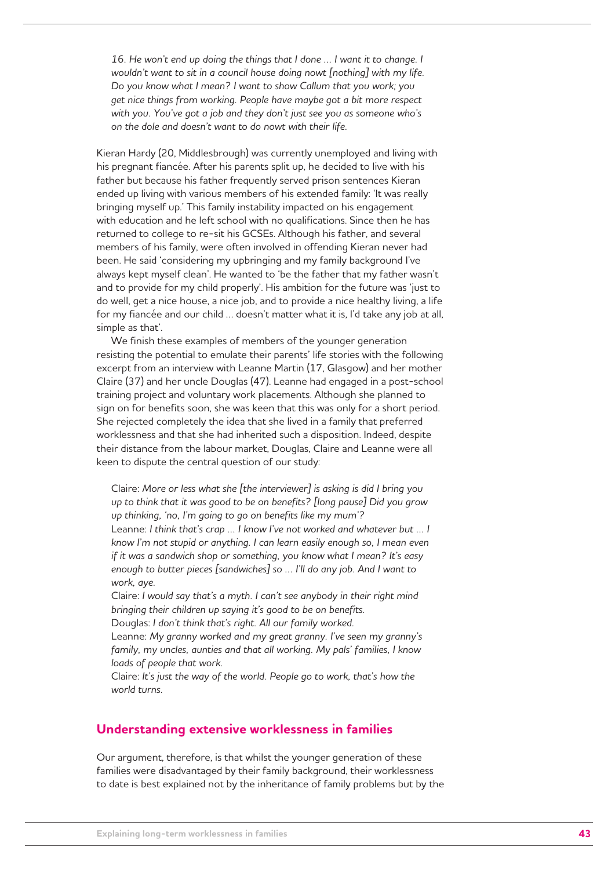16. He won't end up doing the things that I done ... I want it to change. I *wouldn't want to sit in a council house doing nowt [nothing] with my life. Do you know what I mean? I want to show Callum that you work; you get nice things from working. People have maybe got a bit more respect with you. You've got a job and they don't just see you as someone who's on the dole and doesn't want to do nowt with their life.*

Kieran Hardy (20, Middlesbrough) was currently unemployed and living with his pregnant fiancée. After his parents split up, he decided to live with his father but because his father frequently served prison sentences Kieran ended up living with various members of his extended family: 'It was really bringing myself up.' This family instability impacted on his engagement with education and he left school with no qualifications. Since then he has returned to college to re-sit his GCSEs. Although his father, and several members of his family, were often involved in offending Kieran never had been. He said 'considering my upbringing and my family background I've always kept myself clean'. He wanted to 'be the father that my father wasn't and to provide for my child properly'. His ambition for the future was 'just to do well, get a nice house, a nice job, and to provide a nice healthy living, a life for my fiancée and our child … doesn't matter what it is, I'd take any job at all, simple as that'.

We finish these examples of members of the younger generation resisting the potential to emulate their parents' life stories with the following excerpt from an interview with Leanne Martin (17, Glasgow) and her mother Claire (37) and her uncle Douglas (47). Leanne had engaged in a post-school training project and voluntary work placements. Although she planned to sign on for benefits soon, she was keen that this was only for a short period. She rejected completely the idea that she lived in a family that preferred worklessness and that she had inherited such a disposition. Indeed, despite their distance from the labour market, Douglas, Claire and Leanne were all keen to dispute the central question of our study:

Claire: *More or less what she [the interviewer] is asking is did I bring you up to think that it was good to be on benefits? [long pause] Did you grow up thinking, 'no, I'm going to go on benefits like my mum'?*  Leanne: *I think that's crap … I know I've not worked and whatever but … I know I'm not stupid or anything. I can learn easily enough so, I mean even if it was a sandwich shop or something, you know what I mean? It's easy enough to butter pieces [sandwiches] so … I'll do any job. And I want to work, aye.* 

Claire: *I would say that's a myth. I can't see anybody in their right mind bringing their children up saying it's good to be on benefits.*

Douglas: *I don't think that's right. All our family worked.* 

Leanne: *My granny worked and my great granny. I've seen my granny's family, my uncles, aunties and that all working. My pals' families, I know loads of people that work.* 

Claire: *It's just the way of the world. People go to work, that's how the world turns.* 

### **Understanding extensive worklessness in families**

Our argument, therefore, is that whilst the younger generation of these families were disadvantaged by their family background, their worklessness to date is best explained not by the inheritance of family problems but by the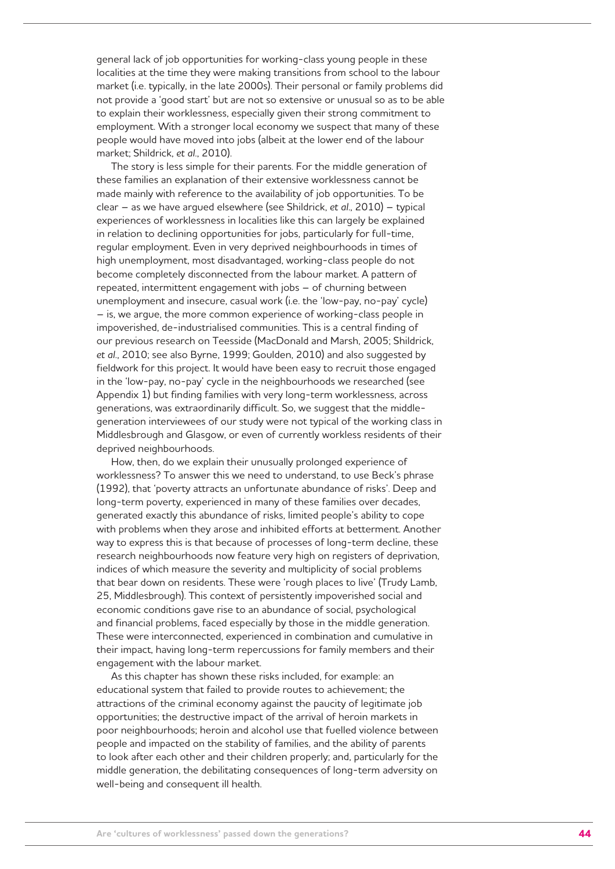general lack of job opportunities for working-class young people in these localities at the time they were making transitions from school to the labour market (i.e. typically, in the late 2000s). Their personal or family problems did not provide a 'good start' but are not so extensive or unusual so as to be able to explain their worklessness, especially given their strong commitment to employment. With a stronger local economy we suspect that many of these people would have moved into jobs (albeit at the lower end of the labour market; Shildrick, *et al*., 2010).

The story is less simple for their parents. For the middle generation of these families an explanation of their extensive worklessness cannot be made mainly with reference to the availability of job opportunities. To be clear – as we have argued elsewhere (see Shildrick, *et al*., 2010) – typical experiences of worklessness in localities like this can largely be explained in relation to declining opportunities for jobs, particularly for full-time, regular employment. Even in very deprived neighbourhoods in times of high unemployment, most disadvantaged, working-class people do not become completely disconnected from the labour market. A pattern of repeated, intermittent engagement with jobs – of churning between unemployment and insecure, casual work (i.e. the 'low-pay, no-pay' cycle) – is, we argue, the more common experience of working-class people in impoverished, de-industrialised communities. This is a central finding of our previous research on Teesside (MacDonald and Marsh, 2005; Shildrick, *et al*., 2010; see also Byrne, 1999; Goulden, 2010) and also suggested by fieldwork for this project. It would have been easy to recruit those engaged in the 'low-pay, no-pay' cycle in the neighbourhoods we researched (see Appendix 1) but finding families with very long-term worklessness, across generations, was extraordinarily difficult. So, we suggest that the middlegeneration interviewees of our study were not typical of the working class in Middlesbrough and Glasgow, or even of currently workless residents of their deprived neighbourhoods.

How, then, do we explain their unusually prolonged experience of worklessness? To answer this we need to understand, to use Beck's phrase (1992), that 'poverty attracts an unfortunate abundance of risks'. Deep and long-term poverty, experienced in many of these families over decades, generated exactly this abundance of risks, limited people's ability to cope with problems when they arose and inhibited efforts at betterment. Another way to express this is that because of processes of long-term decline, these research neighbourhoods now feature very high on registers of deprivation, indices of which measure the severity and multiplicity of social problems that bear down on residents. These were 'rough places to live' (Trudy Lamb, 25, Middlesbrough). This context of persistently impoverished social and economic conditions gave rise to an abundance of social, psychological and financial problems, faced especially by those in the middle generation. These were interconnected, experienced in combination and cumulative in their impact, having long-term repercussions for family members and their engagement with the labour market.

As this chapter has shown these risks included, for example: an educational system that failed to provide routes to achievement; the attractions of the criminal economy against the paucity of legitimate job opportunities; the destructive impact of the arrival of heroin markets in poor neighbourhoods; heroin and alcohol use that fuelled violence between people and impacted on the stability of families, and the ability of parents to look after each other and their children properly; and, particularly for the middle generation, the debilitating consequences of long-term adversity on well-being and consequent ill health.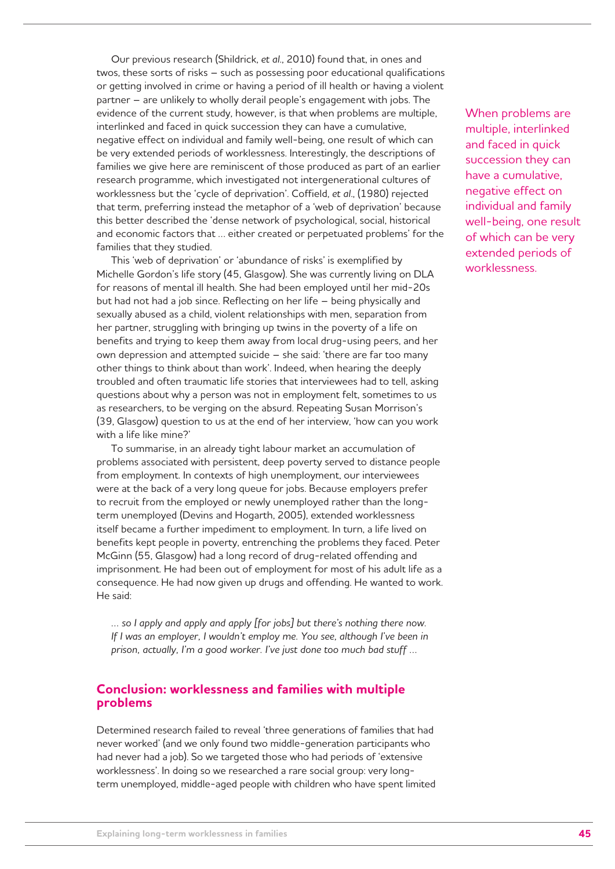Our previous research (Shildrick, *et al*., 2010) found that, in ones and twos, these sorts of risks – such as possessing poor educational qualifications or getting involved in crime or having a period of ill health or having a violent partner – are unlikely to wholly derail people's engagement with jobs. The evidence of the current study, however, is that when problems are multiple, interlinked and faced in quick succession they can have a cumulative, negative effect on individual and family well-being, one result of which can be very extended periods of worklessness. Interestingly, the descriptions of families we give here are reminiscent of those produced as part of an earlier research programme, which investigated not intergenerational cultures of worklessness but the 'cycle of deprivation'. Coffield, *et al*., (1980) rejected that term, preferring instead the metaphor of a 'web of deprivation' because this better described the 'dense network of psychological, social, historical and economic factors that … either created or perpetuated problems' for the families that they studied.

This 'web of deprivation' or 'abundance of risks' is exemplified by Michelle Gordon's life story (45, Glasgow). She was currently living on DLA for reasons of mental ill health. She had been employed until her mid-20s but had not had a job since. Reflecting on her life – being physically and sexually abused as a child, violent relationships with men, separation from her partner, struggling with bringing up twins in the poverty of a life on benefits and trying to keep them away from local drug-using peers, and her own depression and attempted suicide – she said: 'there are far too many other things to think about than work'. Indeed, when hearing the deeply troubled and often traumatic life stories that interviewees had to tell, asking questions about why a person was not in employment felt, sometimes to us as researchers, to be verging on the absurd. Repeating Susan Morrison's (39, Glasgow) question to us at the end of her interview, 'how can you work with a life like mine?'

To summarise, in an already tight labour market an accumulation of problems associated with persistent, deep poverty served to distance people from employment. In contexts of high unemployment, our interviewees were at the back of a very long queue for jobs. Because employers prefer to recruit from the employed or newly unemployed rather than the longterm unemployed (Devins and Hogarth, 2005), extended worklessness itself became a further impediment to employment. In turn, a life lived on benefits kept people in poverty, entrenching the problems they faced. Peter McGinn (55, Glasgow) had a long record of drug-related offending and imprisonment. He had been out of employment for most of his adult life as a consequence. He had now given up drugs and offending. He wanted to work. He said:

*… so I apply and apply and apply [for jobs] but there's nothing there now. If I was an employer, I wouldn't employ me. You see, although I've been in prison, actually, I'm a good worker. I've just done too much bad stuff …*

### **Conclusion: worklessness and families with multiple problems**

Determined research failed to reveal 'three generations of families that had never worked' (and we only found two middle-generation participants who had never had a job). So we targeted those who had periods of 'extensive worklessness'. In doing so we researched a rare social group: very longterm unemployed, middle-aged people with children who have spent limited When problems are multiple, interlinked and faced in quick succession they can have a cumulative, negative effect on individual and family well-being, one result of which can be very extended periods of worklessness.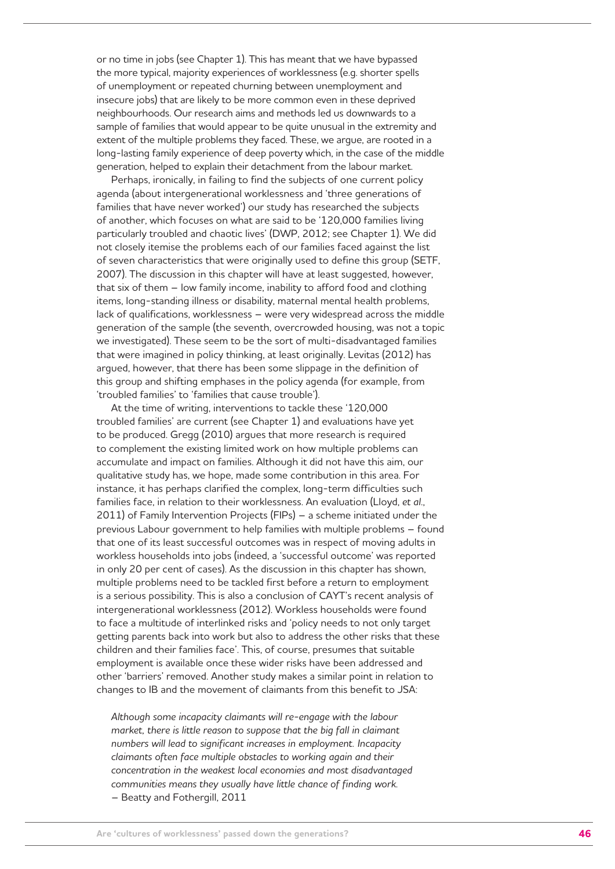or no time in jobs (see Chapter 1). This has meant that we have bypassed the more typical, majority experiences of worklessness (e.g. shorter spells of unemployment or repeated churning between unemployment and insecure jobs) that are likely to be more common even in these deprived neighbourhoods. Our research aims and methods led us downwards to a sample of families that would appear to be quite unusual in the extremity and extent of the multiple problems they faced. These, we argue, are rooted in a long-lasting family experience of deep poverty which, in the case of the middle generation, helped to explain their detachment from the labour market.

Perhaps, ironically, in failing to find the subjects of one current policy agenda (about intergenerational worklessness and 'three generations of families that have never worked') our study has researched the subjects of another, which focuses on what are said to be '120,000 families living particularly troubled and chaotic lives' (DWP, 2012; see Chapter 1). We did not closely itemise the problems each of our families faced against the list of seven characteristics that were originally used to define this group (SETF, 2007). The discussion in this chapter will have at least suggested, however, that six of them – low family income, inability to afford food and clothing items, long-standing illness or disability, maternal mental health problems, lack of qualifications, worklessness – were very widespread across the middle generation of the sample (the seventh, overcrowded housing, was not a topic we investigated). These seem to be the sort of multi-disadvantaged families that were imagined in policy thinking, at least originally. Levitas (2012) has argued, however, that there has been some slippage in the definition of this group and shifting emphases in the policy agenda (for example, from 'troubled families' to 'families that cause trouble').

At the time of writing, interventions to tackle these '120,000 troubled families' are current (see Chapter 1) and evaluations have yet to be produced. Gregg (2010) argues that more research is required to complement the existing limited work on how multiple problems can accumulate and impact on families. Although it did not have this aim, our qualitative study has, we hope, made some contribution in this area. For instance, it has perhaps clarified the complex, long-term difficulties such families face, in relation to their worklessness. An evaluation (Lloyd, *et al*., 2011) of Family Intervention Projects (FIPs) – a scheme initiated under the previous Labour government to help families with multiple problems – found that one of its least successful outcomes was in respect of moving adults in workless households into jobs (indeed, a 'successful outcome' was reported in only 20 per cent of cases). As the discussion in this chapter has shown, multiple problems need to be tackled first before a return to employment is a serious possibility. This is also a conclusion of CAYT's recent analysis of intergenerational worklessness (2012). Workless households were found to face a multitude of interlinked risks and 'policy needs to not only target getting parents back into work but also to address the other risks that these children and their families face'. This, of course, presumes that suitable employment is available once these wider risks have been addressed and other 'barriers' removed. Another study makes a similar point in relation to changes to IB and the movement of claimants from this benefit to JSA:

*Although some incapacity claimants will re-engage with the labour market, there is little reason to suppose that the big fall in claimant numbers will lead to significant increases in employment. Incapacity claimants often face multiple obstacles to working again and their concentration in the weakest local economies and most disadvantaged communities means they usually have little chance of finding work.* – Beatty and Fothergill, 2011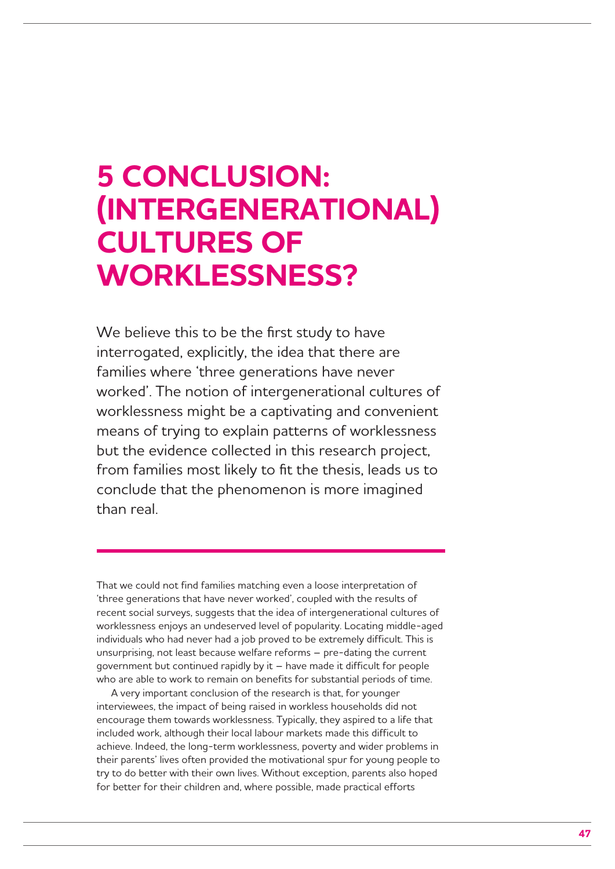## **5 CONCLUSION: (INTERGENERATIONAL) CULTURES OF WORKLESSNESS?**

We believe this to be the first study to have interrogated, explicitly, the idea that there are families where 'three generations have never worked'. The notion of intergenerational cultures of worklessness might be a captivating and convenient means of trying to explain patterns of worklessness but the evidence collected in this research project, from families most likely to fit the thesis, leads us to conclude that the phenomenon is more imagined than real.

That we could not find families matching even a loose interpretation of 'three generations that have never worked', coupled with the results of recent social surveys, suggests that the idea of intergenerational cultures of worklessness enjoys an undeserved level of popularity. Locating middle-aged individuals who had never had a job proved to be extremely difficult. This is unsurprising, not least because welfare reforms – pre-dating the current government but continued rapidly by it – have made it difficult for people who are able to work to remain on benefits for substantial periods of time.

A very important conclusion of the research is that, for younger interviewees, the impact of being raised in workless households did not encourage them towards worklessness. Typically, they aspired to a life that included work, although their local labour markets made this difficult to achieve. Indeed, the long-term worklessness, poverty and wider problems in their parents' lives often provided the motivational spur for young people to try to do better with their own lives. Without exception, parents also hoped for better for their children and, where possible, made practical efforts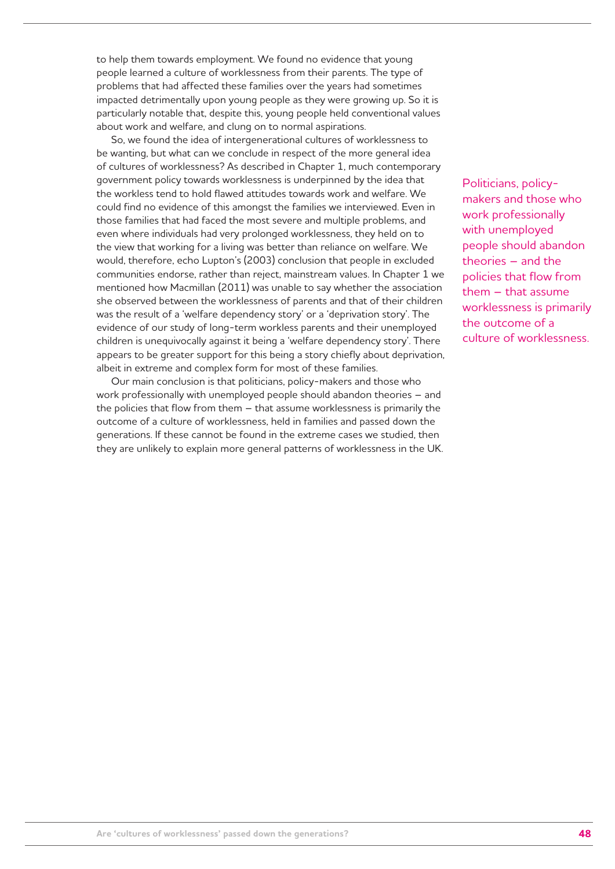to help them towards employment. We found no evidence that young people learned a culture of worklessness from their parents. The type of problems that had affected these families over the years had sometimes impacted detrimentally upon young people as they were growing up. So it is particularly notable that, despite this, young people held conventional values about work and welfare, and clung on to normal aspirations.

So, we found the idea of intergenerational cultures of worklessness to be wanting, but what can we conclude in respect of the more general idea of cultures of worklessness? As described in Chapter 1, much contemporary government policy towards worklessness is underpinned by the idea that the workless tend to hold flawed attitudes towards work and welfare. We could find no evidence of this amongst the families we interviewed. Even in those families that had faced the most severe and multiple problems, and even where individuals had very prolonged worklessness, they held on to the view that working for a living was better than reliance on welfare. We would, therefore, echo Lupton's (2003) conclusion that people in excluded communities endorse, rather than reject, mainstream values. In Chapter 1 we mentioned how Macmillan (2011) was unable to say whether the association she observed between the worklessness of parents and that of their children was the result of a 'welfare dependency story' or a 'deprivation story'. The evidence of our study of long-term workless parents and their unemployed children is unequivocally against it being a 'welfare dependency story'. There appears to be greater support for this being a story chiefly about deprivation, albeit in extreme and complex form for most of these families.

Our main conclusion is that politicians, policy-makers and those who work professionally with unemployed people should abandon theories – and the policies that flow from them – that assume worklessness is primarily the outcome of a culture of worklessness, held in families and passed down the generations. If these cannot be found in the extreme cases we studied, then they are unlikely to explain more general patterns of worklessness in the UK. Politicians, policymakers and those who work professionally with unemployed people should abandon theories – and the policies that flow from them – that assume worklessness is primarily the outcome of a culture of worklessness.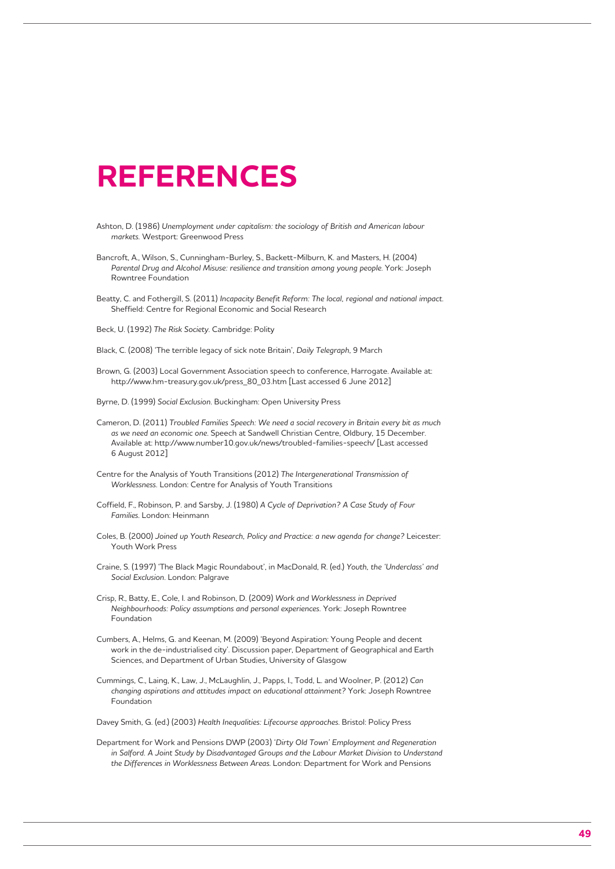## **REFERENCES**

- Ashton, D. (1986) *Unemployment under capitalism: the sociology of British and American labour markets.* Westport: Greenwood Press
- Bancroft, A., Wilson, S., Cunningham-Burley, S., Backett-Milburn, K. and Masters, H. (2004) *Parental Drug and Alcohol Misuse: resilience and transition among young people*. York: Joseph Rowntree Foundation
- Beatty, C. and Fothergill, S. (2011) *Incapacity Benefit Reform: The local, regional and national impact*. Sheffield: Centre for Regional Economic and Social Research
- Beck, U. (1992) *The Risk Society*. Cambridge: Polity
- Black, C. (2008) 'The terrible legacy of sick note Britain', *Daily Telegraph*, 9 March
- Brown, G. (2003) Local Government Association speech to conference, Harrogate. Available at: http://www.hm-treasury.gov.uk/press\_80\_03.htm [Last accessed 6 June 2012]
- Byrne, D. (1999) *Social Exclusion*. Buckingham: Open University Press
- Cameron, D. (2011) *Troubled Families Speech: We need a social recovery in Britain every bit as much as we need an economic one*. Speech at Sandwell Christian Centre, Oldbury, 15 December. Available at: http://www.number10.gov.uk/news/troubled-families-speech/ [Last accessed 6 August 2012]
- Centre for the Analysis of Youth Transitions (2012) *The Intergenerational Transmission of Worklessness.* London: Centre for Analysis of Youth Transitions
- Coffield, F., Robinson, P. and Sarsby, J. (1980) *A Cycle of Deprivation? A Case Study of Four Families*. London: Heinmann
- Coles, B. (2000) *Joined up Youth Research, Policy and Practice: a new agenda for change?* Leicester: Youth Work Press
- Craine, S. (1997) 'The Black Magic Roundabout', in MacDonald, R. (ed.) *Youth, the 'Underclass' and Social Exclusion*. London: Palgrave
- Crisp, R., Batty, E., Cole, I. and Robinson, D. (2009) *Work and Worklessness in Deprived Neighbourhoods: Policy assumptions and personal experiences.* York: Joseph Rowntree Foundation
- Cumbers, A., Helms, G. and Keenan, M. (2009) 'Beyond Aspiration: Young People and decent work in the de-industrialised city'. Discussion paper, Department of Geographical and Earth Sciences, and Department of Urban Studies, University of Glasgow
- Cummings, C., Laing, K., Law, J., McLaughlin, J., Papps, I., Todd, L. and Woolner, P. (2012) *Can changing aspirations and attitudes impact on educational attainment?* York: Joseph Rowntree Foundation

Davey Smith, G. (ed.) (2003) *Health Inequalities: Lifecourse approaches*. Bristol: Policy Press

Department for Work and Pensions DWP (2003) '*Dirty Old Town' Employment and Regeneration in Salford. A Joint Study by Disadvantaged Groups and the Labour Market Division to Understand the Differences in Worklessness Between Areas*. London: Department for Work and Pensions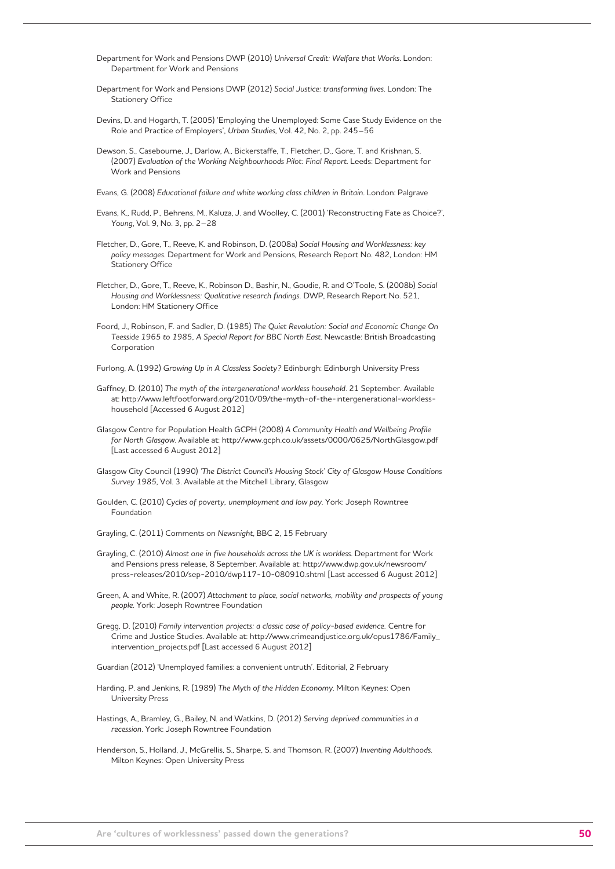- Department for Work and Pensions DWP (2010) *Universal Credit: Welfare that Works*. London: Department for Work and Pensions
- Department for Work and Pensions DWP (2012) *Social Justice: transforming lives*. London: The Stationery Office
- Devins, D. and Hogarth, T. (2005) 'Employing the Unemployed: Some Case Study Evidence on the Role and Practice of Employers', *Urban Studies*, Vol. 42, No. 2, pp. 245–56
- Dewson, S., Casebourne, J., Darlow, A., Bickerstaffe, T., Fletcher, D., Gore, T. and Krishnan, S. (2007) *Evaluation of the Working Neighbourhoods Pilot: Final Report*. Leeds: Department for Work and Pensions
- Evans, G. (2008) *Educational failure and white working class children in Britain*. London: Palgrave
- Evans, K., Rudd, P., Behrens, M., Kaluza, J. and Woolley, C. (2001) 'Reconstructing Fate as Choice?', *Young*, Vol. 9, No. 3, pp. 2–28
- Fletcher, D., Gore, T., Reeve, K. and Robinson, D. (2008a) *Social Housing and Worklessness: key policy messages*. Department for Work and Pensions, Research Report No. 482, London: HM Stationery Office
- Fletcher, D., Gore, T., Reeve, K., Robinson D., Bashir, N., Goudie, R. and O'Toole, S. (2008b) *Social Housing and Worklessness: Qualitative research findings.* DWP, Research Report No. 521, London: HM Stationery Office
- Foord, J., Robinson, F. and Sadler, D. (1985) *The Quiet Revolution: Social and Economic Change On Teesside 1965 to 1985, A Special Report for BBC North East*. Newcastle: British Broadcasting Corporation
- Furlong, A. (1992) *Growing Up in A Classless Society?* Edinburgh: Edinburgh University Press
- Gaffney, D. (2010) *The myth of the intergenerational workless household*. 21 September. Available at: http://www.leftfootforward.org/2010/09/the-myth-of-the-intergenerational-worklesshousehold [Accessed 6 August 2012]
- Glasgow Centre for Population Health GCPH (2008) *A Community Health and Wellbeing Profile for North Glasgow*. Available at: http://www.gcph.co.uk/assets/0000/0625/NorthGlasgow.pdf [Last accessed 6 August 2012]
- Glasgow City Council (1990) *'The District Council's Housing Stock' City of Glasgow House Conditions Survey 1985*, Vol. 3. Available at the Mitchell Library, Glasgow
- Goulden, C. (2010) *Cycles of poverty, unemployment and low pay*. York: Joseph Rowntree Foundation
- Grayling, C. (2011) Comments on *Newsnight*, BBC 2, 15 February
- Grayling, C. (2010) *Almost one in five households across the UK is workless*. Department for Work and Pensions press release, 8 September. Available at: http://www.dwp.gov.uk/newsroom/ press-releases/2010/sep-2010/dwp117-10-080910.shtml [Last accessed 6 August 2012]
- Green, A. and White, R. (2007) *Attachment to place, social networks, mobility and prospects of young people*. York: Joseph Rowntree Foundation
- Gregg, D. (2010) *Family intervention projects: a classic case of policy-based evidence.* Centre for Crime and Justice Studies. Available at: http://www.crimeandjustice.org.uk/opus1786/Family\_ intervention\_projects.pdf [Last accessed 6 August 2012]

Guardian (2012) 'Unemployed families: a convenient untruth'. Editorial, 2 February

- Harding, P. and Jenkins, R. (1989) *The Myth of the Hidden Economy*. Milton Keynes: Open University Press
- Hastings, A., Bramley, G., Bailey, N. and Watkins, D. (2012) *Serving deprived communities in a recession*. York: Joseph Rowntree Foundation
- Henderson, S., Holland, J., McGrellis, S., Sharpe, S. and Thomson, R. (2007) *Inventing Adulthoods*. Milton Keynes: Open University Press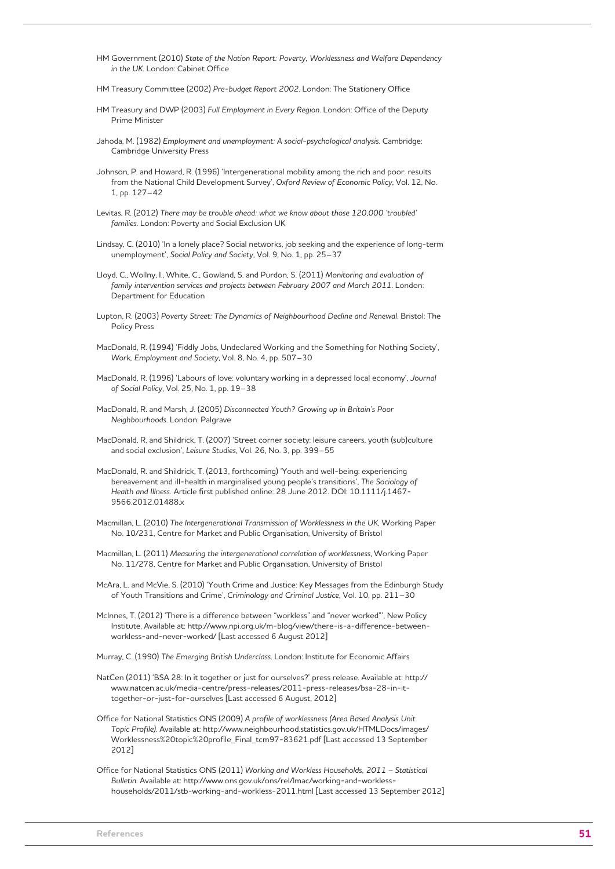- HM Government (2010) *State of the Nation Report: Poverty, Worklessness and Welfare Dependency in the UK*. London: Cabinet Office
- HM Treasury Committee (2002) *Pre-budget Report 2002*. London: The Stationery Office
- HM Treasury and DWP (2003) *Full Employment in Every Region*. London: Office of the Deputy Prime Minister
- Jahoda, M. (1982) *Employment and unemployment: A social-psychological analysis*. Cambridge: Cambridge University Press
- Johnson, P. and Howard, R. (1996) 'Intergenerational mobility among the rich and poor: results from the National Child Development Survey', *Oxford Review of Economic Policy*, Vol. 12, No. 1, pp. 127–42
- Levitas, R. (2012) *There may be trouble ahead: what we know about those 120,000 'troubled' families*. London: Poverty and Social Exclusion UK
- Lindsay, C. (2010) 'In a lonely place? Social networks, job seeking and the experience of long-term unemployment', *Social Policy and Society*, Vol. 9, No. 1, pp. 25–37
- Lloyd, C., Wollny, I., White, C., Gowland, S. and Purdon, S. (2011) *Monitoring and evaluation of family intervention services and projects between February 2007 and March 2011*. London: Department for Education
- Lupton, R. (2003) *Poverty Street: The Dynamics of Neighbourhood Decline and Renewal*. Bristol: The Policy Press
- MacDonald, R. (1994) 'Fiddly Jobs, Undeclared Working and the Something for Nothing Society', *Work, Employment and Society*, Vol. 8, No. 4, pp. 507–30
- MacDonald, R. (1996) 'Labours of love: voluntary working in a depressed local economy', *Journal of Social Policy*, Vol. 25, No. 1, pp. 19–38
- MacDonald, R. and Marsh, J. (2005) *Disconnected Youth? Growing up in Britain's Poor Neighbourhoods*. London: Palgrave
- MacDonald, R. and Shildrick, T. (2007) 'Street corner society: leisure careers, youth (sub)culture and social exclusion', *Leisure Studies*, Vol. 26, No. 3, pp. 399–55
- MacDonald, R. and Shildrick, T. (2013, forthcoming) 'Youth and well-being: experiencing bereavement and ill-health in marginalised young people's transitions', *The Sociology of Health and Illness.* Article first published online: 28 June 2012. DOI: 10.1111/j.1467- 9566.2012.01488.x
- Macmillan, L. (2010) *The Intergenerational Transmission of Worklessness in the UK*, Working Paper No. 10/231, Centre for Market and Public Organisation, University of Bristol
- Macmillan, L. (2011) *Measuring the intergenerational correlation of worklessness*, Working Paper No. 11/278, Centre for Market and Public Organisation, University of Bristol
- McAra, L. and McVie, S. (2010) 'Youth Crime and Justice: Key Messages from the Edinburgh Study of Youth Transitions and Crime', *Criminology and Criminal Justice,* Vol. 10, pp. 211–30
- McInnes, T. (2012) 'There is a difference between "workless" and "never worked"', New Policy Institute. Available at: http://www.npi.org.uk/m-blog/view/there-is-a-difference-betweenworkless-and-never-worked/ [Last accessed 6 August 2012]
- Murray, C. (1990) *The Emerging British Underclass*. London: Institute for Economic Affairs
- NatCen (2011) 'BSA 28: In it together or just for ourselves?' press release. Available at: http:// www.natcen.ac.uk/media-centre/press-releases/2011-press-releases/bsa-28-in-ittogether-or-just-for-ourselves [Last accessed 6 August, 2012]
- Office for National Statistics ONS (2009) *A profile of worklessness (Area Based Analysis Unit Topic Profile)*. Available at: http://www.neighbourhood.statistics.gov.uk/HTMLDocs/images/ Worklessness%20topic%20profile\_Final\_tcm97-83621.pdf [Last accessed 13 September 2012]
- Office for National Statistics ONS (2011) *Working and Workless Households, 2011 Statistical Bulletin*. Available at: http://www.ons.gov.uk/ons/rel/lmac/working-and-worklesshouseholds/2011/stb-working-and-workless-2011.html [Last accessed 13 September 2012]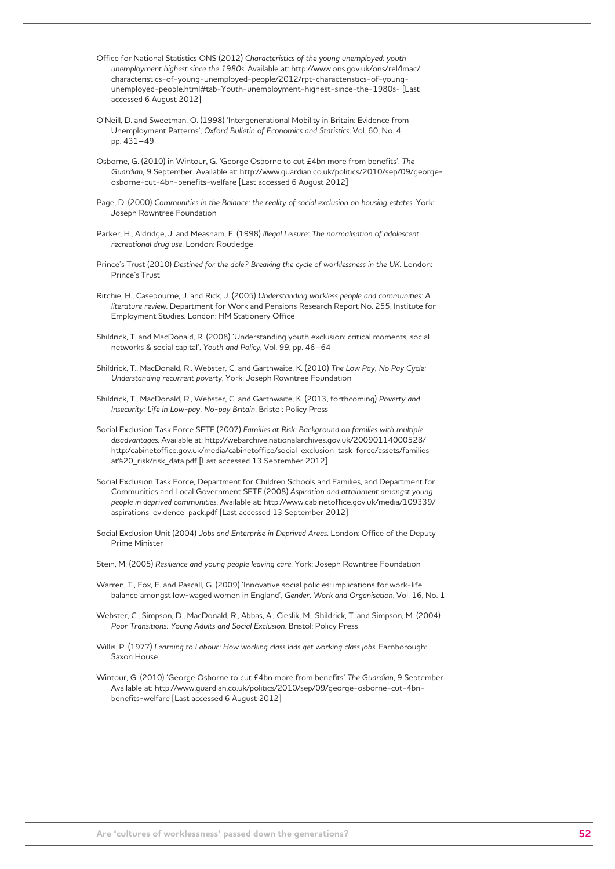- Office for National Statistics ONS (2012) *Characteristics of the young unemployed: youth unemployment highest since the 1980s*. Available at: http://www.ons.gov.uk/ons/rel/lmac/ characteristics-of-young-unemployed-people/2012/rpt-characteristics-of-youngunemployed-people.html#tab-Youth-unemployment-highest-since-the-1980s- [Last accessed 6 August 2012]
- O'Neill, D. and Sweetman, O. (1998) 'Intergenerational Mobility in Britain: Evidence from Unemployment Patterns', *Oxford Bulletin of Economics and Statistics*, Vol. 60, No. 4, pp. 431–49
- Osborne, G. (2010) in Wintour, G. 'George Osborne to cut £4bn more from benefits', *The Guardian*, 9 September. Available at: http://www.guardian.co.uk/politics/2010/sep/09/georgeosborne-cut-4bn-benefits-welfare [Last accessed 6 August 2012]
- Page, D. (2000) *Communities in the Balance: the reality of social exclusion on housing estates*. York: Joseph Rowntree Foundation
- Parker, H., Aldridge, J. and Measham, F. (1998) *Illegal Leisure: The normalisation of adolescent recreational drug use*. London: Routledge
- Prince's Trust (2010) *Destined for the dole? Breaking the cycle of worklessness in the UK.* London: Prince's Trust
- Ritchie, H., Casebourne, J. and Rick, J. (2005) *Understanding workless people and communities: A literature review*. Department for Work and Pensions Research Report No. 255, Institute for Employment Studies. London: HM Stationery Office
- Shildrick, T. and MacDonald, R. (2008) 'Understanding youth exclusion: critical moments, social networks & social capital', *Youth and Policy*, Vol. 99, pp. 46–64
- Shildrick, T., MacDonald, R., Webster, C. and Garthwaite, K. (2010) *The Low Pay, No Pay Cycle: Understanding recurrent poverty*. York: Joseph Rowntree Foundation
- Shildrick, T., MacDonald, R., Webster, C. and Garthwaite, K. (2013, forthcoming) *Poverty and Insecurity: Life in Low-pay, No-pay Britain*. Bristol: Policy Press
- Social Exclusion Task Force SETF (2007) *Families at Risk: Background on families with multiple disadvantages*. Available at: http://webarchive.nationalarchives.gov.uk/20090114000528/ http:/cabinetoffice.gov.uk/media/cabinetoffice/social\_exclusion\_task\_force/assets/families\_ at%20\_risk/risk\_data.pdf [Last accessed 13 September 2012]
- Social Exclusion Task Force, Department for Children Schools and Families, and Department for Communities and Local Government SETF (2008) *Aspiration and attainment amongst young people in deprived communities*. Available at: http://www.cabinetoffice.gov.uk/media/109339/ aspirations\_evidence\_pack.pdf [Last accessed 13 September 2012]
- Social Exclusion Unit (2004) *Jobs and Enterprise in Deprived Areas*. London: Office of the Deputy Prime Minister
- Stein, M. (2005) *Resilience and young people leaving care*. York: Joseph Rowntree Foundation
- Warren, T., Fox, E. and Pascall, G. (2009) 'Innovative social policies: implications for work-life balance amongst low-waged women in England', *Gender, Work and Organisation*, Vol. 16, No. 1
- Webster, C., Simpson, D., MacDonald, R., Abbas, A., Cieslik, M., Shildrick, T. and Simpson, M. (2004) *Poor Transitions: Young Adults and Social Exclusion*. Bristol: Policy Press
- Willis. P. (1977) *Learning to Labour: How working class lads get working class jobs*. Farnborough: Saxon House
- Wintour, G. (2010) 'George Osborne to cut £4bn more from benefits' *The Guardian*, 9 September. Available at: http://www.guardian.co.uk/politics/2010/sep/09/george-osborne-cut-4bnbenefits-welfare [Last accessed 6 August 2012]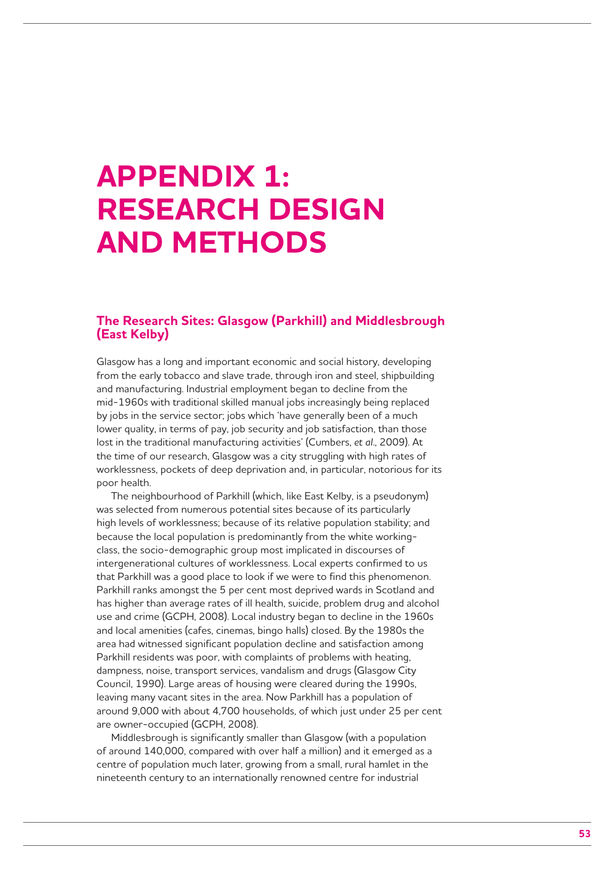## **APPENDIX 1: RESEARCH DESIGN AND METHODS**

## **The Research Sites: Glasgow (Parkhill) and Middlesbrough (East Kelby)**

Glasgow has a long and important economic and social history, developing from the early tobacco and slave trade, through iron and steel, shipbuilding and manufacturing. Industrial employment began to decline from the mid-1960s with traditional skilled manual jobs increasingly being replaced by jobs in the service sector; jobs which 'have generally been of a much lower quality, in terms of pay, job security and job satisfaction, than those lost in the traditional manufacturing activities' (Cumbers, *et al*., 2009). At the time of our research, Glasgow was a city struggling with high rates of worklessness, pockets of deep deprivation and, in particular, notorious for its poor health.

The neighbourhood of Parkhill (which, like East Kelby, is a pseudonym) was selected from numerous potential sites because of its particularly high levels of worklessness; because of its relative population stability; and because the local population is predominantly from the white workingclass, the socio-demographic group most implicated in discourses of intergenerational cultures of worklessness. Local experts confirmed to us that Parkhill was a good place to look if we were to find this phenomenon. Parkhill ranks amongst the 5 per cent most deprived wards in Scotland and has higher than average rates of ill health, suicide, problem drug and alcohol use and crime (GCPH, 2008). Local industry began to decline in the 1960s and local amenities (cafes, cinemas, bingo halls) closed. By the 1980s the area had witnessed significant population decline and satisfaction among Parkhill residents was poor, with complaints of problems with heating, dampness, noise, transport services, vandalism and drugs (Glasgow City Council, 1990). Large areas of housing were cleared during the 1990s. leaving many vacant sites in the area. Now Parkhill has a population of around 9,000 with about 4,700 households, of which just under 25 per cent are owner-occupied (GCPH, 2008).

Middlesbrough is significantly smaller than Glasgow (with a population of around 140,000, compared with over half a million) and it emerged as a centre of population much later, growing from a small, rural hamlet in the nineteenth century to an internationally renowned centre for industrial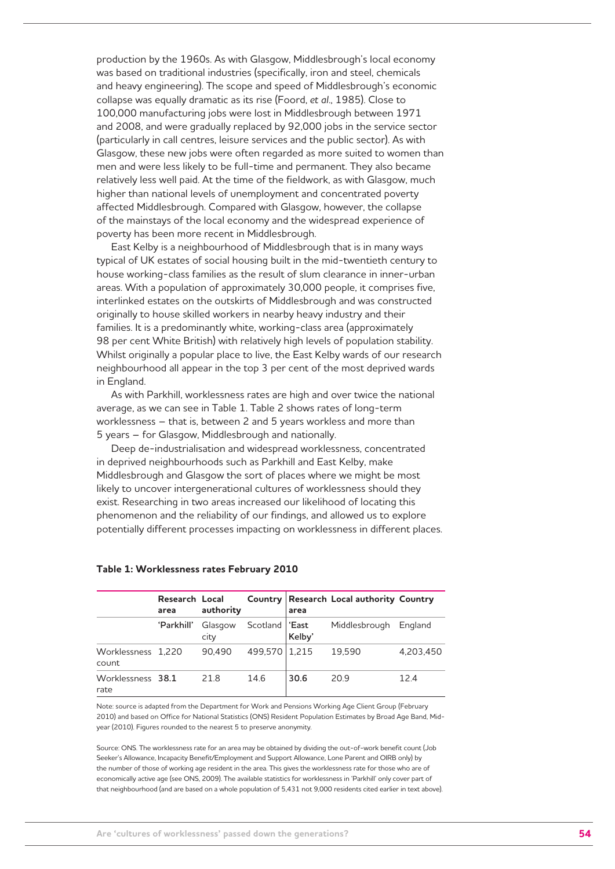production by the 1960s. As with Glasgow, Middlesbrough's local economy was based on traditional industries (specifically, iron and steel, chemicals and heavy engineering). The scope and speed of Middlesbrough's economic collapse was equally dramatic as its rise (Foord, *et al*., 1985). Close to 100,000 manufacturing jobs were lost in Middlesbrough between 1971 and 2008, and were gradually replaced by 92,000 jobs in the service sector (particularly in call centres, leisure services and the public sector). As with Glasgow, these new jobs were often regarded as more suited to women than men and were less likely to be full-time and permanent. They also became relatively less well paid. At the time of the fieldwork, as with Glasgow, much higher than national levels of unemployment and concentrated poverty affected Middlesbrough. Compared with Glasgow, however, the collapse of the mainstays of the local economy and the widespread experience of poverty has been more recent in Middlesbrough.

East Kelby is a neighbourhood of Middlesbrough that is in many ways typical of UK estates of social housing built in the mid-twentieth century to house working-class families as the result of slum clearance in inner-urban areas. With a population of approximately 30,000 people, it comprises five, interlinked estates on the outskirts of Middlesbrough and was constructed originally to house skilled workers in nearby heavy industry and their families. It is a predominantly white, working-class area (approximately 98 per cent White British) with relatively high levels of population stability. Whilst originally a popular place to live, the East Kelby wards of our research neighbourhood all appear in the top 3 per cent of the most deprived wards in England.

As with Parkhill, worklessness rates are high and over twice the national average, as we can see in Table 1. Table 2 shows rates of long-term worklessness – that is, between 2 and 5 years workless and more than 5 years – for Glasgow, Middlesbrough and nationally.

Deep de-industrialisation and widespread worklessness, concentrated in deprived neighbourhoods such as Parkhill and East Kelby, make Middlesbrough and Glasgow the sort of places where we might be most likely to uncover intergenerational cultures of worklessness should they exist. Researching in two areas increased our likelihood of locating this phenomenon and the reliability of our findings, and allowed us to explore potentially different processes impacting on worklessness in different places.

|                             | Research Local<br>area | authority       |                  | area   | Country Research Local authority Country |           |
|-----------------------------|------------------------|-----------------|------------------|--------|------------------------------------------|-----------|
|                             | 'Parkhill'             | Glasgow<br>city | Scotland   'East | Kelby' | Middlesbrough                            | England   |
| Worklessness 1,220<br>count |                        | 90.490          | 499,570   1,215  |        | 19.590                                   | 4.203.450 |
| Worklessness 38.1<br>rate   |                        | 218             | 14.6             | 30.6   | 20.9                                     | 12.4      |

#### **Table 1: Worklessness rates February 2010**

Note: source is adapted from the Department for Work and Pensions Working Age Client Group (February 2010) and based on Office for National Statistics (ONS) Resident Population Estimates by Broad Age Band, Midyear (2010). Figures rounded to the nearest 5 to preserve anonymity.

Source: ONS. The worklessness rate for an area may be obtained by dividing the out-of-work benefit count (Job Seeker's Allowance, Incapacity Benefit/Employment and Support Allowance, Lone Parent and OIRB only) by the number of those of working age resident in the area. This gives the worklessness rate for those who are of economically active age (see ONS, 2009). The available statistics for worklessness in 'Parkhill' only cover part of that neighbourhood (and are based on a whole population of 5,431 not 9,000 residents cited earlier in text above).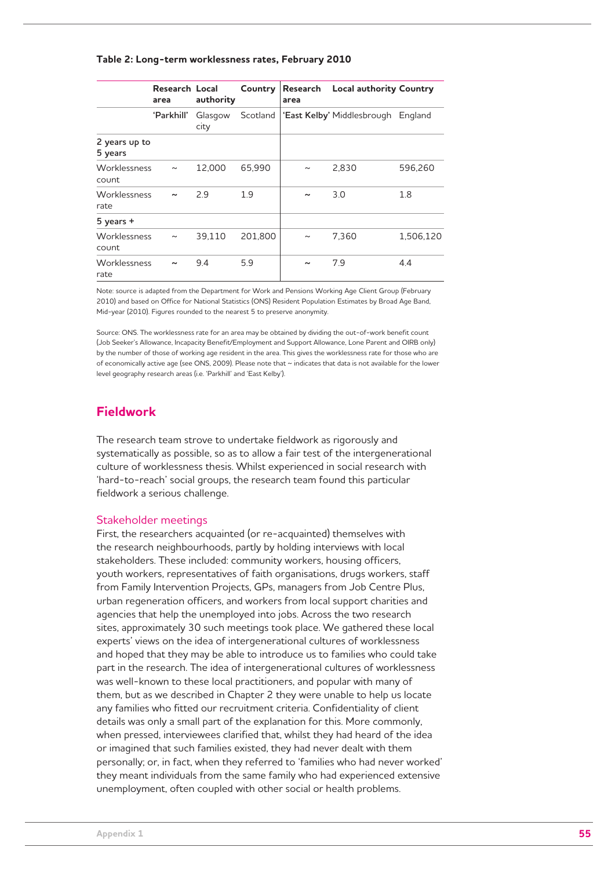#### **Table 2: Long-term worklessness rates, February 2010**

|                          | Research Local<br>area | authority       | Country  | area                  | Research Local authority Country   |           |
|--------------------------|------------------------|-----------------|----------|-----------------------|------------------------------------|-----------|
|                          | 'Parkhill'             | Glasgow<br>city | Scotland |                       | 'East Kelby' Middlesbrough England |           |
| 2 years up to<br>5 years |                        |                 |          |                       |                                    |           |
| Worklessness<br>count    | $\sim$                 | 12.000          | 65,990   | $\tilde{}$            | 2.830                              | 596,260   |
| Worklessness<br>rate     | $\tilde{\phantom{a}}$  | 2.9             | 1.9      | $\tilde{ }$           | 3.0                                | 1.8       |
| $5$ years $+$            |                        |                 |          |                       |                                    |           |
| Worklessness<br>count    | $\sim$                 | 39.110          | 201.800  | $\tilde{}$            | 7,360                              | 1,506,120 |
| Worklessness<br>rate     |                        | 9.4             | 5.9      | $\tilde{\phantom{a}}$ | 7.9                                | 4.4       |

Note: source is adapted from the Department for Work and Pensions Working Age Client Group (February 2010) and based on Office for National Statistics (ONS) Resident Population Estimates by Broad Age Band, Mid-year (2010). Figures rounded to the nearest 5 to preserve anonymity.

Source: ONS. The worklessness rate for an area may be obtained by dividing the out-of-work benefit count (Job Seeker's Allowance, Incapacity Benefit/Employment and Support Allowance, Lone Parent and OIRB only) by the number of those of working age resident in the area. This gives the worklessness rate for those who are of economically active age (see ONS, 2009). Please note that ~ indicates that data is not available for the lower level geography research areas (i.e. 'Parkhill' and 'East Kelby').

## **Fieldwork**

The research team strove to undertake fieldwork as rigorously and systematically as possible, so as to allow a fair test of the intergenerational culture of worklessness thesis. Whilst experienced in social research with 'hard-to-reach' social groups, the research team found this particular fieldwork a serious challenge.

#### Stakeholder meetings

First, the researchers acquainted (or re-acquainted) themselves with the research neighbourhoods, partly by holding interviews with local stakeholders. These included: community workers, housing officers, youth workers, representatives of faith organisations, drugs workers, staff from Family Intervention Projects, GPs, managers from Job Centre Plus, urban regeneration officers, and workers from local support charities and agencies that help the unemployed into jobs. Across the two research sites, approximately 30 such meetings took place. We gathered these local experts' views on the idea of intergenerational cultures of worklessness and hoped that they may be able to introduce us to families who could take part in the research. The idea of intergenerational cultures of worklessness was well-known to these local practitioners, and popular with many of them, but as we described in Chapter 2 they were unable to help us locate any families who fitted our recruitment criteria. Confidentiality of client details was only a small part of the explanation for this. More commonly, when pressed, interviewees clarified that, whilst they had heard of the idea or imagined that such families existed, they had never dealt with them personally; or, in fact, when they referred to 'families who had never worked' they meant individuals from the same family who had experienced extensive unemployment, often coupled with other social or health problems.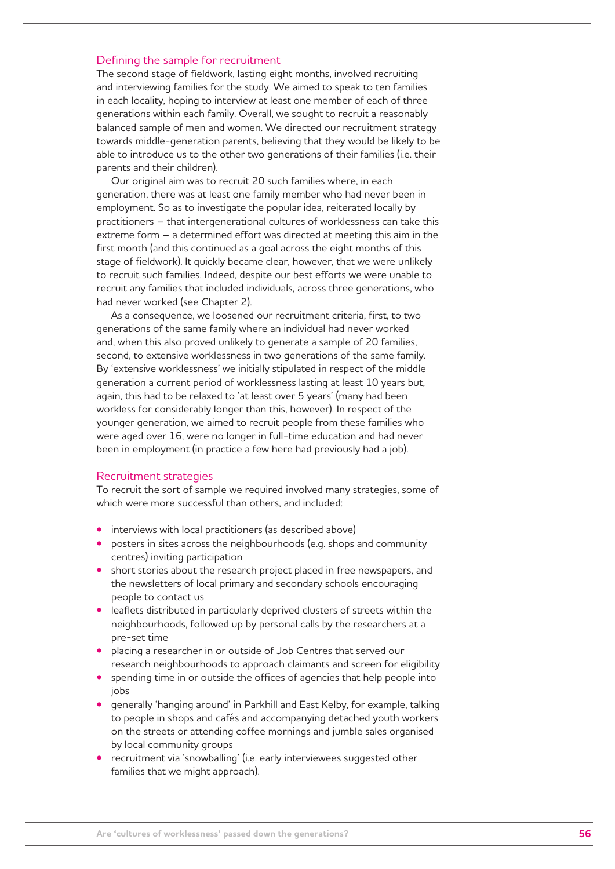#### Defining the sample for recruitment

The second stage of fieldwork, lasting eight months, involved recruiting and interviewing families for the study. We aimed to speak to ten families in each locality, hoping to interview at least one member of each of three generations within each family. Overall, we sought to recruit a reasonably balanced sample of men and women. We directed our recruitment strategy towards middle-generation parents, believing that they would be likely to be able to introduce us to the other two generations of their families (i.e. their parents and their children).

Our original aim was to recruit 20 such families where, in each generation, there was at least one family member who had never been in employment. So as to investigate the popular idea, reiterated locally by practitioners – that intergenerational cultures of worklessness can take this extreme form – a determined effort was directed at meeting this aim in the first month (and this continued as a goal across the eight months of this stage of fieldwork). It quickly became clear, however, that we were unlikely to recruit such families. Indeed, despite our best efforts we were unable to recruit any families that included individuals, across three generations, who had never worked (see Chapter 2).

As a consequence, we loosened our recruitment criteria, first, to two generations of the same family where an individual had never worked and, when this also proved unlikely to generate a sample of 20 families, second, to extensive worklessness in two generations of the same family. By 'extensive worklessness' we initially stipulated in respect of the middle generation a current period of worklessness lasting at least 10 years but, again, this had to be relaxed to 'at least over 5 years' (many had been workless for considerably longer than this, however). In respect of the younger generation, we aimed to recruit people from these families who were aged over 16, were no longer in full-time education and had never been in employment (in practice a few here had previously had a job).

#### Recruitment strategies

To recruit the sort of sample we required involved many strategies, some of which were more successful than others, and included:

- interviews with local practitioners (as described above)
- posters in sites across the neighbourhoods (e.g. shops and community centres) inviting participation
- short stories about the research project placed in free newspapers, and the newsletters of local primary and secondary schools encouraging people to contact us
- **•**  leaflets distributed in particularly deprived clusters of streets within the neighbourhoods, followed up by personal calls by the researchers at a pre-set time
- placing a researcher in or outside of Job Centres that served our research neighbourhoods to approach claimants and screen for eligibility
- spending time in or outside the offices of agencies that help people into jobs
- generally 'hanging around' in Parkhill and East Kelby, for example, talking to people in shops and cafés and accompanying detached youth workers on the streets or attending coffee mornings and jumble sales organised by local community groups
- recruitment via 'snowballing' (i.e. early interviewees suggested other families that we might approach).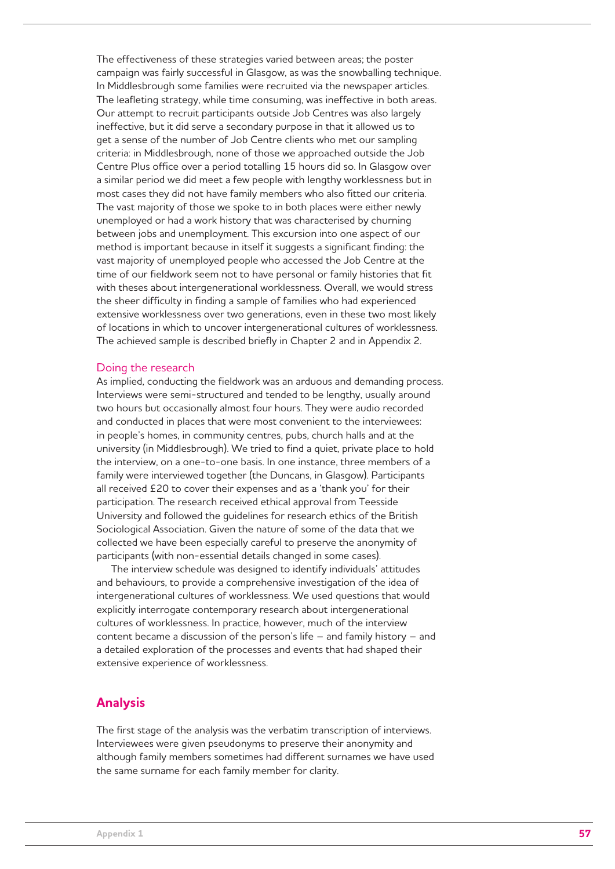The effectiveness of these strategies varied between areas; the poster campaign was fairly successful in Glasgow, as was the snowballing technique. In Middlesbrough some families were recruited via the newspaper articles. The leafleting strategy, while time consuming, was ineffective in both areas. Our attempt to recruit participants outside Job Centres was also largely ineffective, but it did serve a secondary purpose in that it allowed us to get a sense of the number of Job Centre clients who met our sampling criteria: in Middlesbrough, none of those we approached outside the Job Centre Plus office over a period totalling 15 hours did so. In Glasgow over a similar period we did meet a few people with lengthy worklessness but in most cases they did not have family members who also fitted our criteria. The vast majority of those we spoke to in both places were either newly unemployed or had a work history that was characterised by churning between jobs and unemployment. This excursion into one aspect of our method is important because in itself it suggests a significant finding: the vast majority of unemployed people who accessed the Job Centre at the time of our fieldwork seem not to have personal or family histories that fit with theses about intergenerational worklessness. Overall, we would stress the sheer difficulty in finding a sample of families who had experienced extensive worklessness over two generations, even in these two most likely of locations in which to uncover intergenerational cultures of worklessness. The achieved sample is described briefly in Chapter 2 and in Appendix 2.

#### Doing the research

As implied, conducting the fieldwork was an arduous and demanding process. Interviews were semi-structured and tended to be lengthy, usually around two hours but occasionally almost four hours. They were audio recorded and conducted in places that were most convenient to the interviewees: in people's homes, in community centres, pubs, church halls and at the university (in Middlesbrough). We tried to find a quiet, private place to hold the interview, on a one-to-one basis. In one instance, three members of a family were interviewed together (the Duncans, in Glasgow). Participants all received £20 to cover their expenses and as a 'thank you' for their participation. The research received ethical approval from Teesside University and followed the guidelines for research ethics of the British Sociological Association. Given the nature of some of the data that we collected we have been especially careful to preserve the anonymity of participants (with non-essential details changed in some cases).

The interview schedule was designed to identify individuals' attitudes and behaviours, to provide a comprehensive investigation of the idea of intergenerational cultures of worklessness. We used questions that would explicitly interrogate contemporary research about intergenerational cultures of worklessness. In practice, however, much of the interview content became a discussion of the person's life – and family history – and a detailed exploration of the processes and events that had shaped their extensive experience of worklessness.

### **Analysis**

The first stage of the analysis was the verbatim transcription of interviews. Interviewees were given pseudonyms to preserve their anonymity and although family members sometimes had different surnames we have used the same surname for each family member for clarity.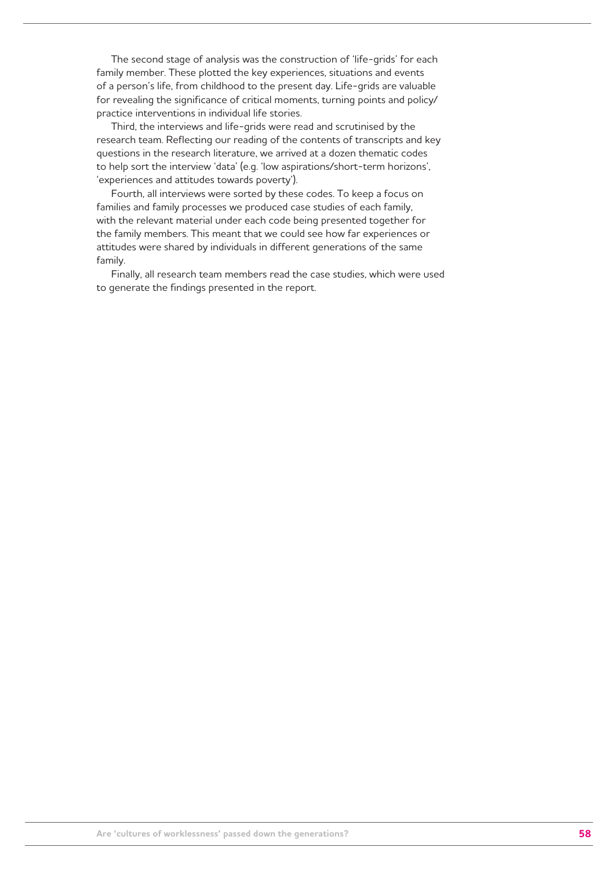The second stage of analysis was the construction of 'life-grids' for each family member. These plotted the key experiences, situations and events of a person's life, from childhood to the present day. Life-grids are valuable for revealing the significance of critical moments, turning points and policy/ practice interventions in individual life stories.

Third, the interviews and life-grids were read and scrutinised by the research team. Reflecting our reading of the contents of transcripts and key questions in the research literature, we arrived at a dozen thematic codes to help sort the interview 'data' (e.g. 'low aspirations/short-term horizons', 'experiences and attitudes towards poverty').

Fourth, all interviews were sorted by these codes. To keep a focus on families and family processes we produced case studies of each family, with the relevant material under each code being presented together for the family members. This meant that we could see how far experiences or attitudes were shared by individuals in different generations of the same family.

Finally, all research team members read the case studies, which were used to generate the findings presented in the report.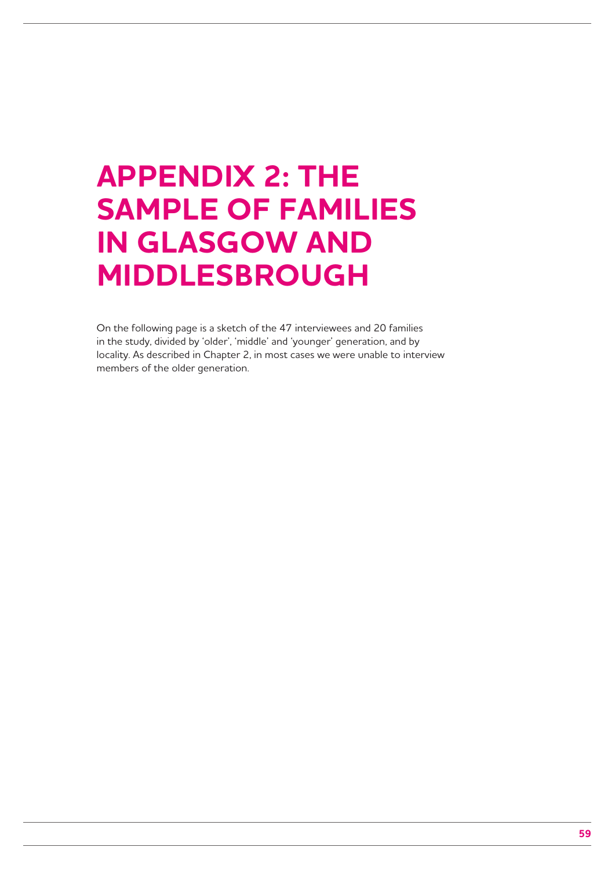## **APPENDIX 2: THE SAMPLE OF FAMILIES IN GLASGOW AND MIDDLESBROUGH**

On the following page is a sketch of the 47 interviewees and 20 families in the study, divided by 'older', 'middle' and 'younger' generation, and by locality. As described in Chapter 2, in most cases we were unable to interview members of the older generation.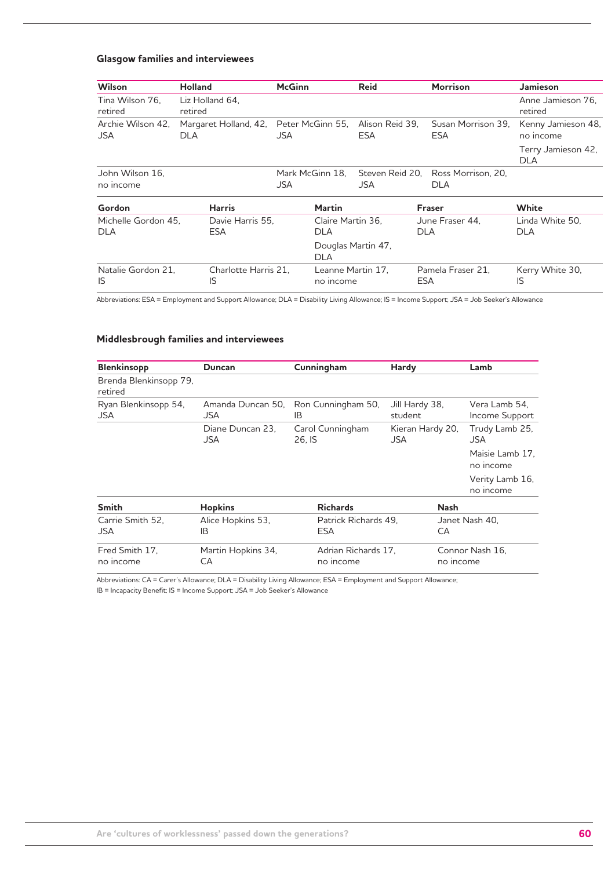### **Glasgow families and interviewees**

| <b>Wilson</b>                   | <b>Holland</b>             |                                        | <b>McGinn</b> |                                  | <b>Reid</b>            |            | <b>Morrison</b>                    | <b>Jamieson</b>                  |
|---------------------------------|----------------------------|----------------------------------------|---------------|----------------------------------|------------------------|------------|------------------------------------|----------------------------------|
| Tina Wilson 76.<br>retired      | Liz Holland 64.<br>retired |                                        |               |                                  |                        |            |                                    | Anne Jamieson 76.<br>retired     |
| Archie Wilson 42,<br><b>JSA</b> | DLA                        | Margaret Holland, 42, Peter McGinn 55, | JSA           |                                  | Alison Reid 39,<br>ESA |            | Susan Morrison 39,<br>ESA          | Kenny Jamieson 48,<br>no income  |
|                                 |                            |                                        |               |                                  |                        |            |                                    | Terry Jamieson 42,<br><b>DLA</b> |
| John Wilson 16.                 |                            |                                        |               | Mark McGinn 18.                  |                        |            | Steven Reid 20, Ross Morrison, 20, |                                  |
| no income                       |                            |                                        | <b>JSA</b>    |                                  | <b>JSA</b>             |            | <b>DLA</b>                         |                                  |
| Gordon                          |                            | <b>Harris</b>                          |               | Martin                           |                        |            | <b>Fraser</b>                      | White                            |
| Michelle Gordon 45.             |                            | Davie Harris 55.                       |               | Claire Martin 36,                |                        |            | June Fraser 44.                    | Linda White 50,                  |
| <b>DLA</b>                      | <b>ESA</b>                 |                                        |               | <b>DLA</b>                       |                        | <b>DLA</b> |                                    | <b>DLA</b>                       |
|                                 |                            |                                        |               | Douglas Martin 47,<br><b>DLA</b> |                        |            |                                    |                                  |
| Natalie Gordon 21.<br>IS        | IS                         | Charlotte Harris 21.                   |               | Leanne Martin 17.<br>no income   |                        | <b>ESA</b> | Pamela Fraser 21.                  | Kerry White 30,<br>IS            |

Abbreviations: ESA = Employment and Support Allowance; DLA = Disability Living Allowance; IS = Income Support; JSA = Job Seeker's Allowance

### **Middlesbrough families and interviewees**

| <b>Blenkinsopp</b>                | <b>Duncan</b>                   | Cunningham                         | Hardy                     | Lamb                            |  |
|-----------------------------------|---------------------------------|------------------------------------|---------------------------|---------------------------------|--|
| Brenda Blenkinsopp 79,<br>retired |                                 |                                    |                           |                                 |  |
| Ryan Blenkinsopp 54,<br>JSA.      | Amanda Duncan 50,<br><b>JSA</b> | Ron Cunningham 50,<br>IB           | Jill Hardy 38,<br>student | Vera Lamb 54.<br>Income Support |  |
|                                   | Diane Duncan 23.<br><b>JSA</b>  | Carol Cunningham<br>26, IS         | Kieran Hardy 20,<br>JSA   | Trudy Lamb 25,<br>JSA           |  |
|                                   |                                 |                                    |                           | Maisie Lamb 17.<br>no income    |  |
|                                   |                                 |                                    |                           | Verity Lamb 16,<br>no income    |  |
| <b>Smith</b>                      | <b>Hopkins</b>                  | <b>Richards</b>                    | <b>Nash</b>               |                                 |  |
| Carrie Smith 52.<br>JSA           | Alice Hopkins 53,<br>IB         | Patrick Richards 49.<br><b>ESA</b> | CA                        | Janet Nash 40,                  |  |
| Fred Smith 17.<br>no income       | Martin Hopkins 34,<br>CА        | Adrian Richards 17.<br>no income   |                           | Connor Nash 16.<br>no income    |  |

Abbreviations: CA = Carer's Allowance; DLA = Disability Living Allowance; ESA = Employment and Support Allowance;

IB = Incapacity Benefit; IS = Income Support; JSA = Job Seeker's Allowance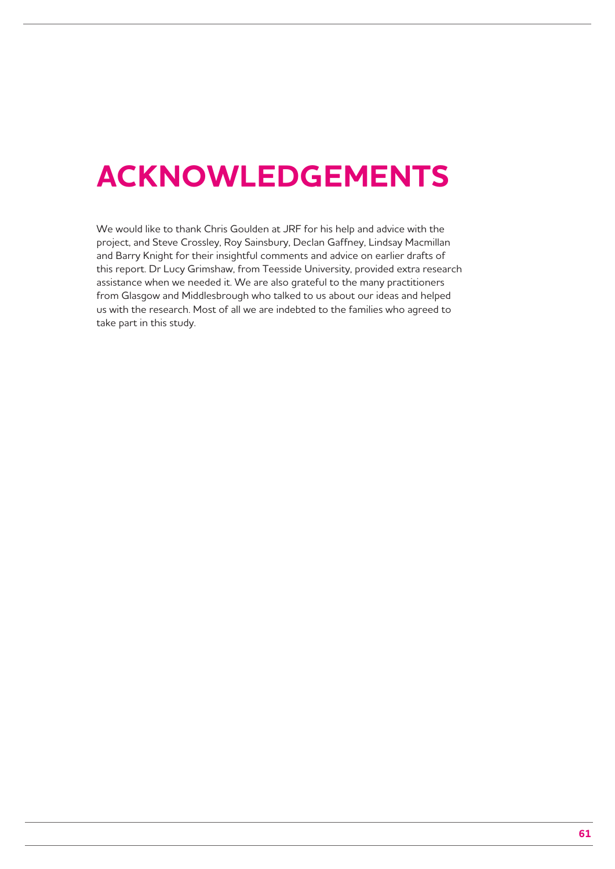## **ACKNOWLEDGEMENTS**

We would like to thank Chris Goulden at JRF for his help and advice with the project, and Steve Crossley, Roy Sainsbury, Declan Gaffney, Lindsay Macmillan and Barry Knight for their insightful comments and advice on earlier drafts of this report. Dr Lucy Grimshaw, from Teesside University, provided extra research assistance when we needed it. We are also grateful to the many practitioners from Glasgow and Middlesbrough who talked to us about our ideas and helped us with the research. Most of all we are indebted to the families who agreed to take part in this study.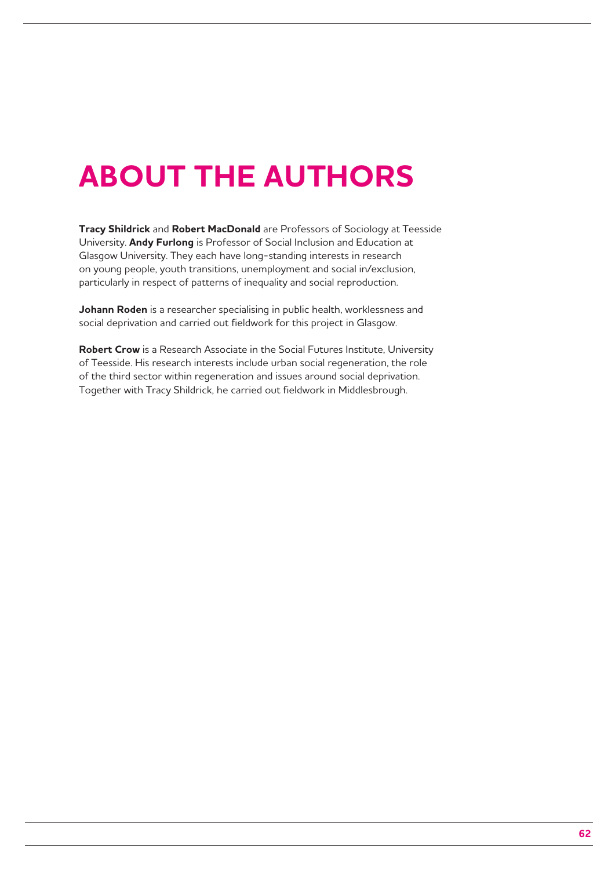# **ABOUT THE AUTHORS**

**Tracy Shildrick** and **Robert MacDonald** are Professors of Sociology at Teesside University. **Andy Furlong** is Professor of Social Inclusion and Education at Glasgow University. They each have long-standing interests in research on young people, youth transitions, unemployment and social in/exclusion, particularly in respect of patterns of inequality and social reproduction.

**Johann Roden** is a researcher specialising in public health, worklessness and social deprivation and carried out fieldwork for this project in Glasgow.

**Robert Crow** is a Research Associate in the Social Futures Institute, University of Teesside. His research interests include urban social regeneration, the role of the third sector within regeneration and issues around social deprivation. Together with Tracy Shildrick, he carried out fieldwork in Middlesbrough.